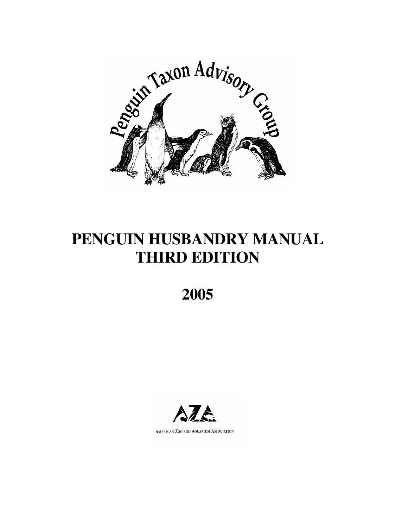

# **PENGUIN HUSBANDRY MANUAL THIRD EDITION**

**2005** 



AMERICAN ZOO AND AQUARIUM ASSOCIATION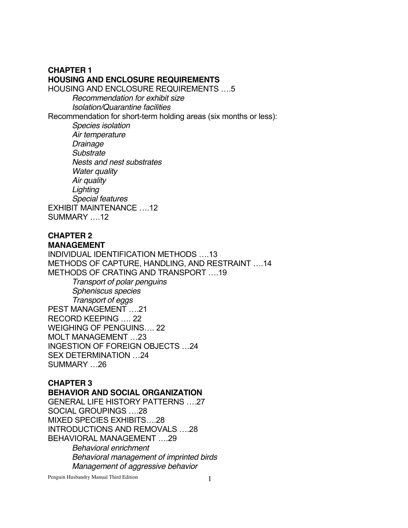# **CHAPTER 1 HOUSING AND ENCLOSURE REQUIREMENTS**

HOUSING AND ENCLOSURE REQUIREMENTS ….5

*Recommendation for exhibit size Isolation/Quarantine facilities*

Recommendation for short-term holding areas (six months or less):

*Species isolation Air temperature Drainage Substrate Nests and nest substrates Water quality Air quality Lighting Special features*  EXHIBIT MAINTENANCE ….12 SUMMARY ….12

### **CHAPTER 2 MANAGEMENT**

INDIVIDUAL IDENTIFICATION METHODS ….13 METHODS OF CAPTURE, HANDLING, AND RESTRAINT ….14 METHODS OF CRATING AND TRANSPORT ….19 *Transport of polar penguins Spheniscus species Transport of eggs* PEST MANAGEMENT ….21 RECORD KEEPING …. 22 WEIGHING OF PENGUINS…. 22 MOLT MANAGEMENT …23 INGESTION OF FOREIGN OBJECTS …24 SEX DETERMINATION …24 SUMMARY …26

#### **CHAPTER 3 BEHAVIOR AND SOCIAL ORGANIZATION**

GENERAL LIFE HISTORY PATTERNS ….27 SOCIAL GROUPINGS ….28 MIXED SPECIES EXHIBITS….28 INTRODUCTIONS AND REMOVALS ….28 BEHAVIORAL MANAGEMENT ….29 *Behavioral enrichment Behavioral management of imprinted birds Management of aggressive behavior*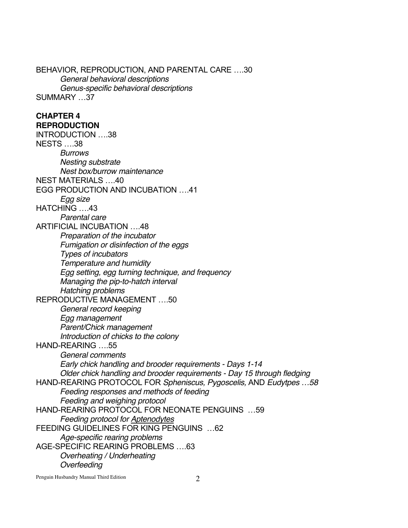BEHAVIOR, REPRODUCTION, AND PARENTAL CARE ….30 *General behavioral descriptions Genus-specific behavioral descriptions* SUMMARY …37 **CHAPTER 4 REPRODUCTION**  INTRODUCTION ….38 NESTS ….38 *Burrows Nesting substrate Nest box/burrow maintenance* NEST MATERIALS ….40 EGG PRODUCTION AND INCUBATION ….41 *Egg size* HATCHING ….43 *Parental care* ARTIFICIAL INCUBATION ….48 *Preparation of the incubator Fumigation or disinfection of the eggs Types of incubators Temperature and humidity Egg setting, egg turning technique, and frequency Managing the pip-to-hatch interval Hatching problems* REPRODUCTIVE MANAGEMENT ….50 *General record keeping Egg management Parent/Chick management Introduction of chicks to the colony* HAND-REARING ….55 *General comments Early chick handling and brooder requirements - Days 1-14 Older chick handling and brooder requirements - Day 15 through fledging* HAND-REARING PROTOCOL FOR *Spheniscus, Pygoscelis,* AND *Eudytpes …58 Feeding responses and methods of feeding Feeding and weighing protocol* HAND-REARING PROTOCOL FOR NEONATE PENGUINS …59 *Feeding protocol for Aptenodytes* FEEDING GUIDELINES FOR KING PENGUINS …62 *Age-specific rearing problems* AGE-SPECIFIC REARING PROBLEMS ….63 *Overheating / Underheating Overfeeding*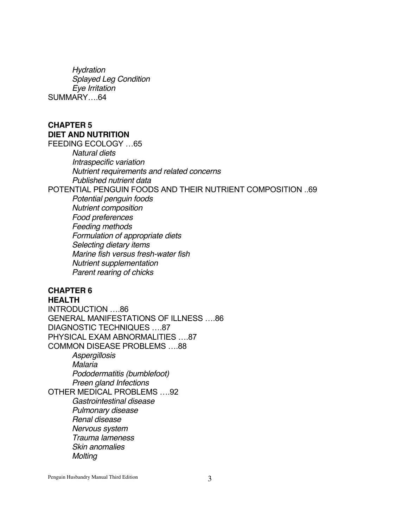*Hydration Splayed Leg Condition Eye Irritation*  SUMMARY….64

#### **CHAPTER 5 DIET AND NUTRITION**  FEEDING ECOLOGY …65

*Natural diets Intraspecific variation Nutrient requirements and related concerns Published nutrient data*  POTENTIAL PENGUIN FOODS AND THEIR NUTRIENT COMPOSITION ..69 *Potential penguin foods Nutrient composition Food preferences Feeding methods Formulation of appropriate diets Selecting dietary items Marine fish versus fresh-water fish Nutrient supplementation Parent rearing of chicks*  **CHAPTER 6** 

# **HEALTH**

INTRODUCTION ….86 GENERAL MANIFESTATIONS OF ILLNESS ….86 DIAGNOSTIC TECHNIQUES ….87 PHYSICAL EXAM ABNORMALITIES ….87 COMMON DISEASE PROBLEMS ….88 *Aspergillosis Malaria Pododermatitis (bumblefoot) Preen gland Infections* OTHER MEDICAL PROBLEMS ….92 *Gastrointestinal disease Pulmonary disease Renal disease Nervous system Trauma lameness Skin anomalies Molting*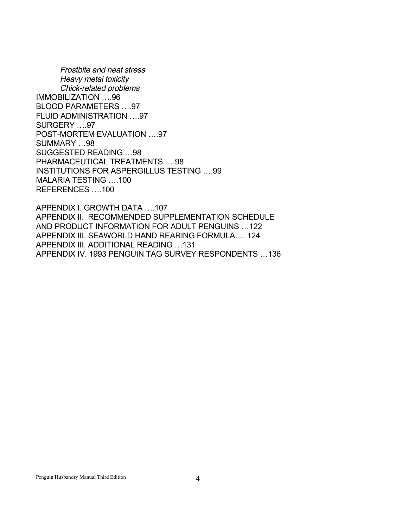*Frostbite and heat stress Heavy metal toxicity Chick-related problems* IMMOBILIZATION ….96 BLOOD PARAMETERS ….97 FLUID ADMINISTRATION ….97 SURGERY ….97 POST-MORTEM EVALUATION ….97 SUMMARY …98 SUGGESTED READING …98 PHARMACEUTICAL TREATMENTS ….98 INSTITUTIONS FOR ASPERGILLUS TESTING ….99 MALARIA TESTING ….100 REFERENCES ….100

APPENDIX I. GROWTH DATA ….107 APPENDIX II. RECOMMENDED SUPPLEMENTATION SCHEDULE AND PRODUCT INFORMATION FOR ADULT PENGUINS …122 APPENDIX III. SEAWORLD HAND REARING FORMULA…. 124 APPENDIX III. ADDITIONAL READING …131 APPENDIX IV. 1993 PENGUIN TAG SURVEY RESPONDENTS …136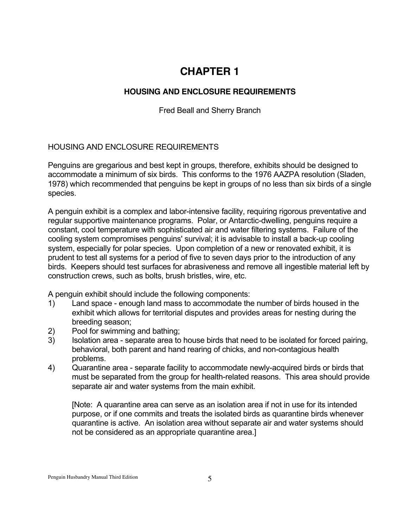# **CHAPTER 1**

# **HOUSING AND ENCLOSURE REQUIREMENTS**

Fred Beall and Sherry Branch

# HOUSING AND ENCLOSURE REQUIREMENTS

Penguins are gregarious and best kept in groups, therefore, exhibits should be designed to accommodate a minimum of six birds. This conforms to the 1976 AAZPA resolution (Sladen, 1978) which recommended that penguins be kept in groups of no less than six birds of a single species.

A penguin exhibit is a complex and labor-intensive facility, requiring rigorous preventative and regular supportive maintenance programs. Polar, or Antarctic-dwelling, penguins require a constant, cool temperature with sophisticated air and water filtering systems. Failure of the cooling system compromises penguins' survival; it is advisable to install a back-up cooling system, especially for polar species. Upon completion of a new or renovated exhibit, it is prudent to test all systems for a period of five to seven days prior to the introduction of any birds. Keepers should test surfaces for abrasiveness and remove all ingestible material left by construction crews, such as bolts, brush bristles, wire, etc.

A penguin exhibit should include the following components:

- 1) Land space enough land mass to accommodate the number of birds housed in the exhibit which allows for territorial disputes and provides areas for nesting during the breeding season;
- 2) Pool for swimming and bathing;
- 3) Isolation area separate area to house birds that need to be isolated for forced pairing, behavioral, both parent and hand rearing of chicks, and non-contagious health problems.
- 4) Quarantine area separate facility to accommodate newly-acquired birds or birds that must be separated from the group for health-related reasons. This area should provide separate air and water systems from the main exhibit.

[Note: A quarantine area can serve as an isolation area if not in use for its intended purpose, or if one commits and treats the isolated birds as quarantine birds whenever quarantine is active. An isolation area without separate air and water systems should not be considered as an appropriate quarantine area.]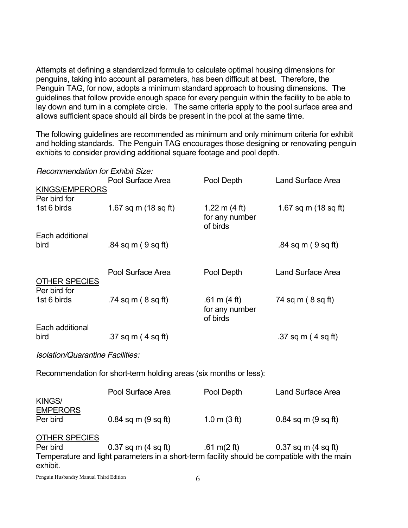Attempts at defining a standardized formula to calculate optimal housing dimensions for penguins, taking into account all parameters, has been difficult at best. Therefore, the Penguin TAG, for now, adopts a minimum standard approach to housing dimensions. The guidelines that follow provide enough space for every penguin within the facility to be able to lay down and turn in a complete circle. The same criteria apply to the pool surface area and allows sufficient space should all birds be present in the pool at the same time.

The following guidelines are recommended as minimum and only minimum criteria for exhibit and holding standards. The Penguin TAG encourages those designing or renovating penguin exhibits to consider providing additional square footage and pool depth.

| <b>Recommendation for Exhibit Size:</b>      |                                                                  |                                                       |                              |  |  |  |  |
|----------------------------------------------|------------------------------------------------------------------|-------------------------------------------------------|------------------------------|--|--|--|--|
|                                              | Pool Surface Area                                                | Pool Depth                                            | <b>Land Surface Area</b>     |  |  |  |  |
| <b>KINGS/EMPERORS</b>                        |                                                                  |                                                       |                              |  |  |  |  |
| Per bird for                                 |                                                                  |                                                       |                              |  |  |  |  |
| 1st 6 birds                                  | 1.67 sq m $(18$ sq ft)                                           | 1.22 m $(4 \text{ ft})$<br>for any number<br>of birds | 1.67 sq m $(18$ sq ft)       |  |  |  |  |
| Each additional                              |                                                                  |                                                       |                              |  |  |  |  |
| bird<br><b>OTHER SPECIES</b><br>Per bird for | $.84$ sq m (9 sq ft)                                             |                                                       | $.84$ sq m (9 sq ft)         |  |  |  |  |
|                                              | Pool Surface Area                                                | Pool Depth                                            | <b>Land Surface Area</b>     |  |  |  |  |
|                                              |                                                                  |                                                       |                              |  |  |  |  |
| 1st 6 birds                                  | .74 sq m $(8$ sq ft $)$                                          | .61 m $(4 \text{ ft})$<br>for any number<br>of birds  | 74 sq m ( 8 sq ft)           |  |  |  |  |
| Each additional                              |                                                                  |                                                       |                              |  |  |  |  |
| bird                                         | .37 sq m $(4 \text{ sq ft})$                                     |                                                       | .37 sq m $(4 \text{ sq ft})$ |  |  |  |  |
| <b>Isolation/Quarantine Facilities:</b>      |                                                                  |                                                       |                              |  |  |  |  |
|                                              | Decemped dies for short term holding areas (aiv months or loca). |                                                       |                              |  |  |  |  |

Recommendation for short-term holding areas (six months or less):

|                      | Pool Surface Area                                                                            | Pool Depth                                 | <b>Land Surface Area</b> |
|----------------------|----------------------------------------------------------------------------------------------|--------------------------------------------|--------------------------|
| KINGS/               |                                                                                              |                                            |                          |
| <b>EMPERORS</b>      |                                                                                              |                                            |                          |
| Per bird             | $0.84$ sq m $(9$ sq ft)                                                                      | $1.0 \text{ m} (3 \text{ ft})$             | $0.84$ sq m $(9$ sq ft)  |
|                      |                                                                                              |                                            |                          |
| <b>OTHER SPECIES</b> |                                                                                              |                                            |                          |
| Per bird             | $0.37$ sq m (4 sq ft)                                                                        | $.61 \text{ m}$ (2 ft) 0.37 sq m (4 sq ft) |                          |
|                      | Temperature and light parameters in a short-term facility should be compatible with the main |                                            |                          |
| exhibit.             |                                                                                              |                                            |                          |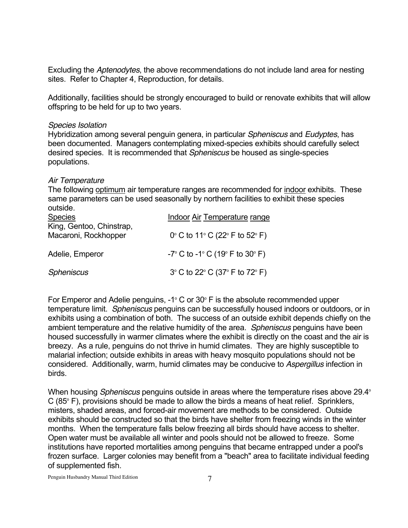Excluding the *Aptenodytes*, the above recommendations do not include land area for nesting sites. Refer to Chapter 4, Reproduction, for details.

Additionally, facilities should be strongly encouraged to build or renovate exhibits that will allow offspring to be held for up to two years.

#### *Species Isolation*

Hybridization among several penguin genera, in particular *Spheniscus* and *Eudyptes*, has been documented. Managers contemplating mixed-species exhibits should carefully select desired species. It is recommended that *Spheniscus* be housed as single-species populations.

#### *Air Temperature*

The following optimum air temperature ranges are recommended for indoor exhibits. These same parameters can be used seasonally by northern facilities to exhibit these species outside.

| <b>Species</b>                                   | Indoor Air Temperature range                                          |  |  |  |  |
|--------------------------------------------------|-----------------------------------------------------------------------|--|--|--|--|
| King, Gentoo, Chinstrap,<br>Macaroni, Rockhopper | 0° C to 11° C (22° F to 52° F)                                        |  |  |  |  |
| Adelie, Emperor                                  | $-7^{\circ}$ C to $-1^{\circ}$ C (19 $^{\circ}$ F to 30 $^{\circ}$ F) |  |  |  |  |
| Spheniscus                                       | $3^{\circ}$ C to 22 $^{\circ}$ C (37 $^{\circ}$ F to 72 $^{\circ}$ F) |  |  |  |  |

For Emperor and Adelie penguins,  $-1^{\circ}$  C or 30 $^{\circ}$  F is the absolute recommended upper temperature limit. *Spheniscus* penguins can be successfully housed indoors or outdoors, or in exhibits using a combination of both. The success of an outside exhibit depends chiefly on the ambient temperature and the relative humidity of the area. *Spheniscus* penguins have been housed successfully in warmer climates where the exhibit is directly on the coast and the air is breezy. As a rule, penguins do not thrive in humid climates. They are highly susceptible to malarial infection; outside exhibits in areas with heavy mosquito populations should not be considered. Additionally, warm, humid climates may be conducive to *Aspergillus* infection in birds.

When housing *Spheniscus* penguins outside in areas where the temperature rises above 29.4<sup>°</sup>  $C$  (85 $\degree$  F), provisions should be made to allow the birds a means of heat relief. Sprinklers, misters, shaded areas, and forced-air movement are methods to be considered. Outside exhibits should be constructed so that the birds have shelter from freezing winds in the winter months. When the temperature falls below freezing all birds should have access to shelter. Open water must be available all winter and pools should not be allowed to freeze. Some institutions have reported mortalities among penguins that became entrapped under a pool's frozen surface. Larger colonies may benefit from a "beach" area to facilitate individual feeding of supplemented fish.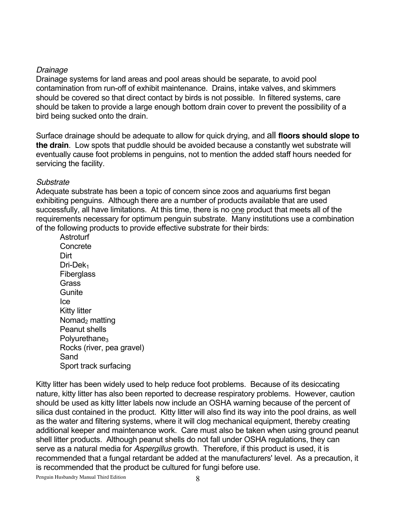#### *Drainage*

Drainage systems for land areas and pool areas should be separate, to avoid pool contamination from run-off of exhibit maintenance. Drains, intake valves, and skimmers should be covered so that direct contact by birds is not possible. In filtered systems, care should be taken to provide a large enough bottom drain cover to prevent the possibility of a bird being sucked onto the drain.

Surface drainage should be adequate to allow for quick drying, and all **floors should slope to the drain**. Low spots that puddle should be avoided because a constantly wet substrate will eventually cause foot problems in penguins, not to mention the added staff hours needed for servicing the facility.

#### *Substrate*

Adequate substrate has been a topic of concern since zoos and aquariums first began exhibiting penguins. Although there are a number of products available that are used successfully, all have limitations. At this time, there is no one product that meets all of the requirements necessary for optimum penguin substrate. Many institutions use a combination of the following products to provide effective substrate for their birds:

**Astroturf Concrete** Dirt Dri-Dek<sub>1</sub> **Fiberglass Grass Gunite** Ice Kitty litter Nomad<sub>2</sub> matting Peanut shells  $Polvurethane<sub>3</sub>$ Rocks (river, pea gravel) Sand Sport track surfacing

Kitty litter has been widely used to help reduce foot problems. Because of its desiccating nature, kitty litter has also been reported to decrease respiratory problems. However, caution should be used as kitty litter labels now include an OSHA warning because of the percent of silica dust contained in the product. Kitty litter will also find its way into the pool drains, as well as the water and filtering systems, where it will clog mechanical equipment, thereby creating additional keeper and maintenance work. Care must also be taken when using ground peanut shell litter products. Although peanut shells do not fall under OSHA regulations, they can serve as a natural media for *Aspergillus* growth. Therefore, if this product is used, it is recommended that a fungal retardant be added at the manufacturers' level. As a precaution, it is recommended that the product be cultured for fungi before use.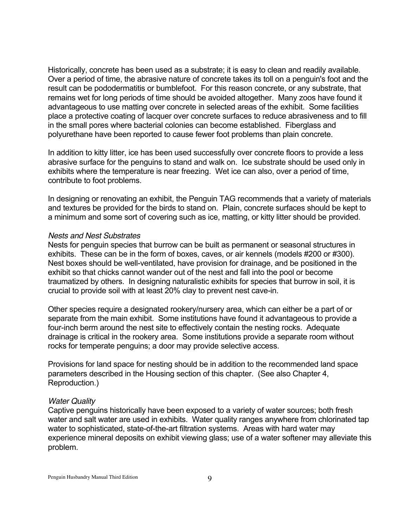Historically, concrete has been used as a substrate; it is easy to clean and readily available. Over a period of time, the abrasive nature of concrete takes its toll on a penguin's foot and the result can be pododermatitis or bumblefoot. For this reason concrete, or any substrate, that remains wet for long periods of time should be avoided altogether. Many zoos have found it advantageous to use matting over concrete in selected areas of the exhibit. Some facilities place a protective coating of lacquer over concrete surfaces to reduce abrasiveness and to fill in the small pores where bacterial colonies can become established. Fiberglass and polyurethane have been reported to cause fewer foot problems than plain concrete.

In addition to kitty litter, ice has been used successfully over concrete floors to provide a less abrasive surface for the penguins to stand and walk on. Ice substrate should be used only in exhibits where the temperature is near freezing. Wet ice can also, over a period of time, contribute to foot problems.

In designing or renovating an exhibit, the Penguin TAG recommends that a variety of materials and textures be provided for the birds to stand on. Plain, concrete surfaces should be kept to a minimum and some sort of covering such as ice, matting, or kitty litter should be provided.

#### *Nests and Nest Substrates*

Nests for penguin species that burrow can be built as permanent or seasonal structures in exhibits. These can be in the form of boxes, caves, or air kennels (models #200 or #300). Nest boxes should be well-ventilated, have provision for drainage, and be positioned in the exhibit so that chicks cannot wander out of the nest and fall into the pool or become traumatized by others. In designing naturalistic exhibits for species that burrow in soil, it is crucial to provide soil with at least 20% clay to prevent nest cave-in.

Other species require a designated rookery/nursery area, which can either be a part of or separate from the main exhibit. Some institutions have found it advantageous to provide a four-inch berm around the nest site to effectively contain the nesting rocks. Adequate drainage is critical in the rookery area. Some institutions provide a separate room without rocks for temperate penguins; a door may provide selective access.

Provisions for land space for nesting should be in addition to the recommended land space parameters described in the Housing section of this chapter. (See also Chapter 4, Reproduction.)

#### *Water Quality*

Captive penguins historically have been exposed to a variety of water sources; both fresh water and salt water are used in exhibits. Water quality ranges anywhere from chlorinated tap water to sophisticated, state-of-the-art filtration systems. Areas with hard water may experience mineral deposits on exhibit viewing glass; use of a water softener may alleviate this problem.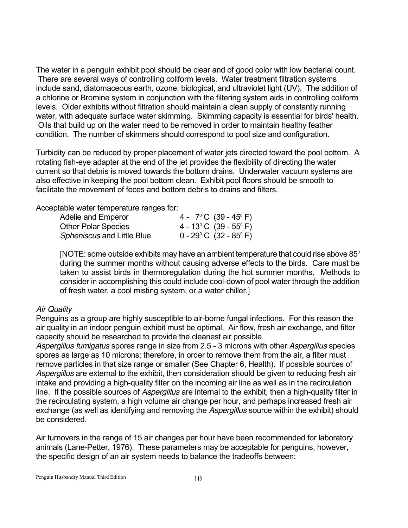The water in a penguin exhibit pool should be clear and of good color with low bacterial count. There are several ways of controlling coliform levels. Water treatment filtration systems include sand, diatomaceous earth, ozone, biological, and ultraviolet light (UV). The addition of a chlorine or Bromine system in conjunction with the filtering system aids in controlling coliform levels. Older exhibits without filtration should maintain a clean supply of constantly running water, with adequate surface water skimming. Skimming capacity is essential for birds' health. Oils that build up on the water need to be removed in order to maintain healthy feather condition. The number of skimmers should correspond to pool size and configuration.

Turbidity can be reduced by proper placement of water jets directed toward the pool bottom. A rotating fish-eye adapter at the end of the jet provides the flexibility of directing the water current so that debris is moved towards the bottom drains. Underwater vacuum systems are also effective in keeping the pool bottom clean. Exhibit pool floors should be smooth to facilitate the movement of feces and bottom debris to drains and filters.

Acceptable water temperature ranges for:

| Adelie and Emperor                | 4 - $7^{\circ}$ C (39 - 45 $^{\circ}$ F)   |
|-----------------------------------|--------------------------------------------|
| <b>Other Polar Species</b>        | 4 - 13 $^{\circ}$ C (39 - 55 $^{\circ}$ F) |
| <i>Spheniscus</i> and Little Blue | $0 - 29^{\circ}$ C $(32 - 85^{\circ}$ F)   |

[NOTE: some outside exhibits may have an ambient temperature that could rise above  $85^\circ$ during the summer months without causing adverse effects to the birds. Care must be taken to assist birds in thermoregulation during the hot summer months. Methods to consider in accomplishing this could include cool-down of pool water through the addition of fresh water, a cool misting system, or a water chiller.]

# *Air Quality*

Penguins as a group are highly susceptible to air-borne fungal infections. For this reason the air quality in an indoor penguin exhibit must be optimal. Air flow, fresh air exchange, and filter capacity should be researched to provide the cleanest air possible.

*Aspergillus fumigatus* spores range in size from 2.5 - 3 microns with other *Aspergillus* species spores as large as 10 microns; therefore, in order to remove them from the air, a filter must remove particles in that size range or smaller (See Chapter 6, Health). If possible sources of *Aspergillus* are external to the exhibit, then consideration should be given to reducing fresh air intake and providing a high-quality filter on the incoming air line as well as in the recirculation line. If the possible sources of *Aspergillus* are internal to the exhibit, then a high-quality filter in the recirculating system, a high volume air change per hour, and perhaps increased fresh air exchange (as well as identifying and removing the *Aspergillus* source within the exhibit) should be considered.

Air turnovers in the range of 15 air changes per hour have been recommended for laboratory animals (Lane-Petter, 1976). These parameters may be acceptable for penguins, however, the specific design of an air system needs to balance the tradeoffs between: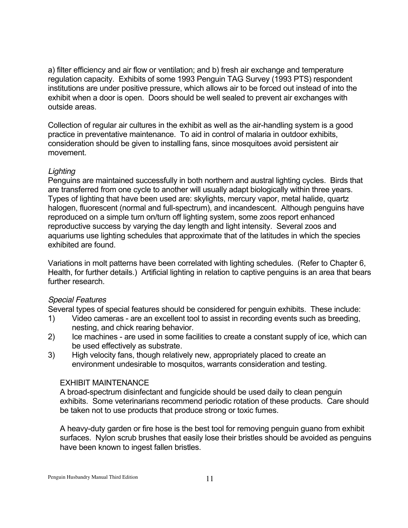a) filter efficiency and air flow or ventilation; and b) fresh air exchange and temperature regulation capacity. Exhibits of some 1993 Penguin TAG Survey (1993 PTS) respondent institutions are under positive pressure, which allows air to be forced out instead of into the exhibit when a door is open. Doors should be well sealed to prevent air exchanges with outside areas.

Collection of regular air cultures in the exhibit as well as the air-handling system is a good practice in preventative maintenance. To aid in control of malaria in outdoor exhibits, consideration should be given to installing fans, since mosquitoes avoid persistent air movement.

# *Lighting*

Penguins are maintained successfully in both northern and austral lighting cycles. Birds that are transferred from one cycle to another will usually adapt biologically within three years. Types of lighting that have been used are: skylights, mercury vapor, metal halide, quartz halogen, fluorescent (normal and full-spectrum), and incandescent. Although penguins have reproduced on a simple turn on/turn off lighting system, some zoos report enhanced reproductive success by varying the day length and light intensity. Several zoos and aquariums use lighting schedules that approximate that of the latitudes in which the species exhibited are found.

Variations in molt patterns have been correlated with lighting schedules. (Refer to Chapter 6, Health, for further details.) Artificial lighting in relation to captive penguins is an area that bears further research.

# *Special Features*

Several types of special features should be considered for penguin exhibits. These include:

- 1) Video cameras are an excellent tool to assist in recording events such as breeding, nesting, and chick rearing behavior.
- 2) Ice machines are used in some facilities to create a constant supply of ice, which can be used effectively as substrate.
- 3) High velocity fans, though relatively new, appropriately placed to create an environment undesirable to mosquitos, warrants consideration and testing.

#### EXHIBIT MAINTENANCE

A broad-spectrum disinfectant and fungicide should be used daily to clean penguin exhibits. Some veterinarians recommend periodic rotation of these products. Care should be taken not to use products that produce strong or toxic fumes.

A heavy-duty garden or fire hose is the best tool for removing penguin guano from exhibit surfaces. Nylon scrub brushes that easily lose their bristles should be avoided as penguins have been known to ingest fallen bristles.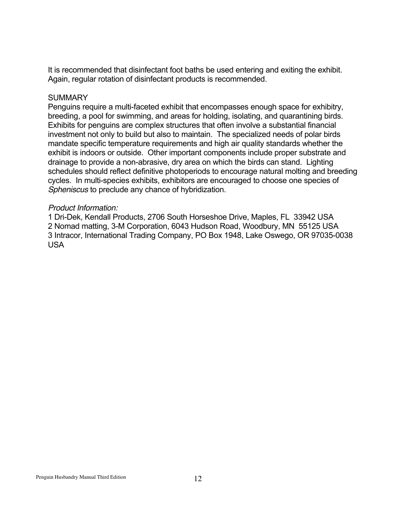It is recommended that disinfectant foot baths be used entering and exiting the exhibit. Again, regular rotation of disinfectant products is recommended.

#### **SUMMARY**

Penguins require a multi-faceted exhibit that encompasses enough space for exhibitry, breeding, a pool for swimming, and areas for holding, isolating, and quarantining birds. Exhibits for penguins are complex structures that often involve a substantial financial investment not only to build but also to maintain. The specialized needs of polar birds mandate specific temperature requirements and high air quality standards whether the exhibit is indoors or outside. Other important components include proper substrate and drainage to provide a non-abrasive, dry area on which the birds can stand. Lighting schedules should reflect definitive photoperiods to encourage natural molting and breeding cycles. In multi-species exhibits, exhibitors are encouraged to choose one species of *Spheniscus* to preclude any chance of hybridization.

#### *Product Information:*

1 Dri-Dek, Kendall Products, 2706 South Horseshoe Drive, Maples, FL 33942 USA 2 Nomad matting, 3-M Corporation, 6043 Hudson Road, Woodbury, MN 55125 USA 3 Intracor, International Trading Company, PO Box 1948, Lake Oswego, OR 97035-0038 USA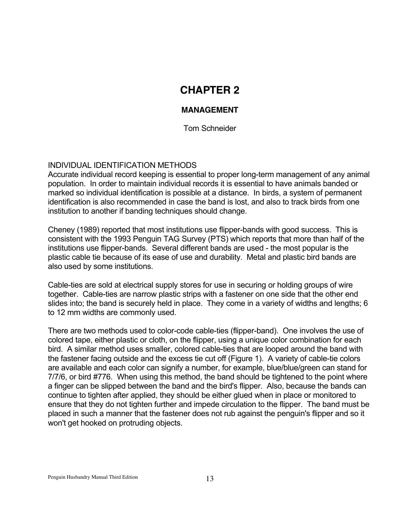# **CHAPTER 2**

# **MANAGEMENT**

Tom Schneider

# INDIVIDUAL IDENTIFICATION METHODS

Accurate individual record keeping is essential to proper long-term management of any animal population. In order to maintain individual records it is essential to have animals banded or marked so individual identification is possible at a distance. In birds, a system of permanent identification is also recommended in case the band is lost, and also to track birds from one institution to another if banding techniques should change.

Cheney (1989) reported that most institutions use flipper-bands with good success. This is consistent with the 1993 Penguin TAG Survey (PTS) which reports that more than half of the institutions use flipper-bands. Several different bands are used - the most popular is the plastic cable tie because of its ease of use and durability. Metal and plastic bird bands are also used by some institutions.

Cable-ties are sold at electrical supply stores for use in securing or holding groups of wire together. Cable-ties are narrow plastic strips with a fastener on one side that the other end slides into; the band is securely held in place. They come in a variety of widths and lengths; 6 to 12 mm widths are commonly used.

There are two methods used to color-code cable-ties (flipper-band). One involves the use of colored tape, either plastic or cloth, on the flipper, using a unique color combination for each bird. A similar method uses smaller, colored cable-ties that are looped around the band with the fastener facing outside and the excess tie cut off (Figure 1). A variety of cable-tie colors are available and each color can signify a number, for example, blue/blue/green can stand for 7/7/6, or bird #776. When using this method, the band should be tightened to the point where a finger can be slipped between the band and the bird's flipper. Also, because the bands can continue to tighten after applied, they should be either glued when in place or monitored to ensure that they do not tighten further and impede circulation to the flipper. The band must be placed in such a manner that the fastener does not rub against the penguin's flipper and so it won't get hooked on protruding objects.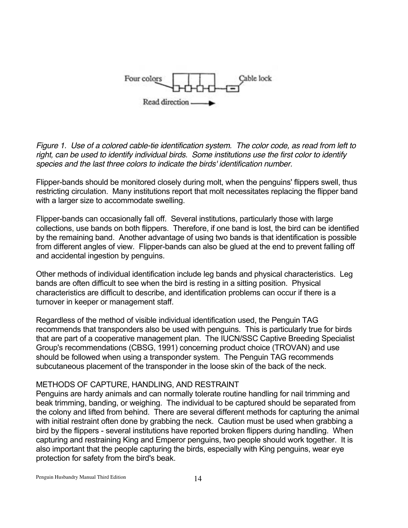

*Figure 1. Use of a colored cable-tie identification system. The color code, as read from left to right, can be used to identify individual birds. Some institutions use the first color to identify species and the last three colors to indicate the birds' identification number.* 

Flipper-bands should be monitored closely during molt, when the penguins' flippers swell, thus restricting circulation. Many institutions report that molt necessitates replacing the flipper band with a larger size to accommodate swelling.

Flipper-bands can occasionally fall off. Several institutions, particularly those with large collections, use bands on both flippers. Therefore, if one band is lost, the bird can be identified by the remaining band. Another advantage of using two bands is that identification is possible from different angles of view. Flipper-bands can also be glued at the end to prevent falling off and accidental ingestion by penguins.

Other methods of individual identification include leg bands and physical characteristics. Leg bands are often difficult to see when the bird is resting in a sitting position. Physical characteristics are difficult to describe, and identification problems can occur if there is a turnover in keeper or management staff.

Regardless of the method of visible individual identification used, the Penguin TAG recommends that transponders also be used with penguins. This is particularly true for birds that are part of a cooperative management plan. The IUCN/SSC Captive Breeding Specialist Group's recommendations (CBSG, 1991) concerning product choice (TROVAN) and use should be followed when using a transponder system. The Penguin TAG recommends subcutaneous placement of the transponder in the loose skin of the back of the neck.

# METHODS OF CAPTURE, HANDLING, AND RESTRAINT

Penguins are hardy animals and can normally tolerate routine handling for nail trimming and beak trimming, banding, or weighing. The individual to be captured should be separated from the colony and lifted from behind. There are several different methods for capturing the animal with initial restraint often done by grabbing the neck. Caution must be used when grabbing a bird by the flippers - several institutions have reported broken flippers during handling. When capturing and restraining King and Emperor penguins, two people should work together. It is also important that the people capturing the birds, especially with King penguins, wear eye protection for safety from the bird's beak.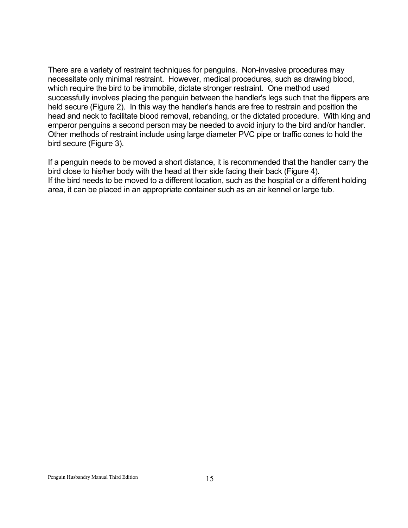There are a variety of restraint techniques for penguins. Non-invasive procedures may necessitate only minimal restraint. However, medical procedures, such as drawing blood, which require the bird to be immobile, dictate stronger restraint. One method used successfully involves placing the penguin between the handler's legs such that the flippers are held secure (Figure 2). In this way the handler's hands are free to restrain and position the head and neck to facilitate blood removal, rebanding, or the dictated procedure. With king and emperor penguins a second person may be needed to avoid injury to the bird and/or handler. Other methods of restraint include using large diameter PVC pipe or traffic cones to hold the bird secure (Figure 3).

If a penguin needs to be moved a short distance, it is recommended that the handler carry the bird close to his/her body with the head at their side facing their back (Figure 4). If the bird needs to be moved to a different location, such as the hospital or a different holding area, it can be placed in an appropriate container such as an air kennel or large tub.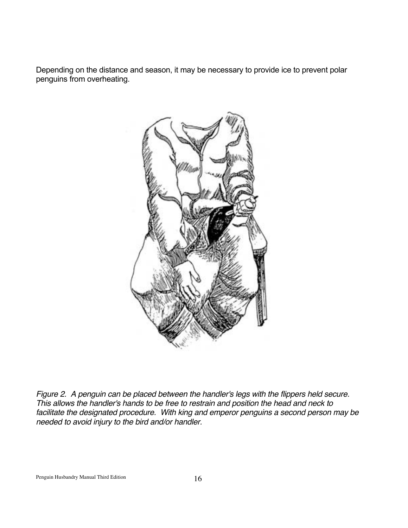Depending on the distance and season, it may be necessary to provide ice to prevent polar penguins from overheating.



*Figure 2. A penguin can be placed between the handler's legs with the flippers held secure. This allows the handler's hands to be free to restrain and position the head and neck to facilitate the designated procedure. With king and emperor penguins a second person may be needed to avoid injury to the bird and/or handler.*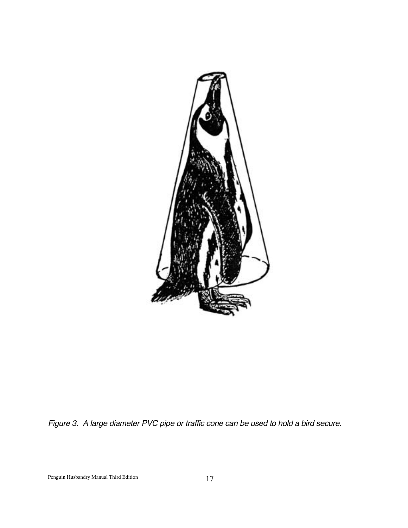

*Figure 3. A large diameter PVC pipe or traffic cone can be used to hold a bird secure.*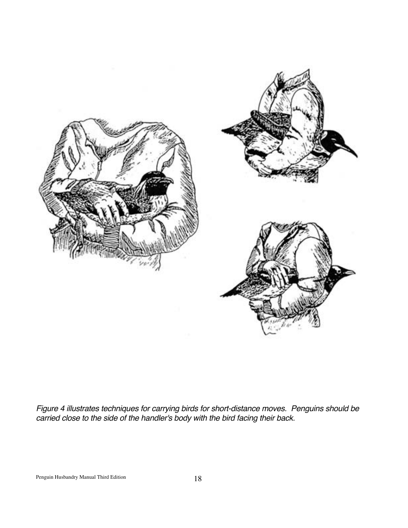

*Figure 4 illustrates techniques for carrying birds for short-distance moves. Penguins should be carried close to the side of the handler's body with the bird facing their back.*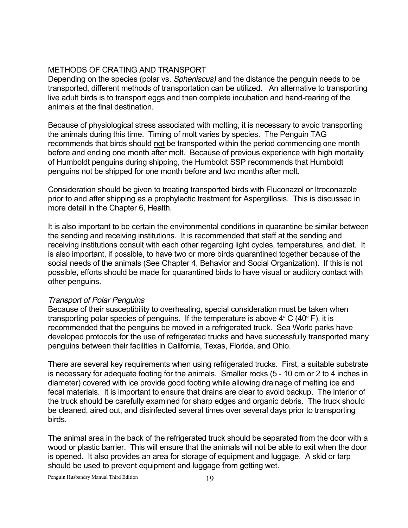#### METHODS OF CRATING AND TRANSPORT

Depending on the species (polar vs. *Spheniscus)* and the distance the penguin needs to be transported, different methods of transportation can be utilized. An alternative to transporting live adult birds is to transport eggs and then complete incubation and hand-rearing of the animals at the final destination.

Because of physiological stress associated with molting, it is necessary to avoid transporting the animals during this time. Timing of molt varies by species. The Penguin TAG recommends that birds should not be transported within the period commencing one month before and ending one month after molt. Because of previous experience with high mortality of Humboldt penguins during shipping, the Humboldt SSP recommends that Humboldt penguins not be shipped for one month before and two months after molt.

Consideration should be given to treating transported birds with Fluconazol or Itroconazole prior to and after shipping as a prophylactic treatment for Aspergillosis. This is discussed in more detail in the Chapter 6, Health.

It is also important to be certain the environmental conditions in quarantine be similar between the sending and receiving institutions. It is recommended that staff at the sending and receiving institutions consult with each other regarding light cycles, temperatures, and diet. It is also important, if possible, to have two or more birds quarantined together because of the social needs of the animals (See Chapter 4, Behavior and Social Organization). If this is not possible, efforts should be made for quarantined birds to have visual or auditory contact with other penguins.

#### *Transport of Polar Penguins*

Because of their susceptibility to overheating, special consideration must be taken when transporting polar species of penguins. If the temperature is above  $4^{\circ}$  C (40 $^{\circ}$  F), it is recommended that the penguins be moved in a refrigerated truck. Sea World parks have developed protocols for the use of refrigerated trucks and have successfully transported many penguins between their facilities in California, Texas, Florida, and Ohio.

There are several key requirements when using refrigerated trucks. First, a suitable substrate is necessary for adequate footing for the animals. Smaller rocks (5 - 10 cm or 2 to 4 inches in diameter) covered with ice provide good footing while allowing drainage of melting ice and fecal materials. It is important to ensure that drains are clear to avoid backup. The interior of the truck should be carefully examined for sharp edges and organic debris. The truck should be cleaned, aired out, and disinfected several times over several days prior to transporting birds.

The animal area in the back of the refrigerated truck should be separated from the door with a wood or plastic barrier. This will ensure that the animals will not be able to exit when the door is opened. It also provides an area for storage of equipment and luggage. A skid or tarp should be used to prevent equipment and luggage from getting wet.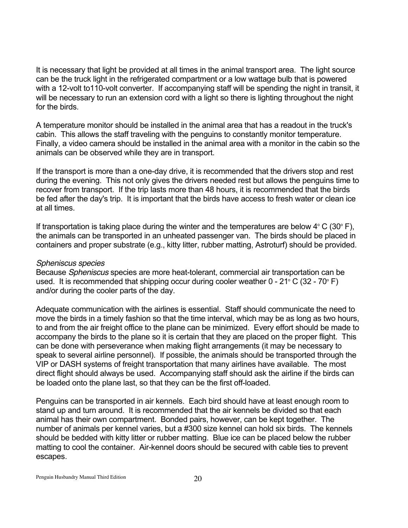It is necessary that light be provided at all times in the animal transport area. The light source can be the truck light in the refrigerated compartment or a low wattage bulb that is powered with a 12-volt to110-volt converter. If accompanying staff will be spending the night in transit, it will be necessary to run an extension cord with a light so there is lighting throughout the night for the birds.

A temperature monitor should be installed in the animal area that has a readout in the truck's cabin. This allows the staff traveling with the penguins to constantly monitor temperature. Finally, a video camera should be installed in the animal area with a monitor in the cabin so the animals can be observed while they are in transport.

If the transport is more than a one-day drive, it is recommended that the drivers stop and rest during the evening. This not only gives the drivers needed rest but allows the penguins time to recover from transport. If the trip lasts more than 48 hours, it is recommended that the birds be fed after the day's trip. It is important that the birds have access to fresh water or clean ice at all times.

If transportation is taking place during the winter and the temperatures are below  $4^{\circ}$  C (30 $^{\circ}$  F), the animals can be transported in an unheated passenger van. The birds should be placed in containers and proper substrate (e.g., kitty litter, rubber matting, Astroturf) should be provided.

#### *Spheniscus species*

Because *Spheniscus* species are more heat-tolerant, commercial air transportation can be used. It is recommended that shipping occur during cooler weather  $0$  - 21 $\degree$  C (32 - 70 $\degree$  F) and/or during the cooler parts of the day.

Adequate communication with the airlines is essential. Staff should communicate the need to move the birds in a timely fashion so that the time interval, which may be as long as two hours, to and from the air freight office to the plane can be minimized. Every effort should be made to accompany the birds to the plane so it is certain that they are placed on the proper flight. This can be done with perseverance when making flight arrangements (it may be necessary to speak to several airline personnel). If possible, the animals should be transported through the VIP or DASH systems of freight transportation that many airlines have available. The most direct flight should always be used. Accompanying staff should ask the airline if the birds can be loaded onto the plane last, so that they can be the first off-loaded.

Penguins can be transported in air kennels. Each bird should have at least enough room to stand up and turn around. It is recommended that the air kennels be divided so that each animal has their own compartment. Bonded pairs, however, can be kept together. The number of animals per kennel varies, but a #300 size kennel can hold six birds. The kennels should be bedded with kitty litter or rubber matting. Blue ice can be placed below the rubber matting to cool the container. Air-kennel doors should be secured with cable ties to prevent escapes.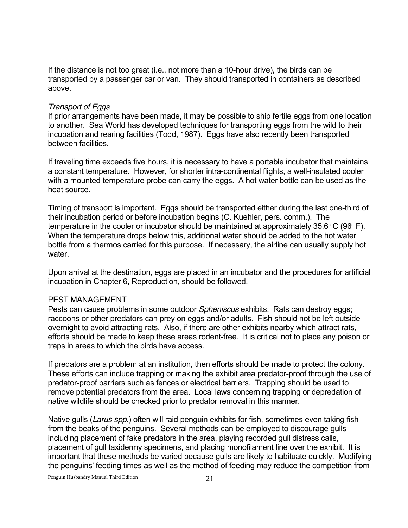If the distance is not too great (i.e., not more than a 10-hour drive), the birds can be transported by a passenger car or van. They should transported in containers as described above.

#### *Transport of Eggs*

If prior arrangements have been made, it may be possible to ship fertile eggs from one location to another. Sea World has developed techniques for transporting eggs from the wild to their incubation and rearing facilities (Todd, 1987). Eggs have also recently been transported between facilities.

If traveling time exceeds five hours, it is necessary to have a portable incubator that maintains a constant temperature. However, for shorter intra-continental flights, a well-insulated cooler with a mounted temperature probe can carry the eggs. A hot water bottle can be used as the heat source.

Timing of transport is important. Eggs should be transported either during the last one-third of their incubation period or before incubation begins (C. Kuehler, pers. comm.). The temperature in the cooler or incubator should be maintained at approximately 35.6 $^{\circ}$  C (96 $^{\circ}$  F). When the temperature drops below this, additional water should be added to the hot water bottle from a thermos carried for this purpose. If necessary, the airline can usually supply hot water.

Upon arrival at the destination, eggs are placed in an incubator and the procedures for artificial incubation in Chapter 6, Reproduction, should be followed.

#### PEST MANAGEMENT

Pests can cause problems in some outdoor *Spheniscus* exhibits. Rats can destroy eggs; raccoons or other predators can prey on eggs and/or adults. Fish should not be left outside overnight to avoid attracting rats. Also, if there are other exhibits nearby which attract rats, efforts should be made to keep these areas rodent-free. It is critical not to place any poison or traps in areas to which the birds have access.

If predators are a problem at an institution, then efforts should be made to protect the colony. These efforts can include trapping or making the exhibit area predator-proof through the use of predator-proof barriers such as fences or electrical barriers. Trapping should be used to remove potential predators from the area. Local laws concerning trapping or depredation of native wildlife should be checked prior to predator removal in this manner.

Native gulls (*Larus spp*.) often will raid penguin exhibits for fish, sometimes even taking fish from the beaks of the penguins. Several methods can be employed to discourage gulls including placement of fake predators in the area, playing recorded gull distress calls, placement of gull taxidermy specimens, and placing monofilament line over the exhibit. It is important that these methods be varied because gulls are likely to habituate quickly. Modifying the penguins' feeding times as well as the method of feeding may reduce the competition from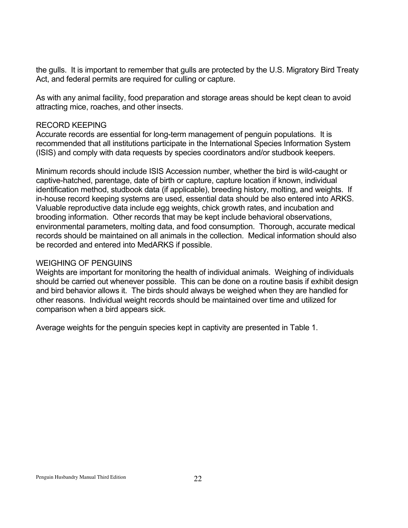the gulls. It is important to remember that gulls are protected by the U.S. Migratory Bird Treaty Act, and federal permits are required for culling or capture.

As with any animal facility, food preparation and storage areas should be kept clean to avoid attracting mice, roaches, and other insects.

#### RECORD KEEPING

Accurate records are essential for long-term management of penguin populations. It is recommended that all institutions participate in the International Species Information System (ISIS) and comply with data requests by species coordinators and/or studbook keepers.

Minimum records should include ISIS Accession number, whether the bird is wild-caught or captive-hatched, parentage, date of birth or capture, capture location if known, individual identification method, studbook data (if applicable), breeding history, molting, and weights. If in-house record keeping systems are used, essential data should be also entered into ARKS. Valuable reproductive data include egg weights, chick growth rates, and incubation and brooding information. Other records that may be kept include behavioral observations, environmental parameters, molting data, and food consumption. Thorough, accurate medical records should be maintained on all animals in the collection. Medical information should also be recorded and entered into MedARKS if possible.

#### WEIGHING OF PENGUINS

Weights are important for monitoring the health of individual animals. Weighing of individuals should be carried out whenever possible. This can be done on a routine basis if exhibit design and bird behavior allows it. The birds should always be weighed when they are handled for other reasons. Individual weight records should be maintained over time and utilized for comparison when a bird appears sick.

Average weights for the penguin species kept in captivity are presented in Table 1.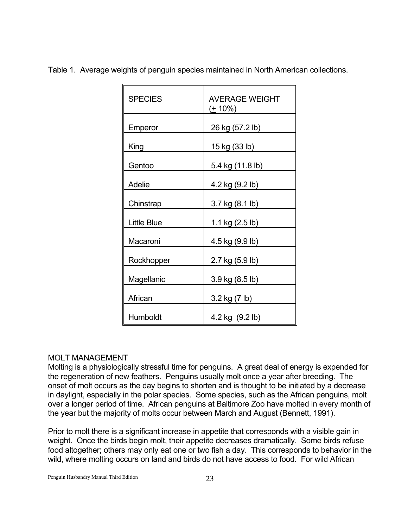| <b>SPECIES</b>     | <b>AVERAGE WEIGHT</b><br>( <u>+</u> 10%) |  |  |  |  |
|--------------------|------------------------------------------|--|--|--|--|
| Emperor            | 26 kg (57.2 lb)                          |  |  |  |  |
| King               | 15 kg (33 lb)                            |  |  |  |  |
| Gentoo             | 5.4 kg (11.8 lb)                         |  |  |  |  |
| Adelie             | 4.2 kg (9.2 lb)                          |  |  |  |  |
| Chinstrap          | 3.7 kg (8.1 lb)                          |  |  |  |  |
| <b>Little Blue</b> | 1.1 kg (2.5 lb)                          |  |  |  |  |
| Macaroni           | 4.5 kg (9.9 lb)                          |  |  |  |  |
| Rockhopper         | 2.7 kg (5.9 lb)                          |  |  |  |  |
| Magellanic         | 3.9 kg (8.5 lb)                          |  |  |  |  |
| African            | 3.2 kg (7 lb)                            |  |  |  |  |
| Humboldt           | 4.2 kg (9.2 lb)                          |  |  |  |  |

Table 1. Average weights of penguin species maintained in North American collections.

# MOLT MANAGEMENT

Molting is a physiologically stressful time for penguins. A great deal of energy is expended for the regeneration of new feathers. Penguins usually molt once a year after breeding. The onset of molt occurs as the day begins to shorten and is thought to be initiated by a decrease in daylight, especially in the polar species. Some species, such as the African penguins, molt over a longer period of time. African penguins at Baltimore Zoo have molted in every month of the year but the majority of molts occur between March and August (Bennett, 1991).

Prior to molt there is a significant increase in appetite that corresponds with a visible gain in weight. Once the birds begin molt, their appetite decreases dramatically. Some birds refuse food altogether; others may only eat one or two fish a day. This corresponds to behavior in the wild, where molting occurs on land and birds do not have access to food. For wild African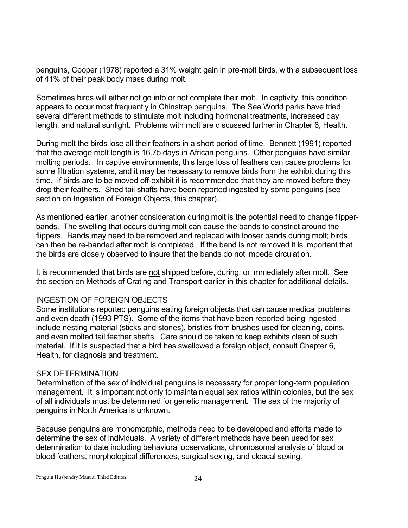penguins, Cooper (1978) reported a 31% weight gain in pre-molt birds, with a subsequent loss of 41% of their peak body mass during molt.

Sometimes birds will either not go into or not complete their molt. In captivity, this condition appears to occur most frequently in Chinstrap penguins. The Sea World parks have tried several different methods to stimulate molt including hormonal treatments, increased day length, and natural sunlight. Problems with molt are discussed further in Chapter 6, Health.

During molt the birds lose all their feathers in a short period of time. Bennett (1991) reported that the average molt length is 16.75 days in African penguins. Other penguins have similar molting periods. In captive environments, this large loss of feathers can cause problems for some filtration systems, and it may be necessary to remove birds from the exhibit during this time. If birds are to be moved off-exhibit it is recommended that they are moved before they drop their feathers. Shed tail shafts have been reported ingested by some penguins (see section on Ingestion of Foreign Objects, this chapter).

As mentioned earlier, another consideration during molt is the potential need to change flipperbands. The swelling that occurs during molt can cause the bands to constrict around the flippers. Bands may need to be removed and replaced with looser bands during molt; birds can then be re-banded after molt is completed. If the band is not removed it is important that the birds are closely observed to insure that the bands do not impede circulation.

It is recommended that birds are not shipped before, during, or immediately after molt. See the section on Methods of Crating and Transport earlier in this chapter for additional details.

# INGESTION OF FOREIGN OBJECTS

Some institutions reported penguins eating foreign objects that can cause medical problems and even death (1993 PTS). Some of the items that have been reported being ingested include nesting material (sticks and stones), bristles from brushes used for cleaning, coins, and even molted tail feather shafts. Care should be taken to keep exhibits clean of such material. If it is suspected that a bird has swallowed a foreign object, consult Chapter 6, Health, for diagnosis and treatment.

# SEX DETERMINATION

Determination of the sex of individual penguins is necessary for proper long-term population management. It is important not only to maintain equal sex ratios within colonies, but the sex of all individuals must be determined for genetic management. The sex of the majority of penguins in North America is unknown.

Because penguins are monomorphic, methods need to be developed and efforts made to determine the sex of individuals. A variety of different methods have been used for sex determination to date including behavioral observations, chromosomal analysis of blood or blood feathers, morphological differences, surgical sexing, and cloacal sexing.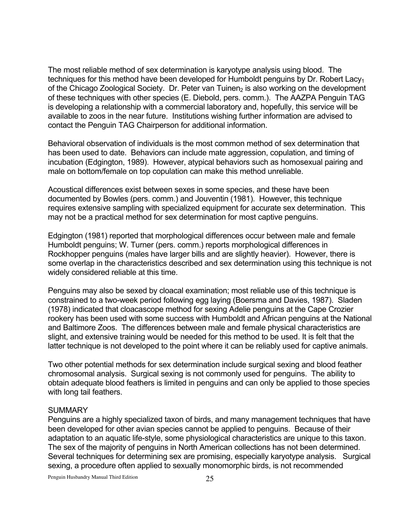The most reliable method of sex determination is karyotype analysis using blood. The techniques for this method have been developed for Humboldt penguins by Dr. Robert Lacy<sub>1</sub> of the Chicago Zoological Society. Dr. Peter van Tuinen, is also working on the development of these techniques with other species (E. Diebold, pers. comm.). The AAZPA Penguin TAG is developing a relationship with a commercial laboratory and, hopefully, this service will be available to zoos in the near future. Institutions wishing further information are advised to contact the Penguin TAG Chairperson for additional information.

Behavioral observation of individuals is the most common method of sex determination that has been used to date. Behaviors can include mate aggression, copulation, and timing of incubation (Edgington, 1989). However, atypical behaviors such as homosexual pairing and male on bottom/female on top copulation can make this method unreliable.

Acoustical differences exist between sexes in some species, and these have been documented by Bowles (pers. comm.) and Jouventin (1981). However, this technique requires extensive sampling with specialized equipment for accurate sex determination. This may not be a practical method for sex determination for most captive penguins.

Edgington (1981) reported that morphological differences occur between male and female Humboldt penguins; W. Turner (pers. comm.) reports morphological differences in Rockhopper penguins (males have larger bills and are slightly heavier). However, there is some overlap in the characteristics described and sex determination using this technique is not widely considered reliable at this time.

Penguins may also be sexed by cloacal examination; most reliable use of this technique is constrained to a two-week period following egg laying (Boersma and Davies, 1987). Sladen (1978) indicated that cloacascope method for sexing Adelie penguins at the Cape Crozier rookery has been used with some success with Humboldt and African penguins at the National and Baltimore Zoos. The differences between male and female physical characteristics are slight, and extensive training would be needed for this method to be used. It is felt that the latter technique is not developed to the point where it can be reliably used for captive animals.

Two other potential methods for sex determination include surgical sexing and blood feather chromosomal analysis. Surgical sexing is not commonly used for penguins. The ability to obtain adequate blood feathers is limited in penguins and can only be applied to those species with long tail feathers.

#### SUMMARY

Penguins are a highly specialized taxon of birds, and many management techniques that have been developed for other avian species cannot be applied to penguins. Because of their adaptation to an aquatic life-style, some physiological characteristics are unique to this taxon. The sex of the majority of penguins in North American collections has not been determined. Several techniques for determining sex are promising, especially karyotype analysis. Surgical sexing, a procedure often applied to sexually monomorphic birds, is not recommended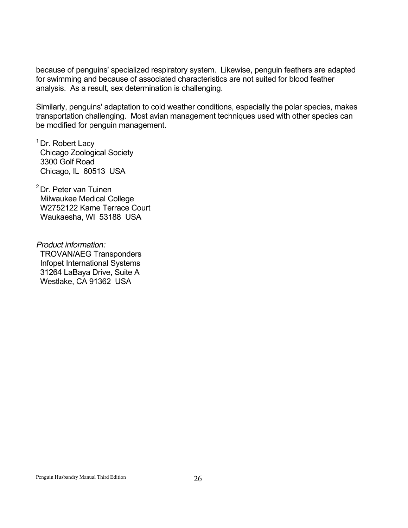because of penguins' specialized respiratory system. Likewise, penguin feathers are adapted for swimming and because of associated characteristics are not suited for blood feather analysis. As a result, sex determination is challenging.

Similarly, penguins' adaptation to cold weather conditions, especially the polar species, makes transportation challenging. Most avian management techniques used with other species can be modified for penguin management.

<sup>1</sup> Dr. Robert Lacy Chicago Zoological Society 3300 Golf Road Chicago, IL 60513 USA

2 Dr. Peter van Tuinen Milwaukee Medical College W2752122 Kame Terrace Court Waukaesha, WI 53188 USA

*Product information:* TROVAN/AEG Transponders Infopet International Systems 31264 LaBaya Drive, Suite A Westlake, CA 91362 USA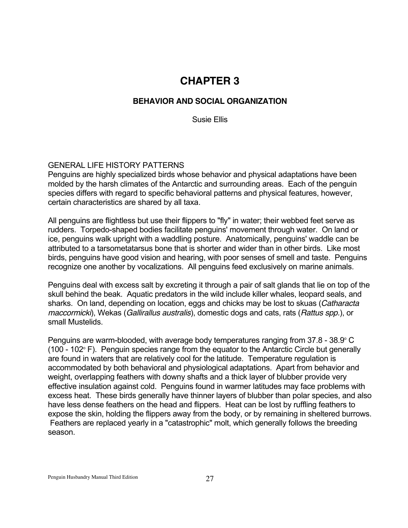# **CHAPTER 3**

# **BEHAVIOR AND SOCIAL ORGANIZATION**

Susie Ellis

# GENERAL LIFE HISTORY PATTERNS

Penguins are highly specialized birds whose behavior and physical adaptations have been molded by the harsh climates of the Antarctic and surrounding areas. Each of the penguin species differs with regard to specific behavioral patterns and physical features, however, certain characteristics are shared by all taxa.

All penguins are flightless but use their flippers to "fly" in water; their webbed feet serve as rudders. Torpedo-shaped bodies facilitate penguins' movement through water. On land or ice, penguins walk upright with a waddling posture. Anatomically, penguins' waddle can be attributed to a tarsometatarsus bone that is shorter and wider than in other birds. Like most birds, penguins have good vision and hearing, with poor senses of smell and taste. Penguins recognize one another by vocalizations. All penguins feed exclusively on marine animals.

Penguins deal with excess salt by excreting it through a pair of salt glands that lie on top of the skull behind the beak. Aquatic predators in the wild include killer whales, leopard seals, and sharks. On land, depending on location, eggs and chicks may be lost to skuas (*Catharacta maccormicki*), Wekas (*Gallirallus australis*), domestic dogs and cats, rats (*Rattus spp.*), or small Mustelids.

Penguins are warm-blooded, with average body temperatures ranging from  $37.8$  -  $38.9^{\circ}$  C  $(100 - 102<sup>°</sup> F)$ . Penguin species range from the equator to the Antarctic Circle but generally are found in waters that are relatively cool for the latitude. Temperature regulation is accommodated by both behavioral and physiological adaptations. Apart from behavior and weight, overlapping feathers with downy shafts and a thick layer of blubber provide very effective insulation against cold. Penguins found in warmer latitudes may face problems with excess heat. These birds generally have thinner layers of blubber than polar species, and also have less dense feathers on the head and flippers. Heat can be lost by ruffling feathers to expose the skin, holding the flippers away from the body, or by remaining in sheltered burrows. Feathers are replaced yearly in a "catastrophic" molt, which generally follows the breeding season.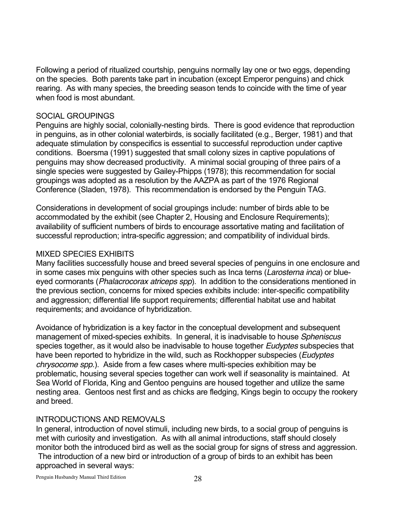Following a period of ritualized courtship, penguins normally lay one or two eggs, depending on the species. Both parents take part in incubation (except Emperor penguins) and chick rearing. As with many species, the breeding season tends to coincide with the time of year when food is most abundant.

### SOCIAL GROUPINGS

Penguins are highly social, colonially-nesting birds. There is good evidence that reproduction in penguins, as in other colonial waterbirds, is socially facilitated (e.g., Berger, 1981) and that adequate stimulation by conspecifics is essential to successful reproduction under captive conditions. Boersma (1991) suggested that small colony sizes in captive populations of penguins may show decreased productivity. A minimal social grouping of three pairs of a single species were suggested by Gailey-Phipps (1978); this recommendation for social groupings was adopted as a resolution by the AAZPA as part of the 1976 Regional Conference (Sladen, 1978). This recommendation is endorsed by the Penguin TAG.

Considerations in development of social groupings include: number of birds able to be accommodated by the exhibit (see Chapter 2, Housing and Enclosure Requirements); availability of sufficient numbers of birds to encourage assortative mating and facilitation of successful reproduction; intra-specific aggression; and compatibility of individual birds.

#### MIXED SPECIES EXHIBITS

Many facilities successfully house and breed several species of penguins in one enclosure and in some cases mix penguins with other species such as Inca terns (*Larosterna inca*) or blueeyed cormorants (*Phalacrocorax atriceps spp*). In addition to the considerations mentioned in the previous section, concerns for mixed species exhibits include: inter-specific compatibility and aggression; differential life support requirements; differential habitat use and habitat requirements; and avoidance of hybridization.

Avoidance of hybridization is a key factor in the conceptual development and subsequent management of mixed-species exhibits. In general, it is inadvisable to house *Spheniscus* species together, as it would also be inadvisable to house together *Eudyptes* subspecies that have been reported to hybridize in the wild, such as Rockhopper subspecies (*Eudyptes chrysocome spp.*). Aside from a few cases where multi-species exhibition may be problematic, housing several species together can work well if seasonality is maintained. At Sea World of Florida, King and Gentoo penguins are housed together and utilize the same nesting area. Gentoos nest first and as chicks are fledging, Kings begin to occupy the rookery and breed.

# INTRODUCTIONS AND REMOVALS

In general, introduction of novel stimuli, including new birds, to a social group of penguins is met with curiosity and investigation. As with all animal introductions, staff should closely monitor both the introduced bird as well as the social group for signs of stress and aggression. The introduction of a new bird or introduction of a group of birds to an exhibit has been approached in several ways: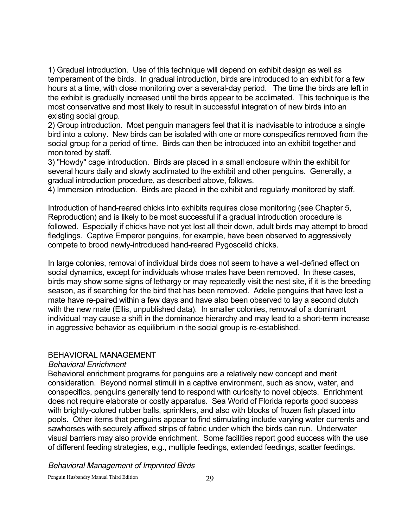1) Gradual introduction. Use of this technique will depend on exhibit design as well as temperament of the birds. In gradual introduction, birds are introduced to an exhibit for a few hours at a time, with close monitoring over a several-day period. The time the birds are left in the exhibit is gradually increased until the birds appear to be acclimated. This technique is the most conservative and most likely to result in successful integration of new birds into an existing social group.

2) Group introduction. Most penguin managers feel that it is inadvisable to introduce a single bird into a colony. New birds can be isolated with one or more conspecifics removed from the social group for a period of time. Birds can then be introduced into an exhibit together and monitored by staff.

3) "Howdy" cage introduction. Birds are placed in a small enclosure within the exhibit for several hours daily and slowly acclimated to the exhibit and other penguins. Generally, a gradual introduction procedure, as described above, follows.

4) Immersion introduction. Birds are placed in the exhibit and regularly monitored by staff.

Introduction of hand-reared chicks into exhibits requires close monitoring (see Chapter 5, Reproduction) and is likely to be most successful if a gradual introduction procedure is followed. Especially if chicks have not yet lost all their down, adult birds may attempt to brood fledglings. Captive Emperor penguins, for example, have been observed to aggressively compete to brood newly-introduced hand-reared Pygoscelid chicks.

In large colonies, removal of individual birds does not seem to have a well-defined effect on social dynamics, except for individuals whose mates have been removed. In these cases, birds may show some signs of lethargy or may repeatedly visit the nest site, if it is the breeding season, as if searching for the bird that has been removed. Adelie penguins that have lost a mate have re-paired within a few days and have also been observed to lay a second clutch with the new mate (Ellis, unpublished data). In smaller colonies, removal of a dominant individual may cause a shift in the dominance hierarchy and may lead to a short-term increase in aggressive behavior as equilibrium in the social group is re-established.

#### BEHAVIORAL MANAGEMENT

#### *Behavioral Enrichment*

Behavioral enrichment programs for penguins are a relatively new concept and merit consideration. Beyond normal stimuli in a captive environment, such as snow, water, and conspecifics, penguins generally tend to respond with curiosity to novel objects. Enrichment does not require elaborate or costly apparatus. Sea World of Florida reports good success with brightly-colored rubber balls, sprinklers, and also with blocks of frozen fish placed into pools. Other items that penguins appear to find stimulating include varying water currents and sawhorses with securely affixed strips of fabric under which the birds can run. Underwater visual barriers may also provide enrichment. Some facilities report good success with the use of different feeding strategies, e.g., multiple feedings, extended feedings, scatter feedings.

*Behavioral Management of Imprinted Birds*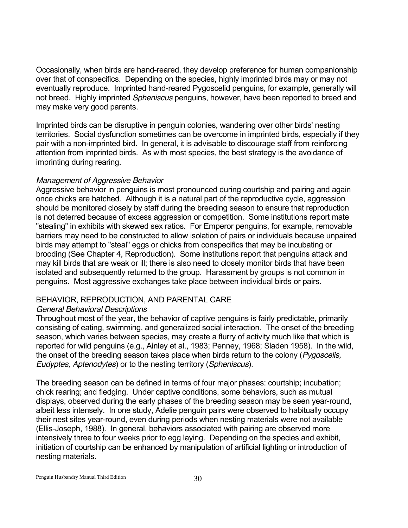Occasionally, when birds are hand-reared, they develop preference for human companionship over that of conspecifics. Depending on the species, highly imprinted birds may or may not eventually reproduce. Imprinted hand-reared Pygoscelid penguins, for example, generally will not breed. Highly imprinted *Spheniscus* penguins, however, have been reported to breed and may make very good parents.

Imprinted birds can be disruptive in penguin colonies, wandering over other birds' nesting territories. Social dysfunction sometimes can be overcome in imprinted birds, especially if they pair with a non-imprinted bird. In general, it is advisable to discourage staff from reinforcing attention from imprinted birds. As with most species, the best strategy is the avoidance of imprinting during rearing.

# *Management of Aggressive Behavior*

Aggressive behavior in penguins is most pronounced during courtship and pairing and again once chicks are hatched. Although it is a natural part of the reproductive cycle, aggression should be monitored closely by staff during the breeding season to ensure that reproduction is not deterred because of excess aggression or competition. Some institutions report mate "stealing" in exhibits with skewed sex ratios. For Emperor penguins, for example, removable barriers may need to be constructed to allow isolation of pairs or individuals because unpaired birds may attempt to "steal" eggs or chicks from conspecifics that may be incubating or brooding (See Chapter 4, Reproduction). Some institutions report that penguins attack and may kill birds that are weak or ill; there is also need to closely monitor birds that have been isolated and subsequently returned to the group. Harassment by groups is not common in penguins. Most aggressive exchanges take place between individual birds or pairs.

# BEHAVIOR, REPRODUCTION, AND PARENTAL CARE

# *General Behavioral Descriptions*

Throughout most of the year, the behavior of captive penguins is fairly predictable, primarily consisting of eating, swimming, and generalized social interaction. The onset of the breeding season, which varies between species, may create a flurry of activity much like that which is reported for wild penguins (e.g., Ainley et al., 1983; Penney, 1968; Sladen 1958). In the wild, the onset of the breeding season takes place when birds return to the colony (*Pygoscelis, Eudyptes, Aptenodytes*) or to the nesting territory (*Spheniscus*).

The breeding season can be defined in terms of four major phases: courtship; incubation; chick rearing; and fledging. Under captive conditions, some behaviors, such as mutual displays, observed during the early phases of the breeding season may be seen year-round, albeit less intensely. In one study, Adelie penguin pairs were observed to habitually occupy their nest sites year-round, even during periods when nesting materials were not available (Ellis-Joseph, 1988). In general, behaviors associated with pairing are observed more intensively three to four weeks prior to egg laying. Depending on the species and exhibit, initiation of courtship can be enhanced by manipulation of artificial lighting or introduction of nesting materials.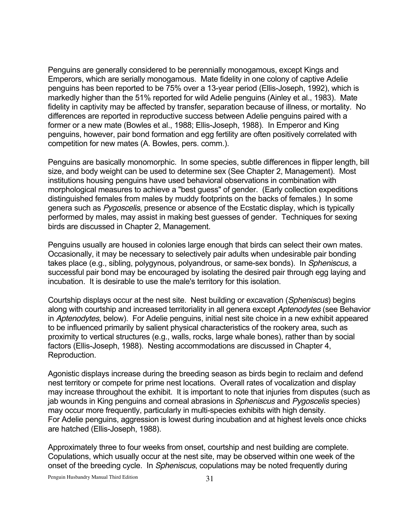Penguins are generally considered to be perennially monogamous, except Kings and Emperors, which are serially monogamous. Mate fidelity in one colony of captive Adelie penguins has been reported to be 75% over a 13-year period (Ellis-Joseph, 1992), which is markedly higher than the 51% reported for wild Adelie penguins (Ainley et al., 1983). Mate fidelity in captivity may be affected by transfer, separation because of illness, or mortality. No differences are reported in reproductive success between Adelie penguins paired with a former or a new mate (Bowles et al., 1988; Ellis-Joseph, 1988). In Emperor and King penguins, however, pair bond formation and egg fertility are often positively correlated with competition for new mates (A. Bowles, pers. comm.).

Penguins are basically monomorphic. In some species, subtle differences in flipper length, bill size, and body weight can be used to determine sex (See Chapter 2, Management). Most institutions housing penguins have used behavioral observations in combination with morphological measures to achieve a "best guess" of gender. (Early collection expeditions distinguished females from males by muddy footprints on the backs of females.) In some genera such as *Pygoscelis*, presence or absence of the Ecstatic display, which is typically performed by males, may assist in making best guesses of gender. Techniques for sexing birds are discussed in Chapter 2, Management.

Penguins usually are housed in colonies large enough that birds can select their own mates. Occasionally, it may be necessary to selectively pair adults when undesirable pair bonding takes place (e.g., sibling, polygynous, polyandrous, or same-sex bonds). In *Spheniscus*, a successful pair bond may be encouraged by isolating the desired pair through egg laying and incubation. It is desirable to use the male's territory for this isolation.

Courtship displays occur at the nest site. Nest building or excavation (*Spheniscus*) begins along with courtship and increased territoriality in all genera except *Aptenodytes* (see Behavior in *Aptenodytes*, below). For Adelie penguins, initial nest site choice in a new exhibit appeared to be influenced primarily by salient physical characteristics of the rookery area, such as proximity to vertical structures (e.g., walls, rocks, large whale bones), rather than by social factors (Ellis-Joseph, 1988). Nesting accommodations are discussed in Chapter 4, Reproduction.

Agonistic displays increase during the breeding season as birds begin to reclaim and defend nest territory or compete for prime nest locations. Overall rates of vocalization and display may increase throughout the exhibit. It is important to note that injuries from disputes (such as jab wounds in King penguins and corneal abrasions in *Spheniscus* and *Pygoscelis* species) may occur more frequently, particularly in multi-species exhibits with high density. For Adelie penguins, aggression is lowest during incubation and at highest levels once chicks are hatched (Ellis-Joseph, 1988).

Approximately three to four weeks from onset, courtship and nest building are complete. Copulations, which usually occur at the nest site, may be observed within one week of the onset of the breeding cycle. In *Spheniscus*, copulations may be noted frequently during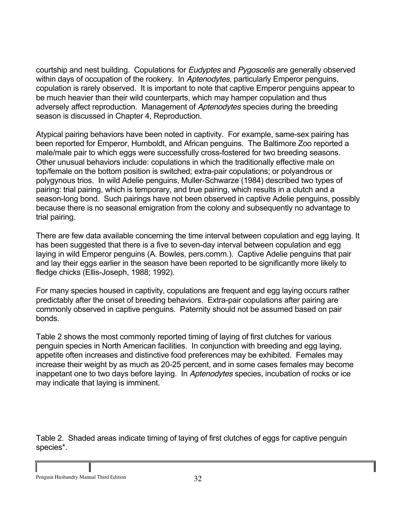courtship and nest building. Copulations for *Eudyptes* and *Pygoscelis* are generally observed within days of occupation of the rookery. In *Aptenodytes*, particularly Emperor penguins, copulation is rarely observed. It is important to note that captive Emperor penguins appear to be much heavier than their wild counterparts, which may hamper copulation and thus adversely affect reproduction. Management of *Aptenodytes* species during the breeding season is discussed in Chapter 4, Reproduction.

Atypical pairing behaviors have been noted in captivity. For example, same-sex pairing has been reported for Emperor, Humboldt, and African penguins. The Baltimore Zoo reported a male/male pair to which eggs were successfully cross-fostered for two breeding seasons. Other unusual behaviors include: copulations in which the traditionally effective male on top/female on the bottom position is switched; extra-pair copulations; or polyandrous or polygynous trios. In wild Adelie penguins, Muller-Schwarze (1984) described two types of pairing: trial pairing, which is temporary, and true pairing, which results in a clutch and a season-long bond. Such pairings have not been observed in captive Adelie penguins, possibly because there is no seasonal emigration from the colony and subsequently no advantage to trial pairing.

There are few data available concerning the time interval between copulation and egg laying. It has been suggested that there is a five to seven-day interval between copulation and egg laying in wild Emperor penguins (A. Bowles, pers.comm.). Captive Adelie penguins that pair and lay their eggs earlier in the season have been reported to be significantly more likely to fledge chicks (Ellis-Joseph, 1988; 1992).

For many species housed in captivity, copulations are frequent and egg laying occurs rather predictably after the onset of breeding behaviors. Extra-pair copulations after pairing are commonly observed in captive penguins. Paternity should not be assumed based on pair bonds.

Table 2 shows the most commonly reported timing of laying of first clutches for various penguin species in North American facilities. In conjunction with breeding and egg laying, appetite often increases and distinctive food preferences may be exhibited. Females may increase their weight by as much as 20-25 percent, and in some cases females may become inappetant one to two days before laying. In *Aptenodytes* species, incubation of rocks or ice may indicate that laying is imminent.

Table 2. Shaded areas indicate timing of laying of first clutches of eggs for captive penguin species\*.

Penguin Husbandry Manual Third Edition 32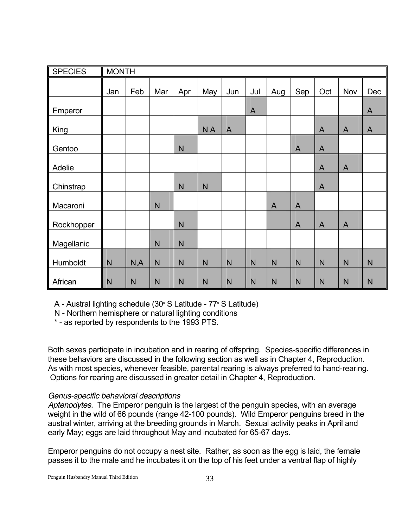| <b>SPECIES</b> | <b>MONTH</b> |      |     |     |              |                |                |                |                |                |                |                |
|----------------|--------------|------|-----|-----|--------------|----------------|----------------|----------------|----------------|----------------|----------------|----------------|
|                | Jan          | Feb  | Mar | Apr | May          | Jun            | Jul            | Aug            | Sep            | Oct            | Nov            | Dec            |
| Emperor        |              |      |     |     |              |                | $\overline{A}$ |                |                |                |                | $\overline{A}$ |
| King           |              |      |     |     | <b>NA</b>    | $\overline{A}$ |                |                |                | $\overline{A}$ | $\mathsf{A}$   | $\mathsf{A}$   |
| Gentoo         |              |      |     | N   |              |                |                |                | $\overline{A}$ | $\mathsf{A}$   |                |                |
| Adelie         |              |      |     |     |              |                |                |                |                | $\mathsf{A}$   | $\overline{A}$ |                |
| Chinstrap      |              |      |     | N   | N            |                |                |                |                | $\overline{A}$ |                |                |
| Macaroni       |              |      | N   |     |              |                |                | $\overline{A}$ | $\overline{A}$ |                |                |                |
| Rockhopper     |              |      |     | N   |              |                |                |                | $\overline{A}$ | $\overline{A}$ | $\overline{A}$ |                |
| Magellanic     |              |      | N   | N   |              |                |                |                |                |                |                |                |
| Humboldt       | N            | N, A | N   | N   | $\mathsf{N}$ | N              | N              | $\mathsf{N}$   | N              | N              | N              | N              |
| African        | N            | N    | N   | N   | $\mathsf{N}$ | N              | N              | $\mathsf{N}$   | N              | N              | $\mathsf{N}$   | $\mathsf{N}$   |

A - Austral lighting schedule  $(30° S$  Latitude -  $77° S$  Latitude)

N - Northern hemisphere or natural lighting conditions

\* - as reported by respondents to the 1993 PTS.

Both sexes participate in incubation and in rearing of offspring. Species-specific differences in these behaviors are discussed in the following section as well as in Chapter 4, Reproduction. As with most species, whenever feasible, parental rearing is always preferred to hand-rearing. Options for rearing are discussed in greater detail in Chapter 4, Reproduction.

# *Genus-specific behavioral descriptions*

*Aptenodytes.* The Emperor penguin is the largest of the penguin species, with an average weight in the wild of 66 pounds (range 42-100 pounds). Wild Emperor penguins breed in the austral winter, arriving at the breeding grounds in March. Sexual activity peaks in April and early May; eggs are laid throughout May and incubated for 65-67 days.

Emperor penguins do not occupy a nest site. Rather, as soon as the egg is laid, the female passes it to the male and he incubates it on the top of his feet under a ventral flap of highly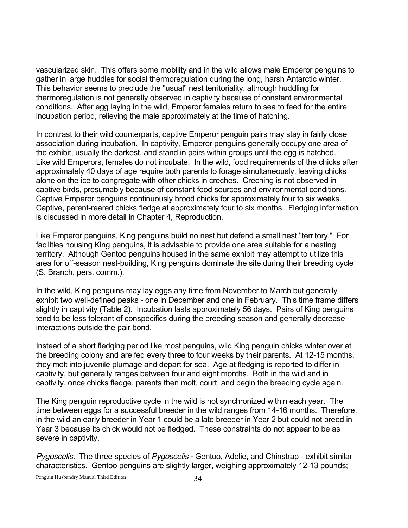vascularized skin. This offers some mobility and in the wild allows male Emperor penguins to gather in large huddles for social thermoregulation during the long, harsh Antarctic winter. This behavior seems to preclude the "usual" nest territoriality, although huddling for thermoregulation is not generally observed in captivity because of constant environmental conditions. After egg laying in the wild, Emperor females return to sea to feed for the entire incubation period, relieving the male approximately at the time of hatching.

In contrast to their wild counterparts, captive Emperor penguin pairs may stay in fairly close association during incubation. In captivity, Emperor penguins generally occupy one area of the exhibit, usually the darkest, and stand in pairs within groups until the egg is hatched. Like wild Emperors, females do not incubate. In the wild, food requirements of the chicks after approximately 40 days of age require both parents to forage simultaneously, leaving chicks alone on the ice to congregate with other chicks in creches. Creching is not observed in captive birds, presumably because of constant food sources and environmental conditions. Captive Emperor penguins continuously brood chicks for approximately four to six weeks. Captive, parent-reared chicks fledge at approximately four to six months. Fledging information is discussed in more detail in Chapter 4, Reproduction.

Like Emperor penguins, King penguins build no nest but defend a small nest "territory." For facilities housing King penguins, it is advisable to provide one area suitable for a nesting territory. Although Gentoo penguins housed in the same exhibit may attempt to utilize this area for off-season nest-building, King penguins dominate the site during their breeding cycle (S. Branch, pers. comm.).

In the wild, King penguins may lay eggs any time from November to March but generally exhibit two well-defined peaks - one in December and one in February. This time frame differs slightly in captivity (Table 2). Incubation lasts approximately 56 days. Pairs of King penguins tend to be less tolerant of conspecifics during the breeding season and generally decrease interactions outside the pair bond.

Instead of a short fledging period like most penguins, wild King penguin chicks winter over at the breeding colony and are fed every three to four weeks by their parents. At 12-15 months, they molt into juvenile plumage and depart for sea. Age at fledging is reported to differ in captivity, but generally ranges between four and eight months. Both in the wild and in captivity, once chicks fledge, parents then molt, court, and begin the breeding cycle again.

The King penguin reproductive cycle in the wild is not synchronized within each year. The time between eggs for a successful breeder in the wild ranges from 14-16 months. Therefore, in the wild an early breeder in Year 1 could be a late breeder in Year 2 but could not breed in Year 3 because its chick would not be fledged. These constraints do not appear to be as severe in captivity.

*Pygoscelis.* The three species of *Pygoscelis -* Gentoo, Adelie, and Chinstrap - exhibit similar characteristics. Gentoo penguins are slightly larger, weighing approximately 12-13 pounds;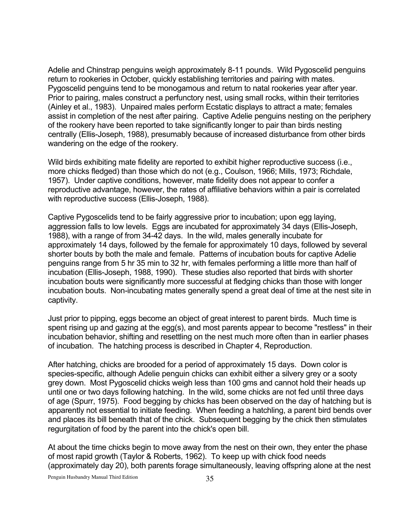Adelie and Chinstrap penguins weigh approximately 8-11 pounds. Wild Pygoscelid penguins return to rookeries in October, quickly establishing territories and pairing with mates. Pygoscelid penguins tend to be monogamous and return to natal rookeries year after year. Prior to pairing, males construct a perfunctory nest, using small rocks, within their territories (Ainley et al., 1983). Unpaired males perform Ecstatic displays to attract a mate; females assist in completion of the nest after pairing. Captive Adelie penguins nesting on the periphery of the rookery have been reported to take significantly longer to pair than birds nesting centrally (Ellis-Joseph, 1988), presumably because of increased disturbance from other birds wandering on the edge of the rookery.

Wild birds exhibiting mate fidelity are reported to exhibit higher reproductive success (i.e., more chicks fledged) than those which do not (e.g., Coulson, 1966; Mills, 1973; Richdale, 1957). Under captive conditions, however, mate fidelity does not appear to confer a reproductive advantage, however, the rates of affiliative behaviors within a pair is correlated with reproductive success (Ellis-Joseph, 1988).

Captive Pygoscelids tend to be fairly aggressive prior to incubation; upon egg laying, aggression falls to low levels. Eggs are incubated for approximately 34 days (Ellis-Joseph, 1988), with a range of from 34-42 days. In the wild, males generally incubate for approximately 14 days, followed by the female for approximately 10 days, followed by several shorter bouts by both the male and female. Patterns of incubation bouts for captive Adelie penguins range from 5 hr 35 min to 32 hr, with females performing a little more than half of incubation (Ellis-Joseph, 1988, 1990). These studies also reported that birds with shorter incubation bouts were significantly more successful at fledging chicks than those with longer incubation bouts. Non-incubating mates generally spend a great deal of time at the nest site in captivity.

Just prior to pipping, eggs become an object of great interest to parent birds. Much time is spent rising up and gazing at the egg(s), and most parents appear to become "restless" in their incubation behavior, shifting and resettling on the nest much more often than in earlier phases of incubation. The hatching process is described in Chapter 4, Reproduction.

After hatching, chicks are brooded for a period of approximately 15 days. Down color is species-specific, although Adelie penguin chicks can exhibit either a silvery grey or a sooty grey down. Most Pygoscelid chicks weigh less than 100 gms and cannot hold their heads up until one or two days following hatching. In the wild, some chicks are not fed until three days of age (Spurr, 1975). Food begging by chicks has been observed on the day of hatching but is apparently not essential to initiate feeding. When feeding a hatchling, a parent bird bends over and places its bill beneath that of the chick. Subsequent begging by the chick then stimulates regurgitation of food by the parent into the chick's open bill.

At about the time chicks begin to move away from the nest on their own, they enter the phase of most rapid growth (Taylor & Roberts, 1962). To keep up with chick food needs (approximately day 20), both parents forage simultaneously, leaving offspring alone at the nest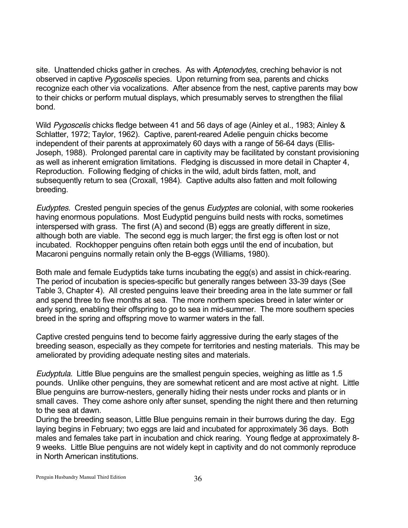site. Unattended chicks gather in creches. As with *Aptenodytes*, creching behavior is not observed in captive *Pygoscelis* species. Upon returning from sea, parents and chicks recognize each other via vocalizations. After absence from the nest, captive parents may bow to their chicks or perform mutual displays, which presumably serves to strengthen the filial bond.

Wild *Pygoscelis* chicks fledge between 41 and 56 days of age (Ainley et al., 1983; Ainley & Schlatter, 1972; Taylor, 1962). Captive, parent-reared Adelie penguin chicks become independent of their parents at approximately 60 days with a range of 56-64 days (Ellis-Joseph, 1988). Prolonged parental care in captivity may be facilitated by constant provisioning as well as inherent emigration limitations. Fledging is discussed in more detail in Chapter 4, Reproduction. Following fledging of chicks in the wild, adult birds fatten, molt, and subsequently return to sea (Croxall, 1984). Captive adults also fatten and molt following breeding.

*Eudyptes.* Crested penguin species of the genus *Eudyptes* are colonial, with some rookeries having enormous populations. Most Eudyptid penguins build nests with rocks, sometimes interspersed with grass. The first (A) and second (B) eggs are greatly different in size, although both are viable. The second egg is much larger; the first egg is often lost or not incubated. Rockhopper penguins often retain both eggs until the end of incubation, but Macaroni penguins normally retain only the B-eggs (Williams, 1980).

Both male and female Eudyptids take turns incubating the egg(s) and assist in chick-rearing. The period of incubation is species-specific but generally ranges between 33-39 days (See Table 3, Chapter 4). All crested penguins leave their breeding area in the late summer or fall and spend three to five months at sea. The more northern species breed in later winter or early spring, enabling their offspring to go to sea in mid-summer. The more southern species breed in the spring and offspring move to warmer waters in the fall.

Captive crested penguins tend to become fairly aggressive during the early stages of the breeding season, especially as they compete for territories and nesting materials. This may be ameliorated by providing adequate nesting sites and materials.

*Eudyptula.* Little Blue penguins are the smallest penguin species, weighing as little as 1.5 pounds. Unlike other penguins, they are somewhat reticent and are most active at night. Little Blue penguins are burrow-nesters, generally hiding their nests under rocks and plants or in small caves. They come ashore only after sunset, spending the night there and then returning to the sea at dawn.

During the breeding season, Little Blue penguins remain in their burrows during the day. Egg laying begins in February; two eggs are laid and incubated for approximately 36 days. Both males and females take part in incubation and chick rearing. Young fledge at approximately 8- 9 weeks. Little Blue penguins are not widely kept in captivity and do not commonly reproduce in North American institutions.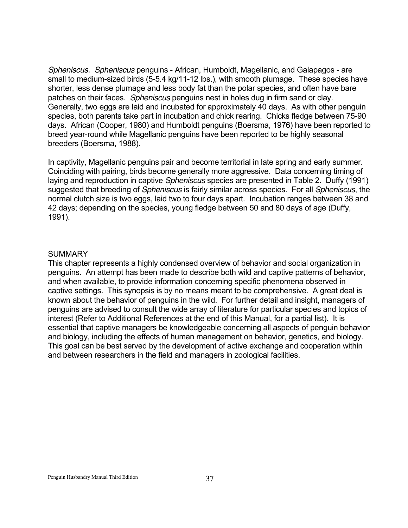*Spheniscus. Spheniscus* penguins - African, Humboldt, Magellanic, and Galapagos - are small to medium-sized birds (5-5.4 kg/11-12 lbs.), with smooth plumage. These species have shorter, less dense plumage and less body fat than the polar species, and often have bare patches on their faces. *Spheniscus* penguins nest in holes dug in firm sand or clay. Generally, two eggs are laid and incubated for approximately 40 days. As with other penguin species, both parents take part in incubation and chick rearing. Chicks fledge between 75-90 days. African (Cooper, 1980) and Humboldt penguins (Boersma, 1976) have been reported to breed year-round while Magellanic penguins have been reported to be highly seasonal breeders (Boersma, 1988).

In captivity, Magellanic penguins pair and become territorial in late spring and early summer. Coinciding with pairing, birds become generally more aggressive. Data concerning timing of laying and reproduction in captive *Spheniscus* species are presented in Table 2. Duffy (1991) suggested that breeding of *Spheniscus* is fairly similar across species. For all *Spheniscus*, the normal clutch size is two eggs, laid two to four days apart. Incubation ranges between 38 and 42 days; depending on the species, young fledge between 50 and 80 days of age (Duffy, 1991).

#### **SUMMARY**

This chapter represents a highly condensed overview of behavior and social organization in penguins. An attempt has been made to describe both wild and captive patterns of behavior, and when available, to provide information concerning specific phenomena observed in captive settings. This synopsis is by no means meant to be comprehensive. A great deal is known about the behavior of penguins in the wild. For further detail and insight, managers of penguins are advised to consult the wide array of literature for particular species and topics of interest (Refer to Additional References at the end of this Manual, for a partial list). It is essential that captive managers be knowledgeable concerning all aspects of penguin behavior and biology, including the effects of human management on behavior, genetics, and biology. This goal can be best served by the development of active exchange and cooperation within and between researchers in the field and managers in zoological facilities.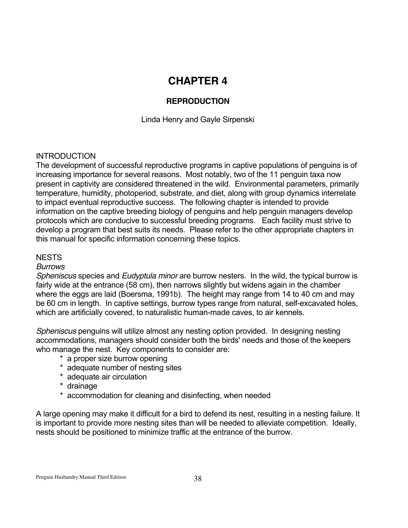# **CHAPTER 4**

# **REPRODUCTION**

Linda Henry and Gayle Sirpenski

# **INTRODUCTION**

The development of successful reproductive programs in captive populations of penguins is of increasing importance for several reasons. Most notably, two of the 11 penguin taxa now present in captivity are considered threatened in the wild. Environmental parameters, primarily temperature, humidity, photoperiod, substrate, and diet, along with group dynamics interrelate to impact eventual reproductive success. The following chapter is intended to provide information on the captive breeding biology of penguins and help penguin managers develop protocols which are conducive to successful breeding programs. Each facility must strive to develop a program that best suits its needs. Please refer to the other appropriate chapters in this manual for specific information concerning these topics.

# NESTS

# *Burrows*

*Spheniscus* species and *Eudyptula minor* are burrow nesters. In the wild, the typical burrow is fairly wide at the entrance (58 cm), then narrows slightly but widens again in the chamber where the eggs are laid (Boersma, 1991b). The height may range from 14 to 40 cm and may be 60 cm in length. In captive settings, burrow types range from natural, self-excavated holes, which are artificially covered, to naturalistic human-made caves, to air kennels.

*Spheniscus* penguins will utilize almost any nesting option provided. In designing nesting accommodations, managers should consider both the birds' needs and those of the keepers who manage the nest. Key components to consider are:

- \* a proper size burrow opening
- \* adequate number of nesting sites
- \* adequate air circulation
- \* drainage
- \* accommodation for cleaning and disinfecting, when needed

A large opening may make it difficult for a bird to defend its nest, resulting in a nesting failure. It is important to provide more nesting sites than will be needed to alleviate competition. Ideally, nests should be positioned to minimize traffic at the entrance of the burrow.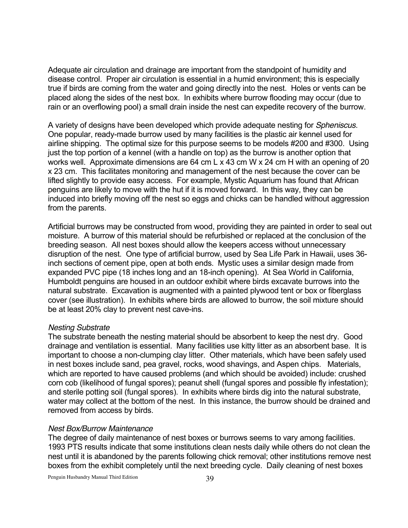Adequate air circulation and drainage are important from the standpoint of humidity and disease control. Proper air circulation is essential in a humid environment; this is especially true if birds are coming from the water and going directly into the nest. Holes or vents can be placed along the sides of the nest box. In exhibits where burrow flooding may occur (due to rain or an overflowing pool) a small drain inside the nest can expedite recovery of the burrow.

A variety of designs have been developed which provide adequate nesting for *Spheniscus*. One popular, ready-made burrow used by many facilities is the plastic air kennel used for airline shipping. The optimal size for this purpose seems to be models #200 and #300. Using just the top portion of a kennel (with a handle on top) as the burrow is another option that works well. Approximate dimensions are 64 cm L x 43 cm W x 24 cm H with an opening of 20 x 23 cm. This facilitates monitoring and management of the nest because the cover can be lifted slightly to provide easy access. For example, Mystic Aquarium has found that African penguins are likely to move with the hut if it is moved forward. In this way, they can be induced into briefly moving off the nest so eggs and chicks can be handled without aggression from the parents.

Artificial burrows may be constructed from wood, providing they are painted in order to seal out moisture. A burrow of this material should be refurbished or replaced at the conclusion of the breeding season. All nest boxes should allow the keepers access without unnecessary disruption of the nest. One type of artificial burrow, used by Sea Life Park in Hawaii, uses 36 inch sections of cement pipe, open at both ends. Mystic uses a similar design made from expanded PVC pipe (18 inches long and an 18-inch opening). At Sea World in California, Humboldt penguins are housed in an outdoor exhibit where birds excavate burrows into the natural substrate. Excavation is augmented with a painted plywood tent or box or fiberglass cover (see illustration). In exhibits where birds are allowed to burrow, the soil mixture should be at least 20% clay to prevent nest cave-ins.

#### *Nesting Substrate*

The substrate beneath the nesting material should be absorbent to keep the nest dry. Good drainage and ventilation is essential. Many facilities use kitty litter as an absorbent base. It is important to choose a non-clumping clay litter. Other materials, which have been safely used in nest boxes include sand, pea gravel, rocks, wood shavings, and Aspen chips. Materials, which are reported to have caused problems (and which should be avoided) include: crushed corn cob (likelihood of fungal spores); peanut shell (fungal spores and possible fly infestation); and sterile potting soil (fungal spores). In exhibits where birds dig into the natural substrate, water may collect at the bottom of the nest. In this instance, the burrow should be drained and removed from access by birds.

#### *Nest Box/Burrow Maintenance*

The degree of daily maintenance of nest boxes or burrows seems to vary among facilities. 1993 PTS results indicate that some institutions clean nests daily while others do not clean the nest until it is abandoned by the parents following chick removal; other institutions remove nest boxes from the exhibit completely until the next breeding cycle. Daily cleaning of nest boxes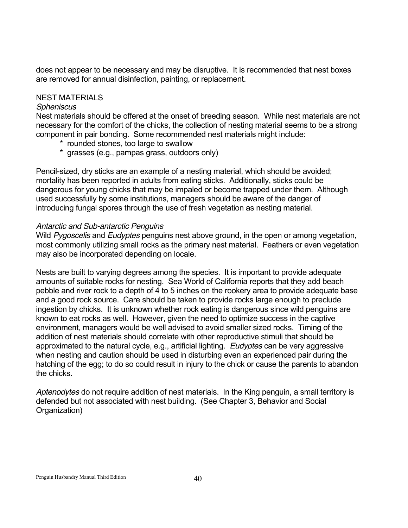does not appear to be necessary and may be disruptive. It is recommended that nest boxes are removed for annual disinfection, painting, or replacement.

### NEST MATERIALS

### *Spheniscus*

Nest materials should be offered at the onset of breeding season. While nest materials are not necessary for the comfort of the chicks, the collection of nesting material seems to be a strong component in pair bonding. Some recommended nest materials might include:

- \* rounded stones, too large to swallow
- \* grasses (e.g., pampas grass, outdoors only)

Pencil-sized, dry sticks are an example of a nesting material, which should be avoided; mortality has been reported in adults from eating sticks. Additionally, sticks could be dangerous for young chicks that may be impaled or become trapped under them. Although used successfully by some institutions, managers should be aware of the danger of introducing fungal spores through the use of fresh vegetation as nesting material.

#### *Antarctic and Sub-antarctic Penguins*

Wild *Pygoscelis* and *Eudyptes* penguins nest above ground, in the open or among vegetation, most commonly utilizing small rocks as the primary nest material. Feathers or even vegetation may also be incorporated depending on locale.

Nests are built to varying degrees among the species. It is important to provide adequate amounts of suitable rocks for nesting. Sea World of California reports that they add beach pebble and river rock to a depth of 4 to 5 inches on the rookery area to provide adequate base and a good rock source. Care should be taken to provide rocks large enough to preclude ingestion by chicks. It is unknown whether rock eating is dangerous since wild penguins are known to eat rocks as well. However, given the need to optimize success in the captive environment, managers would be well advised to avoid smaller sized rocks. Timing of the addition of nest materials should correlate with other reproductive stimuli that should be approximated to the natural cycle, e.g., artificial lighting. *Eudyptes* can be very aggressive when nesting and caution should be used in disturbing even an experienced pair during the hatching of the egg; to do so could result in injury to the chick or cause the parents to abandon the chicks.

*Aptenodytes* do not require addition of nest materials. In the King penguin, a small territory is defended but not associated with nest building. (See Chapter 3, Behavior and Social Organization)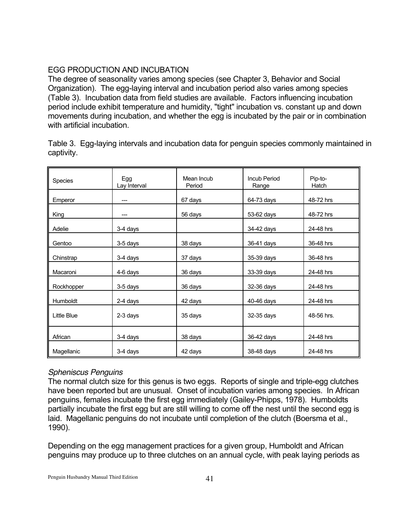# EGG PRODUCTION AND INCUBATION

The degree of seasonality varies among species (see Chapter 3, Behavior and Social Organization). The egg-laying interval and incubation period also varies among species (Table 3). Incubation data from field studies are available. Factors influencing incubation period include exhibit temperature and humidity, "tight" incubation vs. constant up and down movements during incubation, and whether the egg is incubated by the pair or in combination with artificial incubation.

| Species     | Egg<br>Lay Interval | Mean Incub<br>Period | <b>Incub Period</b><br>Range | Pip-to-<br>Hatch |
|-------------|---------------------|----------------------|------------------------------|------------------|
| Emperor     |                     | 67 days              | 64-73 days                   | 48-72 hrs        |
| King        |                     | 56 days              | 53-62 days                   | 48-72 hrs        |
| Adelie      | 3-4 days            |                      | 34-42 days                   | 24-48 hrs        |
| Gentoo      | 3-5 days            | 38 days              | 36-41 days                   | 36-48 hrs        |
| Chinstrap   | 3-4 days            | 37 days              | 35-39 days                   | 36-48 hrs        |
| Macaroni    | 4-6 days            | 36 days              | 33-39 days                   | 24-48 hrs        |
| Rockhopper  | 3-5 days            | 36 days              | 32-36 days                   | 24-48 hrs        |
| Humboldt    | 2-4 days            | 42 days              | 40-46 days                   | 24-48 hrs        |
| Little Blue | 2-3 days            | 35 days              | 32-35 days                   | 48-56 hrs.       |
| African     | 3-4 days            | 38 days              | 36-42 days                   | 24-48 hrs        |
| Magellanic  | 3-4 days            | 42 days              | 38-48 days                   | 24-48 hrs        |

Table 3. Egg-laying intervals and incubation data for penguin species commonly maintained in captivity.

# *Spheniscus Penguins*

The normal clutch size for this genus is two eggs. Reports of single and triple-egg clutches have been reported but are unusual. Onset of incubation varies among species. In African penguins, females incubate the first egg immediately (Gailey-Phipps, 1978). Humboldts partially incubate the first egg but are still willing to come off the nest until the second egg is laid. Magellanic penguins do not incubate until completion of the clutch (Boersma et al., 1990).

Depending on the egg management practices for a given group, Humboldt and African penguins may produce up to three clutches on an annual cycle, with peak laying periods as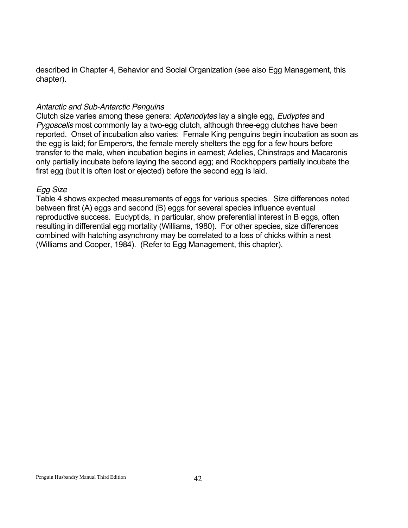described in Chapter 4, Behavior and Social Organization (see also Egg Management, this chapter).

# *Antarctic and Sub-Antarctic Penguins*

Clutch size varies among these genera: *Aptenodytes* lay a single egg, *Eudyptes* and *Pygoscelis* most commonly lay a two-egg clutch, although three-egg clutches have been reported. Onset of incubation also varies: Female King penguins begin incubation as soon as the egg is laid; for Emperors, the female merely shelters the egg for a few hours before transfer to the male, when incubation begins in earnest; Adelies, Chinstraps and Macaronis only partially incubate before laying the second egg; and Rockhoppers partially incubate the first egg (but it is often lost or ejected) before the second egg is laid.

### *Egg Size*

Table 4 shows expected measurements of eggs for various species. Size differences noted between first (A) eggs and second (B) eggs for several species influence eventual reproductive success. Eudyptids, in particular, show preferential interest in B eggs, often resulting in differential egg mortality (Williams, 1980). For other species, size differences combined with hatching asynchrony may be correlated to a loss of chicks within a nest (Williams and Cooper, 1984). (Refer to Egg Management, this chapter).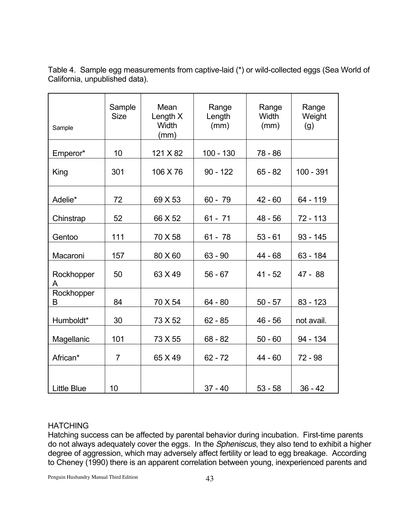| Sample             | Sample<br><b>Size</b> | Mean<br>Length X<br><b>Width</b><br>(mm) | Range<br>Length<br>(mm) | Range<br>Width<br>(mm) | Range<br>Weight<br>(g) |
|--------------------|-----------------------|------------------------------------------|-------------------------|------------------------|------------------------|
| Emperor*           | 10                    | 121 X 82                                 | $100 - 130$             | 78 - 86                |                        |
| King               | 301                   | 106 X 76                                 | $90 - 122$              | $65 - 82$              | $100 - 391$            |
| Adelie*            | 72                    | 69 X 53                                  | $60 - 79$               | $42 - 60$              | 64 - 119               |
| Chinstrap          | 52                    | 66 X 52                                  | $61 - 71$               | $48 - 56$              | 72 - 113               |
| Gentoo             | 111                   | 70 X 58                                  | $61 - 78$               | $53 - 61$              | $93 - 145$             |
| Macaroni           | 157                   | 80 X 60                                  | $63 - 90$               | 44 - 68                | $63 - 184$             |
| Rockhopper<br>A    | 50                    | 63 X 49                                  | $56 - 67$               | $41 - 52$              | $47 - 88$              |
| Rockhopper<br>B    | 84                    | 70 X 54                                  | $64 - 80$               | $50 - 57$              | $83 - 123$             |
| Humboldt*          | 30                    | 73 X 52                                  | $62 - 85$               | $46 - 56$              | not avail.             |
| Magellanic         | 101                   | 73 X 55                                  | $68 - 82$               | $50 - 60$              | 94 - 134               |
| African*           | $\overline{7}$        | 65 X 49                                  | $62 - 72$               | $44 - 60$              | $72 - 98$              |
| <b>Little Blue</b> | 10                    |                                          | $37 - 40$               | $53 - 58$              | $36 - 42$              |

Table 4. Sample egg measurements from captive-laid (\*) or wild-collected eggs (Sea World of California, unpublished data).

# **HATCHING**

Hatching success can be affected by parental behavior during incubation. First-time parents do not always adequately cover the eggs. In the *Spheniscus*, they also tend to exhibit a higher degree of aggression, which may adversely affect fertility or lead to egg breakage. According to Cheney (1990) there is an apparent correlation between young, inexperienced parents and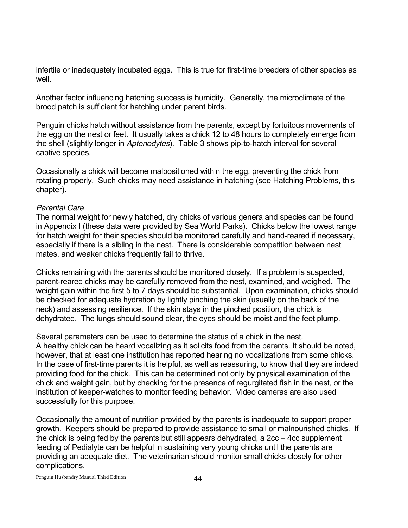infertile or inadequately incubated eggs. This is true for first-time breeders of other species as well.

Another factor influencing hatching success is humidity. Generally, the microclimate of the brood patch is sufficient for hatching under parent birds.

Penguin chicks hatch without assistance from the parents, except by fortuitous movements of the egg on the nest or feet. It usually takes a chick 12 to 48 hours to completely emerge from the shell (slightly longer in *Aptenodytes*). Table 3 shows pip-to-hatch interval for several captive species.

Occasionally a chick will become malpositioned within the egg, preventing the chick from rotating properly. Such chicks may need assistance in hatching (see Hatching Problems, this chapter).

# *Parental Care*

The normal weight for newly hatched, dry chicks of various genera and species can be found in Appendix I (these data were provided by Sea World Parks). Chicks below the lowest range for hatch weight for their species should be monitored carefully and hand-reared if necessary, especially if there is a sibling in the nest. There is considerable competition between nest mates, and weaker chicks frequently fail to thrive.

Chicks remaining with the parents should be monitored closely. If a problem is suspected, parent-reared chicks may be carefully removed from the nest, examined, and weighed. The weight gain within the first 5 to 7 days should be substantial. Upon examination, chicks should be checked for adequate hydration by lightly pinching the skin (usually on the back of the neck) and assessing resilience. If the skin stays in the pinched position, the chick is dehydrated. The lungs should sound clear, the eyes should be moist and the feet plump.

Several parameters can be used to determine the status of a chick in the nest. A healthy chick can be heard vocalizing as it solicits food from the parents. It should be noted, however, that at least one institution has reported hearing no vocalizations from some chicks. In the case of first-time parents it is helpful, as well as reassuring, to know that they are indeed providing food for the chick. This can be determined not only by physical examination of the chick and weight gain, but by checking for the presence of regurgitated fish in the nest, or the institution of keeper-watches to monitor feeding behavior. Video cameras are also used successfully for this purpose.

Occasionally the amount of nutrition provided by the parents is inadequate to support proper growth. Keepers should be prepared to provide assistance to small or malnourished chicks. If the chick is being fed by the parents but still appears dehydrated, a 2cc – 4cc supplement feeding of Pedialyte can be helpful in sustaining very young chicks until the parents are providing an adequate diet. The veterinarian should monitor small chicks closely for other complications.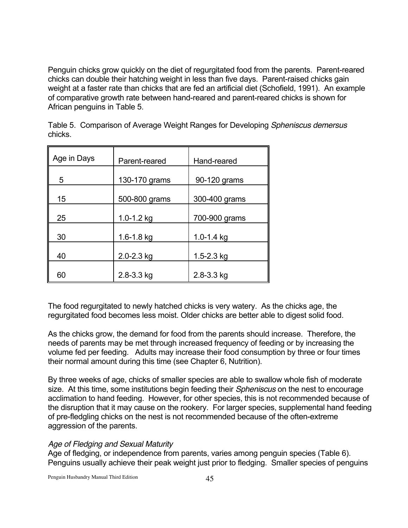Penguin chicks grow quickly on the diet of regurgitated food from the parents. Parent-reared chicks can double their hatching weight in less than five days. Parent-raised chicks gain weight at a faster rate than chicks that are fed an artificial diet (Schofield, 1991). An example of comparative growth rate between hand-reared and parent-reared chicks is shown for African penguins in Table 5.

Table 5. Comparison of Average Weight Ranges for Developing *Spheniscus demersus* chicks.

| Age in Days | Parent-reared  | Hand-reared    |
|-------------|----------------|----------------|
| 5           | 130-170 grams  | 90-120 grams   |
| 15          | 500-800 grams  | 300-400 grams  |
| 25          | $1.0 - 1.2$ kg | 700-900 grams  |
| 30          | $1.6 - 1.8$ kg | $1.0 - 1.4$ kg |
| 40          | 2.0-2.3 kg     | $1.5 - 2.3$ kg |
| 60          | 2.8-3.3 kg     | 2.8-3.3 kg     |

The food regurgitated to newly hatched chicks is very watery. As the chicks age, the regurgitated food becomes less moist. Older chicks are better able to digest solid food.

As the chicks grow, the demand for food from the parents should increase. Therefore, the needs of parents may be met through increased frequency of feeding or by increasing the volume fed per feeding. Adults may increase their food consumption by three or four times their normal amount during this time (see Chapter 6, Nutrition).

By three weeks of age, chicks of smaller species are able to swallow whole fish of moderate size. At this time, some institutions begin feeding their *Spheniscus* on the nest to encourage acclimation to hand feeding. However, for other species, this is not recommended because of the disruption that it may cause on the rookery. For larger species, supplemental hand feeding of pre-fledgling chicks on the nest is not recommended because of the often-extreme aggression of the parents.

# *Age of Fledging and Sexual Maturity*

Age of fledging, or independence from parents, varies among penguin species (Table 6). Penguins usually achieve their peak weight just prior to fledging. Smaller species of penguins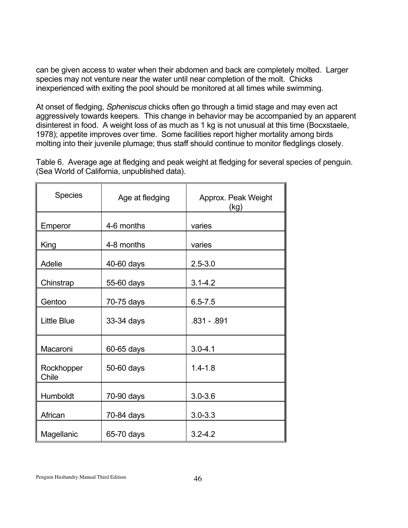can be given access to water when their abdomen and back are completely molted. Larger species may not venture near the water until near completion of the molt. Chicks inexperienced with exiting the pool should be monitored at all times while swimming.

At onset of fledging, *Spheniscus* chicks often go through a timid stage and may even act aggressively towards keepers. This change in behavior may be accompanied by an apparent disinterest in food. A weight loss of as much as 1 kg is not unusual at this time (Bocxstaele, 1978); appetite improves over time. Some facilities report higher mortality among birds molting into their juvenile plumage; thus staff should continue to monitor fledglings closely.

Table 6. Average age at fledging and peak weight at fledging for several species of penguin. (Sea World of California, unpublished data).

| <b>Species</b>      | Age at fledging | Approx. Peak Weight<br>(kg) |
|---------------------|-----------------|-----------------------------|
| Emperor             | 4-6 months      | varies                      |
| King                | 4-8 months      | varies                      |
| Adelie              | 40-60 days      | $2.5 - 3.0$                 |
| Chinstrap           | 55-60 days      | $3.1 - 4.2$                 |
| Gentoo              | 70-75 days      | $6.5 - 7.5$                 |
| <b>Little Blue</b>  | 33-34 days      | .831 - .891                 |
| Macaroni            | 60-65 days      | $3.0 - 4.1$                 |
| Rockhopper<br>Chile | 50-60 days      | $1.4 - 1.8$                 |
| Humboldt            | 70-90 days      | $3.0 - 3.6$                 |
| African             | 70-84 days      | $3.0 - 3.3$                 |
| Magellanic          | 65-70 days      | $3.2 - 4.2$                 |

Penguin Husbandry Manual Third Edition 46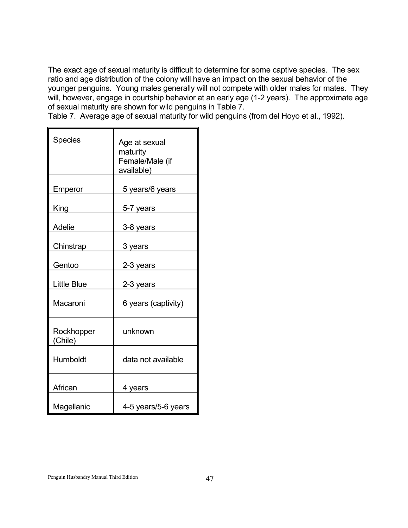The exact age of sexual maturity is difficult to determine for some captive species. The sex ratio and age distribution of the colony will have an impact on the sexual behavior of the younger penguins. Young males generally will not compete with older males for mates. They will, however, engage in courtship behavior at an early age (1-2 years). The approximate age of sexual maturity are shown for wild penguins in Table 7.

Table 7. Average age of sexual maturity for wild penguins (from del Hoyo et al., 1992).

| <b>Species</b>        | Age at sexual<br>maturity<br>Female/Male (if<br>available) |
|-----------------------|------------------------------------------------------------|
| Emperor               | 5 years/6 years                                            |
| King                  | 5-7 years                                                  |
| Adelie                | 3-8 years                                                  |
| Chinstrap             | 3 years                                                    |
| Gentoo                | 2-3 years                                                  |
| <b>Little Blue</b>    | 2-3 years                                                  |
| Macaroni              | 6 years (captivity)                                        |
| Rockhopper<br>(Chile) | unknown                                                    |
| Humboldt              | data not available                                         |
| African               | 4 years                                                    |
| Magellanic            | 4-5 years/5-6 years                                        |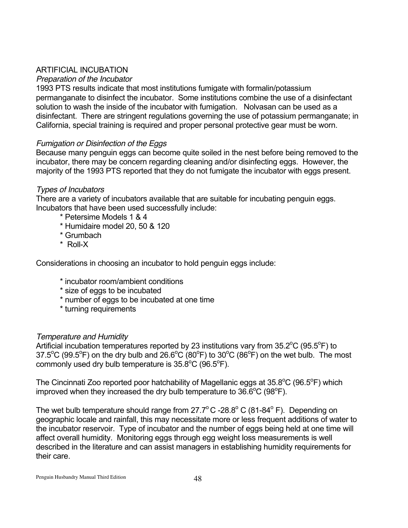# ARTIFICIAL INCUBATION

# *Preparation of the Incubator*

1993 PTS results indicate that most institutions fumigate with formalin/potassium permanganate to disinfect the incubator. Some institutions combine the use of a disinfectant solution to wash the inside of the incubator with fumigation. Nolvasan can be used as a disinfectant. There are stringent regulations governing the use of potassium permanganate; in California, special training is required and proper personal protective gear must be worn.

# *Fumigation or Disinfection of the Eggs*

Because many penguin eggs can become quite soiled in the nest before being removed to the incubator, there may be concern regarding cleaning and/or disinfecting eggs. However, the majority of the 1993 PTS reported that they do not fumigate the incubator with eggs present.

# *Types of Incubators*

There are a variety of incubators available that are suitable for incubating penguin eggs. Incubators that have been used successfully include:

- \* Petersime Models 1 & 4
- \* Humidaire model 20, 50 & 120
- \* Grumbach
- \* Roll-X

Considerations in choosing an incubator to hold penguin eggs include:

- \* incubator room/ambient conditions
- \* size of eggs to be incubated
- \* number of eggs to be incubated at one time
- \* turning requirements

# *Temperature and Humidity*

Artificial incubation temperatures reported by 23 institutions vary from  $35.2^{\circ}$ C (95.5 $^{\circ}$ F) to 37.5°C (99.5°F) on the dry bulb and 26.6°C (80°F) to 30°C (86°F) on the wet bulb. The most commonly used dry bulb temperature is  $35.8^{\circ}$ C (96.5 $^{\circ}$ F).

The Cincinnati Zoo reported poor hatchability of Magellanic eggs at 35.8°C (96.5°F) which improved when they increased the dry bulb temperature to  $36.6^{\circ}$ C (98 $^{\circ}$ F).

The wet bulb temperature should range from  $27.7^{\circ}$ C -28.8° C (81-84° F). Depending on geographic locale and rainfall, this may necessitate more or less frequent additions of water to the incubator reservoir. Type of incubator and the number of eggs being held at one time will affect overall humidity. Monitoring eggs through egg weight loss measurements is well described in the literature and can assist managers in establishing humidity requirements for their care.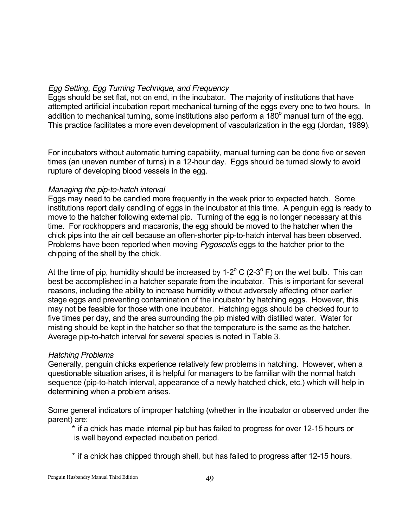# *Egg Setting, Egg Turning Technique, and Frequency*

Eggs should be set flat, not on end, in the incubator. The majority of institutions that have attempted artificial incubation report mechanical turning of the eggs every one to two hours. In addition to mechanical turning, some institutions also perform a  $180^\circ$  manual turn of the egg. This practice facilitates a more even development of vascularization in the egg (Jordan, 1989).

For incubators without automatic turning capability, manual turning can be done five or seven times (an uneven number of turns) in a 12-hour day. Eggs should be turned slowly to avoid rupture of developing blood vessels in the egg.

### *Managing the pip-to-hatch interval*

Eggs may need to be candled more frequently in the week prior to expected hatch. Some institutions report daily candling of eggs in the incubator at this time. A penguin egg is ready to move to the hatcher following external pip. Turning of the egg is no longer necessary at this time. For rockhoppers and macaronis, the egg should be moved to the hatcher when the chick pips into the air cell because an often-shorter pip-to-hatch interval has been observed. Problems have been reported when moving *Pygoscelis* eggs to the hatcher prior to the chipping of the shell by the chick.

At the time of pip, humidity should be increased by 1-2 $\degree$  C (2-3 $\degree$  F) on the wet bulb. This can best be accomplished in a hatcher separate from the incubator. This is important for several reasons, including the ability to increase humidity without adversely affecting other earlier stage eggs and preventing contamination of the incubator by hatching eggs. However, this may not be feasible for those with one incubator. Hatching eggs should be checked four to five times per day, and the area surrounding the pip misted with distilled water. Water for misting should be kept in the hatcher so that the temperature is the same as the hatcher. Average pip-to-hatch interval for several species is noted in Table 3.

#### *Hatching Problems*

Generally, penguin chicks experience relatively few problems in hatching. However, when a questionable situation arises, it is helpful for managers to be familiar with the normal hatch sequence (pip-to-hatch interval, appearance of a newly hatched chick, etc.) which will help in determining when a problem arises.

Some general indicators of improper hatching (whether in the incubator or observed under the parent) are:

\* if a chick has made internal pip but has failed to progress for over 12-15 hours or is well beyond expected incubation period.

\* if a chick has chipped through shell, but has failed to progress after 12-15 hours.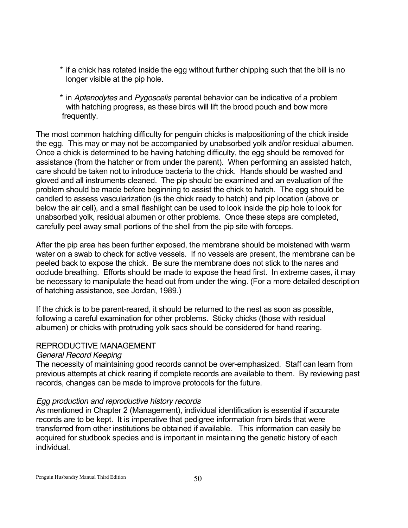- \* if a chick has rotated inside the egg without further chipping such that the bill is no longer visible at the pip hole.
- \* in *Aptenodytes* and *Pygoscelis* parental behavior can be indicative of a problem with hatching progress, as these birds will lift the brood pouch and bow more frequently.

The most common hatching difficulty for penguin chicks is malpositioning of the chick inside the egg. This may or may not be accompanied by unabsorbed yolk and/or residual albumen. Once a chick is determined to be having hatching difficulty, the egg should be removed for assistance (from the hatcher or from under the parent). When performing an assisted hatch, care should be taken not to introduce bacteria to the chick. Hands should be washed and gloved and all instruments cleaned. The pip should be examined and an evaluation of the problem should be made before beginning to assist the chick to hatch. The egg should be candled to assess vascularization (is the chick ready to hatch) and pip location (above or below the air cell), and a small flashlight can be used to look inside the pip hole to look for unabsorbed yolk, residual albumen or other problems. Once these steps are completed, carefully peel away small portions of the shell from the pip site with forceps.

After the pip area has been further exposed, the membrane should be moistened with warm water on a swab to check for active vessels. If no vessels are present, the membrane can be peeled back to expose the chick. Be sure the membrane does not stick to the nares and occlude breathing. Efforts should be made to expose the head first. In extreme cases, it may be necessary to manipulate the head out from under the wing. (For a more detailed description of hatching assistance, see Jordan, 1989.)

If the chick is to be parent-reared, it should be returned to the nest as soon as possible, following a careful examination for other problems. Sticky chicks (those with residual albumen) or chicks with protruding yolk sacs should be considered for hand rearing.

# REPRODUCTIVE MANAGEMENT

# *General Record Keeping*

The necessity of maintaining good records cannot be over-emphasized. Staff can learn from previous attempts at chick rearing if complete records are available to them. By reviewing past records, changes can be made to improve protocols for the future.

# *Egg production and reproductive history records*

As mentioned in Chapter 2 (Management), individual identification is essential if accurate records are to be kept. It is imperative that pedigree information from birds that were transferred from other institutions be obtained if available. This information can easily be acquired for studbook species and is important in maintaining the genetic history of each individual.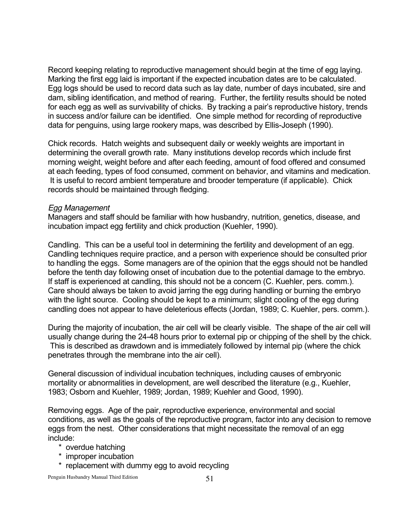Record keeping relating to reproductive management should begin at the time of egg laying. Marking the first egg laid is important if the expected incubation dates are to be calculated. Egg logs should be used to record data such as lay date, number of days incubated, sire and dam, sibling identification, and method of rearing. Further, the fertility results should be noted for each egg as well as survivability of chicks. By tracking a pair's reproductive history, trends in success and/or failure can be identified. One simple method for recording of reproductive data for penguins, using large rookery maps, was described by Ellis-Joseph (1990).

Chick records. Hatch weights and subsequent daily or weekly weights are important in determining the overall growth rate. Many institutions develop records which include first morning weight, weight before and after each feeding, amount of food offered and consumed at each feeding, types of food consumed, comment on behavior, and vitamins and medication. It is useful to record ambient temperature and brooder temperature (if applicable). Chick records should be maintained through fledging.

#### *Egg Management*

Managers and staff should be familiar with how husbandry, nutrition, genetics, disease, and incubation impact egg fertility and chick production (Kuehler, 1990).

Candling. This can be a useful tool in determining the fertility and development of an egg. Candling techniques require practice, and a person with experience should be consulted prior to handling the eggs. Some managers are of the opinion that the eggs should not be handled before the tenth day following onset of incubation due to the potential damage to the embryo. If staff is experienced at candling, this should not be a concern (C. Kuehler, pers. comm.). Care should always be taken to avoid jarring the egg during handling or burning the embryo with the light source. Cooling should be kept to a minimum; slight cooling of the egg during candling does not appear to have deleterious effects (Jordan, 1989; C. Kuehler, pers. comm.).

During the majority of incubation, the air cell will be clearly visible. The shape of the air cell will usually change during the 24-48 hours prior to external pip or chipping of the shell by the chick. This is described as drawdown and is immediately followed by internal pip (where the chick penetrates through the membrane into the air cell).

General discussion of individual incubation techniques, including causes of embryonic mortality or abnormalities in development, are well described the literature (e.g., Kuehler, 1983; Osborn and Kuehler, 1989; Jordan, 1989; Kuehler and Good, 1990).

Removing eggs. Age of the pair, reproductive experience, environmental and social conditions, as well as the goals of the reproductive program, factor into any decision to remove eggs from the nest. Other considerations that might necessitate the removal of an egg include:

- \* overdue hatching
- \* improper incubation
- \* replacement with dummy egg to avoid recycling

Penguin Husbandry Manual Third Edition 51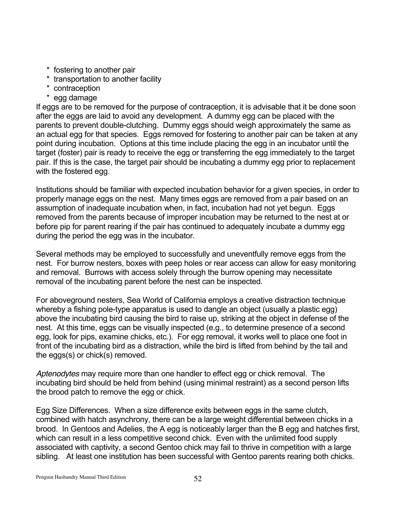- \* fostering to another pair
- \* transportation to another facility
- \* contraception
- \* egg damage

If eggs are to be removed for the purpose of contraception, it is advisable that it be done soon after the eggs are laid to avoid any development. A dummy egg can be placed with the parents to prevent double-clutching. Dummy eggs should weigh approximately the same as an actual egg for that species. Eggs removed for fostering to another pair can be taken at any point during incubation. Options at this time include placing the egg in an incubator until the target (foster) pair is ready to receive the egg or transferring the egg immediately to the target pair. If this is the case, the target pair should be incubating a dummy egg prior to replacement with the fostered egg.

Institutions should be familiar with expected incubation behavior for a given species, in order to properly manage eggs on the nest. Many times eggs are removed from a pair based on an assumption of inadequate incubation when, in fact, incubation had not yet begun. Eggs removed from the parents because of improper incubation may be returned to the nest at or before pip for parent rearing if the pair has continued to adequately incubate a dummy egg during the period the egg was in the incubator.

Several methods may be employed to successfully and uneventfully remove eggs from the nest. For burrow nesters, boxes with peep holes or rear access can allow for easy monitoring and removal. Burrows with access solely through the burrow opening may necessitate removal of the incubating parent before the nest can be inspected.

For aboveground nesters, Sea World of California employs a creative distraction technique whereby a fishing pole-type apparatus is used to dangle an object (usually a plastic egg) above the incubating bird causing the bird to raise up, striking at the object in defense of the nest. At this time, eggs can be visually inspected (e.g., to determine presence of a second egg, look for pips, examine chicks, etc.). For egg removal, it works well to place one foot in front of the incubating bird as a distraction, while the bird is lifted from behind by the tail and the eggs(s) or chick(s) removed.

*Aptenodytes* may require more than one handler to effect egg or chick removal. The incubating bird should be held from behind (using minimal restraint) as a second person lifts the brood patch to remove the egg or chick.

Egg Size Differences. When a size difference exits between eggs in the same clutch, combined with hatch asynchrony, there can be a large weight differential between chicks in a brood. In Gentoos and Adelies, the A egg is noticeably larger than the B egg and hatches first, which can result in a less competitive second chick. Even with the unlimited food supply associated with captivity, a second Gentoo chick may fail to thrive in competition with a large sibling. At least one institution has been successful with Gentoo parents rearing both chicks.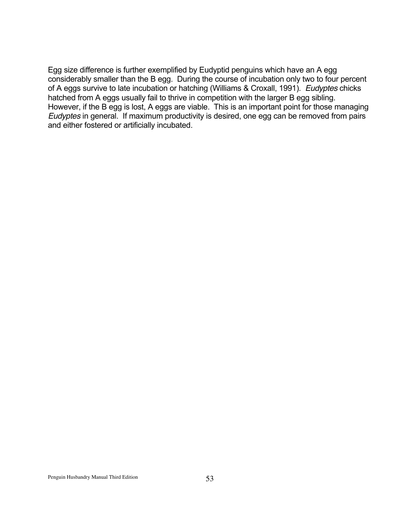Egg size difference is further exemplified by Eudyptid penguins which have an A egg considerably smaller than the B egg. During the course of incubation only two to four percent of A eggs survive to late incubation or hatching (Williams & Croxall, 1991). *Eudyptes* chicks hatched from A eggs usually fail to thrive in competition with the larger B egg sibling. However, if the B egg is lost, A eggs are viable. This is an important point for those managing *Eudyptes* in general. If maximum productivity is desired, one egg can be removed from pairs and either fostered or artificially incubated.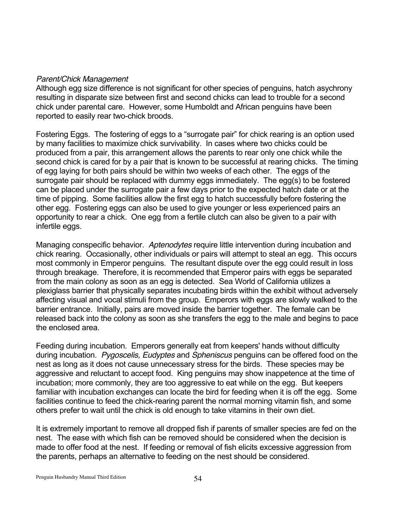### *Parent/Chick Management*

Although egg size difference is not significant for other species of penguins, hatch asychrony resulting in disparate size between first and second chicks can lead to trouble for a second chick under parental care. However, some Humboldt and African penguins have been reported to easily rear two-chick broods.

Fostering Eggs. The fostering of eggs to a "surrogate pair" for chick rearing is an option used by many facilities to maximize chick survivability. In cases where two chicks could be produced from a pair, this arrangement allows the parents to rear only one chick while the second chick is cared for by a pair that is known to be successful at rearing chicks. The timing of egg laying for both pairs should be within two weeks of each other. The eggs of the surrogate pair should be replaced with dummy eggs immediately. The egg(s) to be fostered can be placed under the surrogate pair a few days prior to the expected hatch date or at the time of pipping. Some facilities allow the first egg to hatch successfully before fostering the other egg. Fostering eggs can also be used to give younger or less experienced pairs an opportunity to rear a chick. One egg from a fertile clutch can also be given to a pair with infertile eggs.

Managing conspecific behavior. *Aptenodytes* require little intervention during incubation and chick rearing. Occasionally, other individuals or pairs will attempt to steal an egg. This occurs most commonly in Emperor penguins. The resultant dispute over the egg could result in loss through breakage. Therefore, it is recommended that Emperor pairs with eggs be separated from the main colony as soon as an egg is detected. Sea World of California utilizes a plexiglass barrier that physically separates incubating birds within the exhibit without adversely affecting visual and vocal stimuli from the group. Emperors with eggs are slowly walked to the barrier entrance. Initially, pairs are moved inside the barrier together. The female can be released back into the colony as soon as she transfers the egg to the male and begins to pace the enclosed area.

Feeding during incubation. Emperors generally eat from keepers' hands without difficulty during incubation. *Pygoscelis, Eudyptes* and *Spheniscus* penguins can be offered food on the nest as long as it does not cause unnecessary stress for the birds. These species may be aggressive and reluctant to accept food. King penguins may show inappetence at the time of incubation; more commonly, they are too aggressive to eat while on the egg. But keepers familiar with incubation exchanges can locate the bird for feeding when it is off the egg. Some facilities continue to feed the chick-rearing parent the normal morning vitamin fish, and some others prefer to wait until the chick is old enough to take vitamins in their own diet.

It is extremely important to remove all dropped fish if parents of smaller species are fed on the nest. The ease with which fish can be removed should be considered when the decision is made to offer food at the nest. If feeding or removal of fish elicits excessive aggression from the parents, perhaps an alternative to feeding on the nest should be considered.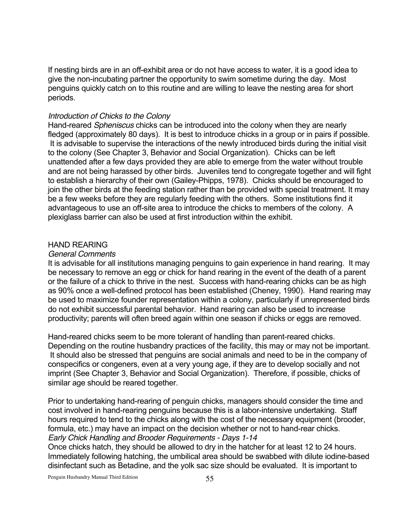If nesting birds are in an off-exhibit area or do not have access to water, it is a good idea to give the non-incubating partner the opportunity to swim sometime during the day. Most penguins quickly catch on to this routine and are willing to leave the nesting area for short periods.

#### *Introduction of Chicks to the Colony*

Hand-reared *Spheniscus* chicks can be introduced into the colony when they are nearly fledged (approximately 80 days). It is best to introduce chicks in a group or in pairs if possible. It is advisable to supervise the interactions of the newly introduced birds during the initial visit to the colony (See Chapter 3, Behavior and Social Organization). Chicks can be left unattended after a few days provided they are able to emerge from the water without trouble and are not being harassed by other birds. Juveniles tend to congregate together and will fight to establish a hierarchy of their own (Gailey-Phipps, 1978). Chicks should be encouraged to join the other birds at the feeding station rather than be provided with special treatment. It may be a few weeks before they are regularly feeding with the others. Some institutions find it advantageous to use an off-site area to introduce the chicks to members of the colony. A plexiglass barrier can also be used at first introduction within the exhibit.

#### HAND REARING

#### *General Comments*

It is advisable for all institutions managing penguins to gain experience in hand rearing. It may be necessary to remove an egg or chick for hand rearing in the event of the death of a parent or the failure of a chick to thrive in the nest. Success with hand-rearing chicks can be as high as 90% once a well-defined protocol has been established (Cheney, 1990). Hand rearing may be used to maximize founder representation within a colony, particularly if unrepresented birds do not exhibit successful parental behavior. Hand rearing can also be used to increase productivity; parents will often breed again within one season if chicks or eggs are removed.

Hand-reared chicks seem to be more tolerant of handling than parent-reared chicks. Depending on the routine husbandry practices of the facility, this may or may not be important. It should also be stressed that penguins are social animals and need to be in the company of conspecifics or congeners, even at a very young age, if they are to develop socially and not imprint (See Chapter 3, Behavior and Social Organization). Therefore, if possible, chicks of similar age should be reared together.

Prior to undertaking hand-rearing of penguin chicks, managers should consider the time and cost involved in hand-rearing penguins because this is a labor-intensive undertaking. Staff hours required to tend to the chicks along with the cost of the necessary equipment (brooder, formula, etc.) may have an impact on the decision whether or not to hand-rear chicks. *Early Chick Handling and Brooder Requirements - Days 1-14*

Once chicks hatch, they should be allowed to dry in the hatcher for at least 12 to 24 hours. Immediately following hatching, the umbilical area should be swabbed with dilute iodine-based disinfectant such as Betadine, and the yolk sac size should be evaluated. It is important to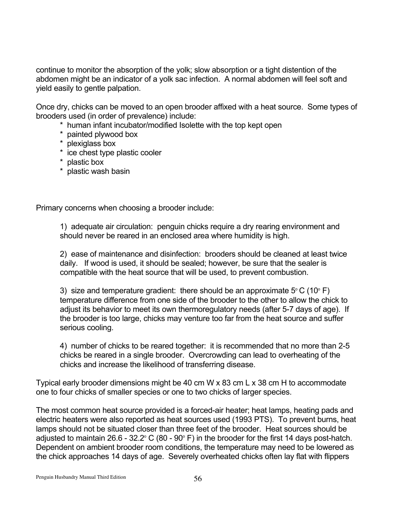continue to monitor the absorption of the yolk; slow absorption or a tight distention of the abdomen might be an indicator of a yolk sac infection. A normal abdomen will feel soft and yield easily to gentle palpation.

Once dry, chicks can be moved to an open brooder affixed with a heat source. Some types of brooders used (in order of prevalence) include:

- \* human infant incubator/modified Isolette with the top kept open
- \* painted plywood box
- \* plexiglass box
- \* ice chest type plastic cooler
- \* plastic box
- \* plastic wash basin

Primary concerns when choosing a brooder include:

1) adequate air circulation: penguin chicks require a dry rearing environment and should never be reared in an enclosed area where humidity is high.

2) ease of maintenance and disinfection: brooders should be cleaned at least twice daily. If wood is used, it should be sealed; however, be sure that the sealer is compatible with the heat source that will be used, to prevent combustion.

3) size and temperature gradient: there should be an approximate  $5^{\circ}$  C (10 $^{\circ}$  F) temperature difference from one side of the brooder to the other to allow the chick to adjust its behavior to meet its own thermoregulatory needs (after 5-7 days of age). If the brooder is too large, chicks may venture too far from the heat source and suffer serious cooling.

4) number of chicks to be reared together: it is recommended that no more than 2-5 chicks be reared in a single brooder. Overcrowding can lead to overheating of the chicks and increase the likelihood of transferring disease.

Typical early brooder dimensions might be 40 cm W x 83 cm L x 38 cm H to accommodate one to four chicks of smaller species or one to two chicks of larger species.

The most common heat source provided is a forced-air heater; heat lamps, heating pads and electric heaters were also reported as heat sources used (1993 PTS). To prevent burns, heat lamps should not be situated closer than three feet of the brooder. Heat sources should be adjusted to maintain 26.6 - 32.2 $\textdegree$  C (80 - 90 $\textdegree$  F) in the brooder for the first 14 days post-hatch. Dependent on ambient brooder room conditions, the temperature may need to be lowered as the chick approaches 14 days of age. Severely overheated chicks often lay flat with flippers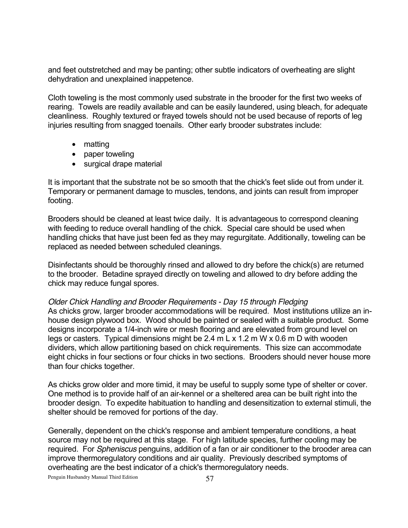and feet outstretched and may be panting; other subtle indicators of overheating are slight dehydration and unexplained inappetence.

Cloth toweling is the most commonly used substrate in the brooder for the first two weeks of rearing. Towels are readily available and can be easily laundered, using bleach, for adequate cleanliness. Roughly textured or frayed towels should not be used because of reports of leg injuries resulting from snagged toenails. Other early brooder substrates include:

> matting paper toweling surgical drape material

It is important that the substrate not be so smooth that the chick's feet slide out from under it. Temporary or permanent damage to muscles, tendons, and joints can result from improper footing.

Brooders should be cleaned at least twice daily. It is advantageous to correspond cleaning with feeding to reduce overall handling of the chick. Special care should be used when handling chicks that have just been fed as they may regurgitate. Additionally, toweling can be replaced as needed between scheduled cleanings.

Disinfectants should be thoroughly rinsed and allowed to dry before the chick(s) are returned to the brooder. Betadine sprayed directly on toweling and allowed to dry before adding the chick may reduce fungal spores.

#### *Older Chick Handling and Brooder Requirements - Day 15 through Fledging*

As chicks grow, larger brooder accommodations will be required. Most institutions utilize an inhouse design plywood box. Wood should be painted or sealed with a suitable product. Some designs incorporate a 1/4-inch wire or mesh flooring and are elevated from ground level on legs or casters. Typical dimensions might be 2.4 m L x 1.2 m W x 0.6 m D with wooden dividers, which allow partitioning based on chick requirements. This size can accommodate eight chicks in four sections or four chicks in two sections. Brooders should never house more than four chicks together.

As chicks grow older and more timid, it may be useful to supply some type of shelter or cover. One method is to provide half of an air-kennel or a sheltered area can be built right into the brooder design. To expedite habituation to handling and desensitization to external stimuli, the shelter should be removed for portions of the day.

Generally, dependent on the chick's response and ambient temperature conditions, a heat source may not be required at this stage. For high latitude species, further cooling may be required. For *Spheniscus* penguins, addition of a fan or air conditioner to the brooder area can improve thermoregulatory conditions and air quality. Previously described symptoms of overheating are the best indicator of a chick's thermoregulatory needs.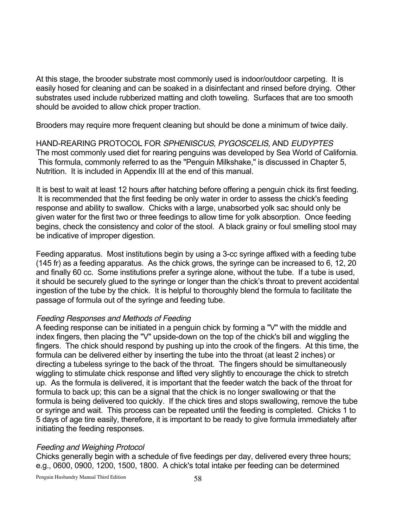At this stage, the brooder substrate most commonly used is indoor/outdoor carpeting. It is easily hosed for cleaning and can be soaked in a disinfectant and rinsed before drying. Other substrates used include rubberized matting and cloth toweling. Surfaces that are too smooth should be avoided to allow chick proper traction.

Brooders may require more frequent cleaning but should be done a minimum of twice daily.

HAND-REARING PROTOCOL FOR *SPHENISCUS, PYGOSCELIS,* AND *EUDYPTES*  The most commonly used diet for rearing penguins was developed by Sea World of California. This formula, commonly referred to as the "Penguin Milkshake," is discussed in Chapter 5, Nutrition. It is included in Appendix III at the end of this manual.

It is best to wait at least 12 hours after hatching before offering a penguin chick its first feeding. It is recommended that the first feeding be only water in order to assess the chick's feeding response and ability to swallow. Chicks with a large, unabsorbed yolk sac should only be given water for the first two or three feedings to allow time for yolk absorption. Once feeding begins, check the consistency and color of the stool. A black grainy or foul smelling stool may be indicative of improper digestion.

Feeding apparatus. Most institutions begin by using a 3-cc syringe affixed with a feeding tube (145 fr) as a feeding apparatus. As the chick grows, the syringe can be increased to 6, 12, 20 and finally 60 cc. Some institutions prefer a syringe alone, without the tube. If a tube is used, it should be securely glued to the syringe or longer than the chick's throat to prevent accidental ingestion of the tube by the chick. It is helpful to thoroughly blend the formula to facilitate the passage of formula out of the syringe and feeding tube.

#### *Feeding Responses and Methods of Feeding*

A feeding response can be initiated in a penguin chick by forming a "V" with the middle and index fingers, then placing the "V" upside-down on the top of the chick's bill and wiggling the fingers. The chick should respond by pushing up into the crook of the fingers. At this time, the formula can be delivered either by inserting the tube into the throat (at least 2 inches) or directing a tubeless syringe to the back of the throat. The fingers should be simultaneously wiggling to stimulate chick response and lifted very slightly to encourage the chick to stretch up. As the formula is delivered, it is important that the feeder watch the back of the throat for formula to back up; this can be a signal that the chick is no longer swallowing or that the formula is being delivered too quickly. If the chick tires and stops swallowing, remove the tube or syringe and wait. This process can be repeated until the feeding is completed. Chicks 1 to 5 days of age tire easily, therefore, it is important to be ready to give formula immediately after initiating the feeding responses.

# *Feeding and Weighing Protocol*

Chicks generally begin with a schedule of five feedings per day, delivered every three hours; e.g., 0600, 0900, 1200, 1500, 1800. A chick's total intake per feeding can be determined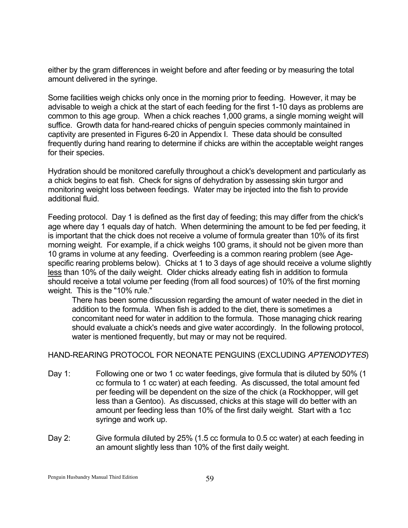either by the gram differences in weight before and after feeding or by measuring the total amount delivered in the syringe.

Some facilities weigh chicks only once in the morning prior to feeding. However, it may be advisable to weigh a chick at the start of each feeding for the first 1-10 days as problems are common to this age group. When a chick reaches 1,000 grams, a single morning weight will suffice. Growth data for hand-reared chicks of penguin species commonly maintained in captivity are presented in Figures 6-20 in Appendix I. These data should be consulted frequently during hand rearing to determine if chicks are within the acceptable weight ranges for their species.

Hydration should be monitored carefully throughout a chick's development and particularly as a chick begins to eat fish. Check for signs of dehydration by assessing skin turgor and monitoring weight loss between feedings. Water may be injected into the fish to provide additional fluid.

Feeding protocol. Day 1 is defined as the first day of feeding; this may differ from the chick's age where day 1 equals day of hatch. When determining the amount to be fed per feeding, it is important that the chick does not receive a volume of formula greater than 10% of its first morning weight. For example, if a chick weighs 100 grams, it should not be given more than 10 grams in volume at any feeding. Overfeeding is a common rearing problem (see Agespecific rearing problems below). Chicks at 1 to 3 days of age should receive a volume slightly less than 10% of the daily weight. Older chicks already eating fish in addition to formula should receive a total volume per feeding (from all food sources) of 10% of the first morning weight. This is the "10% rule."

There has been some discussion regarding the amount of water needed in the diet in addition to the formula. When fish is added to the diet, there is sometimes a concomitant need for water in addition to the formula. Those managing chick rearing should evaluate a chick's needs and give water accordingly. In the following protocol, water is mentioned frequently, but may or may not be required.

# HAND-REARING PROTOCOL FOR NEONATE PENGUINS (EXCLUDING *APTENODYTES*)

- Day 1: Following one or two 1 cc water feedings, give formula that is diluted by 50% (1 cc formula to 1 cc water) at each feeding. As discussed, the total amount fed per feeding will be dependent on the size of the chick (a Rockhopper, will get less than a Gentoo). As discussed, chicks at this stage will do better with an amount per feeding less than 10% of the first daily weight. Start with a 1cc syringe and work up.
- Day 2: Give formula diluted by 25% (1.5 cc formula to 0.5 cc water) at each feeding in an amount slightly less than 10% of the first daily weight.

Penguin Husbandry Manual Third Edition 59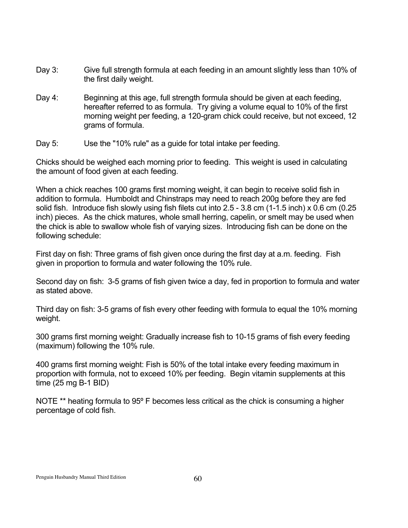- Day 3: Give full strength formula at each feeding in an amount slightly less than 10% of the first daily weight.
- Day 4: Beginning at this age, full strength formula should be given at each feeding, hereafter referred to as formula. Try giving a volume equal to 10% of the first morning weight per feeding, a 120-gram chick could receive, but not exceed, 12 grams of formula.
- Day 5: Use the "10% rule" as a guide for total intake per feeding.

Chicks should be weighed each morning prior to feeding. This weight is used in calculating the amount of food given at each feeding.

When a chick reaches 100 grams first morning weight, it can begin to receive solid fish in addition to formula. Humboldt and Chinstraps may need to reach 200g before they are fed solid fish. Introduce fish slowly using fish filets cut into 2.5 - 3.8 cm (1-1.5 inch) x 0.6 cm (0.25 inch) pieces. As the chick matures, whole small herring, capelin, or smelt may be used when the chick is able to swallow whole fish of varying sizes. Introducing fish can be done on the following schedule:

First day on fish: Three grams of fish given once during the first day at a.m. feeding. Fish given in proportion to formula and water following the 10% rule.

Second day on fish: 3-5 grams of fish given twice a day, fed in proportion to formula and water as stated above.

Third day on fish: 3-5 grams of fish every other feeding with formula to equal the 10% morning weight.

300 grams first morning weight: Gradually increase fish to 10-15 grams of fish every feeding (maximum) following the 10% rule.

400 grams first morning weight: Fish is 50% of the total intake every feeding maximum in proportion with formula, not to exceed 10% per feeding. Begin vitamin supplements at this time (25 mg B-1 BID)

NOTE <sup>\*\*</sup> heating formula to 95° F becomes less critical as the chick is consuming a higher percentage of cold fish.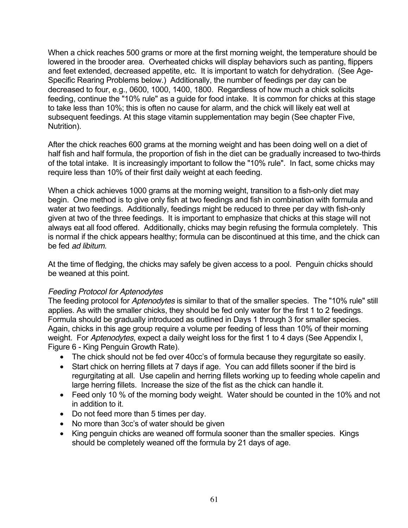When a chick reaches 500 grams or more at the first morning weight, the temperature should be lowered in the brooder area. Overheated chicks will display behaviors such as panting, flippers and feet extended, decreased appetite, etc. It is important to watch for dehydration. (See Age-Specific Rearing Problems below.) Additionally, the number of feedings per day can be decreased to four, e.g., 0600, 1000, 1400, 1800. Regardless of how much a chick solicits feeding, continue the "10% rule" as a guide for food intake. It is common for chicks at this stage to take less than 10%; this is often no cause for alarm, and the chick will likely eat well at subsequent feedings. At this stage vitamin supplementation may begin (See chapter Five, Nutrition).

After the chick reaches 600 grams at the morning weight and has been doing well on a diet of half fish and half formula, the proportion of fish in the diet can be gradually increased to two-thirds of the total intake. It is increasingly important to follow the "10% rule". In fact, some chicks may require less than 10% of their first daily weight at each feeding.

When a chick achieves 1000 grams at the morning weight, transition to a fish-only diet may begin. One method is to give only fish at two feedings and fish in combination with formula and water at two feedings. Additionally, feedings might be reduced to three per day with fish-only given at two of the three feedings. It is important to emphasize that chicks at this stage will not always eat all food offered. Additionally, chicks may begin refusing the formula completely. This is normal if the chick appears healthy; formula can be discontinued at this time, and the chick can be fed *ad libitum.*

At the time of fledging, the chicks may safely be given access to a pool. Penguin chicks should be weaned at this point.

# *Feeding Protocol for Aptenodytes*

The feeding protocol for *Aptenodytes* is similar to that of the smaller species. The "10% rule" still applies. As with the smaller chicks, they should be fed only water for the first 1 to 2 feedings. Formula should be gradually introduced as outlined in Days 1 through 3 for smaller species. Again, chicks in this age group require a volume per feeding of less than 10% of their morning weight. For *Aptenodytes*, expect a daily weight loss for the first 1 to 4 days (See Appendix I, Figure 6 - King Penguin Growth Rate).

The chick should not be fed over 40cc's of formula because they regurgitate so easily. Start chick on herring fillets at 7 days if age. You can add fillets sooner if the bird is regurgitating at all. Use capelin and herring fillets working up to feeding whole capelin and large herring fillets. Increase the size of the fist as the chick can handle it.

Feed only 10 % of the morning body weight. Water should be counted in the 10% and not in addition to it.

Do not feed more than 5 times per day.

No more than 3cc's of water should be given

King penguin chicks are weaned off formula sooner than the smaller species. Kings should be completely weaned off the formula by 21 days of age.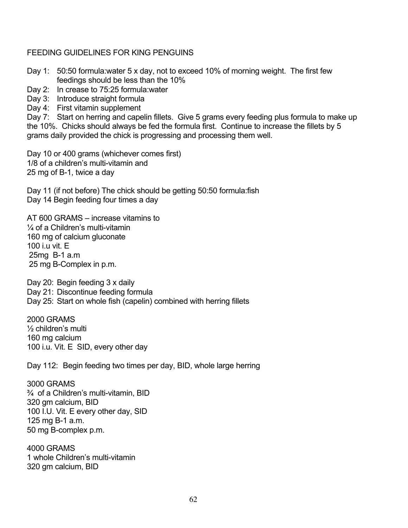# FEEDING GUIDELINES FOR KING PENGUINS

- Day 1: 50:50 formula:water 5 x day, not to exceed 10% of morning weight. The first few feedings should be less than the 10%
- Day 2: In crease to 75:25 formula:water
- Day 3: Introduce straight formula
- Day 4: First vitamin supplement

Day 7: Start on herring and capelin fillets. Give 5 grams every feeding plus formula to make up the 10%. Chicks should always be fed the formula first. Continue to increase the fillets by 5 grams daily provided the chick is progressing and processing them well.

Day 10 or 400 grams (whichever comes first) 1/8 of a children's multi-vitamin and 25 mg of B-1, twice a day

Day 11 (if not before) The chick should be getting 50:50 formula:fish Day 14 Begin feeding four times a day

AT 600 GRAMS – increase vitamins to ¼ of a Children's multi-vitamin 160 mg of calcium gluconate 100 i.u vit. E 25mg B-1 a.m 25 mg B-Complex in p.m.

Day 20: Begin feeding 3 x daily Day 21: Discontinue feeding formula Day 25: Start on whole fish (capelin) combined with herring fillets

2000 GRAMS ½ children's multi 160 mg calcium 100 i.u. Vit. E SID, every other day

Day 112: Begin feeding two times per day, BID, whole large herring

3000 GRAMS ¾ of a Children's multi-vitamin, BID 320 gm calcium, BID 100 I.U. Vit. E every other day, SID 125 mg B-1 a.m. 50 mg B-complex p.m.

4000 GRAMS 1 whole Children's multi-vitamin 320 gm calcium, BID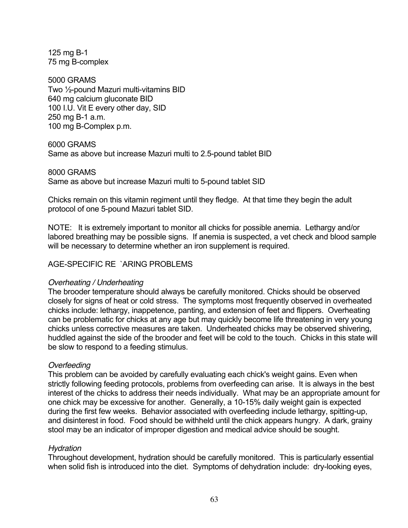125 mg B-1 75 mg B-complex

5000 GRAMS Two ½-pound Mazuri multi-vitamins BID 640 mg calcium gluconate BID 100 I.U. Vit E every other day, SID 250 mg B-1 a.m. 100 mg B-Complex p.m.

6000 GRAMS

Same as above but increase Mazuri multi to 2.5-pound tablet BID

8000 GRAMS Same as above but increase Mazuri multi to 5-pound tablet SID

Chicks remain on this vitamin regiment until they fledge. At that time they begin the adult protocol of one 5-pound Mazuri tablet SID.

NOTE: It is extremely important to monitor all chicks for possible anemia. Lethargy and/or labored breathing may be possible signs. If anemia is suspected, a vet check and blood sample will be necessary to determine whether an iron supplement is required.

# AGE-SPECIFIC RE `ARING PROBLEMS

# *Overheating / Underheating*

The brooder temperature should always be carefully monitored. Chicks should be observed closely for signs of heat or cold stress. The symptoms most frequently observed in overheated chicks include: lethargy, inappetence, panting, and extension of feet and flippers. Overheating can be problematic for chicks at any age but may quickly become life threatening in very young chicks unless corrective measures are taken. Underheated chicks may be observed shivering, huddled against the side of the brooder and feet will be cold to the touch. Chicks in this state will be slow to respond to a feeding stimulus.

# *Overfeeding*

This problem can be avoided by carefully evaluating each chick's weight gains. Even when strictly following feeding protocols, problems from overfeeding can arise. It is always in the best interest of the chicks to address their needs individually. What may be an appropriate amount for one chick may be excessive for another. Generally, a 10-15% daily weight gain is expected during the first few weeks. Behavior associated with overfeeding include lethargy, spitting-up, and disinterest in food. Food should be withheld until the chick appears hungry. A dark, grainy stool may be an indicator of improper digestion and medical advice should be sought.

# *Hydration*

Throughout development, hydration should be carefully monitored. This is particularly essential when solid fish is introduced into the diet. Symptoms of dehydration include: dry-looking eyes,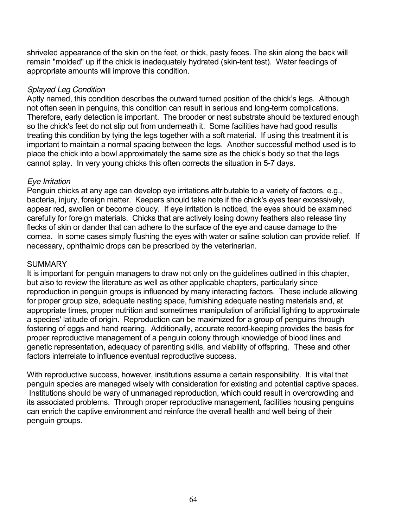shriveled appearance of the skin on the feet, or thick, pasty feces. The skin along the back will remain "molded" up if the chick is inadequately hydrated (skin-tent test). Water feedings of appropriate amounts will improve this condition.

# *Splayed Leg Condition*

Aptly named, this condition describes the outward turned position of the chick's legs. Although not often seen in penguins, this condition can result in serious and long-term complications. Therefore, early detection is important. The brooder or nest substrate should be textured enough so the chick's feet do not slip out from underneath it. Some facilities have had good results treating this condition by tying the legs together with a soft material. If using this treatment it is important to maintain a normal spacing between the legs. Another successful method used is to place the chick into a bowl approximately the same size as the chick's body so that the legs cannot splay. In very young chicks this often corrects the situation in 5-7 days.

# *Eye Irritation*

Penguin chicks at any age can develop eye irritations attributable to a variety of factors, e.g., bacteria, injury, foreign matter. Keepers should take note if the chick's eyes tear excessively, appear red, swollen or become cloudy. If eye irritation is noticed, the eyes should be examined carefully for foreign materials. Chicks that are actively losing downy feathers also release tiny flecks of skin or dander that can adhere to the surface of the eye and cause damage to the cornea. In some cases simply flushing the eyes with water or saline solution can provide relief. If necessary, ophthalmic drops can be prescribed by the veterinarian.

# **SUMMARY**

It is important for penguin managers to draw not only on the guidelines outlined in this chapter, but also to review the literature as well as other applicable chapters, particularly since reproduction in penguin groups is influenced by many interacting factors. These include allowing for proper group size, adequate nesting space, furnishing adequate nesting materials and, at appropriate times, proper nutrition and sometimes manipulation of artificial lighting to approximate a species' latitude of origin. Reproduction can be maximized for a group of penguins through fostering of eggs and hand rearing. Additionally, accurate record-keeping provides the basis for proper reproductive management of a penguin colony through knowledge of blood lines and genetic representation, adequacy of parenting skills, and viability of offspring. These and other factors interrelate to influence eventual reproductive success.

With reproductive success, however, institutions assume a certain responsibility. It is vital that penguin species are managed wisely with consideration for existing and potential captive spaces. Institutions should be wary of unmanaged reproduction, which could result in overcrowding and its associated problems. Through proper reproductive management, facilities housing penguins can enrich the captive environment and reinforce the overall health and well being of their penguin groups.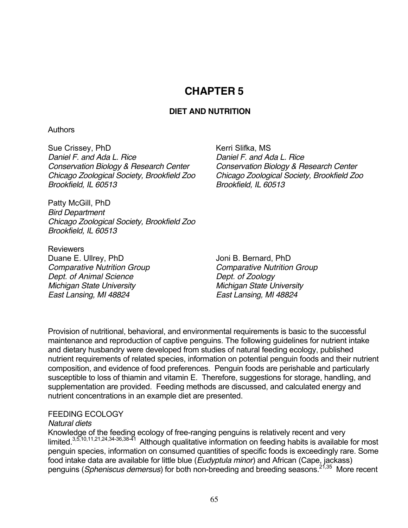# **CHAPTER 5**

# **DIET AND NUTRITION**

# **Authors**

Sue Crissey, PhD Kerri Slifka, MS *Daniel F. and Ada L. Rice Daniel F. and Ada L. Rice Conservation Biology & Research Center Conservation Biology & Research Center Brookfield, IL 60513 Brookfield, IL 60513* 

*Chicago Zoological Society, Brookfield Zoo Chicago Zoological Society, Brookfield Zoo* 

Patty McGill, PhD *Bird Department Chicago Zoological Society, Brookfield Zoo Brookfield, IL 60513* 

**Reviewers** Duane E. Ullrey, PhD Joni B. Bernard, PhD *Comparative Nutrition Group Comparative Nutrition Group Dept. of Animal Science Dept. of Zoology Michigan State University Michigan State University East Lansing, MI 48824 East Lansing, MI 48824* 

Provision of nutritional, behavioral, and environmental requirements is basic to the successful maintenance and reproduction of captive penguins. The following guidelines for nutrient intake and dietary husbandry were developed from studies of natural feeding ecology, published nutrient requirements of related species, information on potential penguin foods and their nutrient composition, and evidence of food preferences. Penguin foods are perishable and particularly susceptible to loss of thiamin and vitamin E. Therefore, suggestions for storage, handling, and supplementation are provided. Feeding methods are discussed, and calculated energy and nutrient concentrations in an example diet are presented.

# FEEDING ECOLOGY

# *Natural diets*

Knowledge of the feeding ecology of free-ranging penguins is relatively recent and very limited.<sup>3,5,10,11,21,24,34-36,38-41</sup> Although qualitative information on feeding habits is available for most penguin species, information on consumed quantities of specific foods is exceedingly rare. Some food intake data are available for little blue (*Eudyptula minor*) and African (Cape, jackass) penguins (*Spheniscus demersus*) for both non-breeding and breeding seasons.<sup>21,35</sup> More recent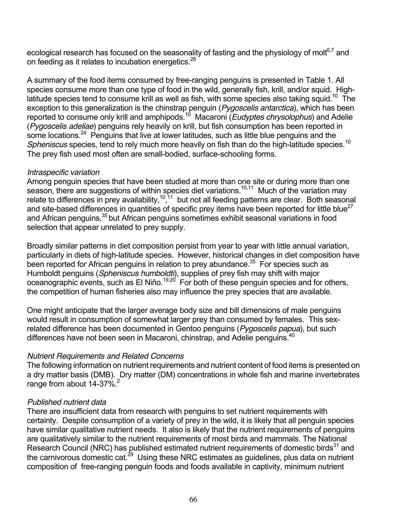ecological research has focused on the seasonality of fasting and the physiology of molt<sup>6,7</sup> and on feeding as it relates to incubation energetics. $28$ 

A summary of the food items consumed by free-ranging penguins is presented in Table 1. All species consume more than one type of food in the wild, generally fish, krill, and/or squid. Highlatitude species tend to consume krill as well as fish, with some species also taking squid.<sup>10</sup> The exception to this generalization is the chinstrap penguin (*Pygoscelis antarctica*), which has been reported to consume only krill and amphipods.10 Macaroni (*Eudyptes chrysolophus*) and Adelie (*Pygoscelis adeliae*) penguins rely heavily on krill, but fish consumption has been reported in some locations.<sup>24</sup> Penguins that live at lower latitudes, such as little blue penguins and the *Spheniscus* species, tend to rely much more heavily on fish than do the high-latitude species.<sup>10</sup> The prey fish used most often are small-bodied, surface-schooling forms.

# *Intraspecific variation*

Among penguin species that have been studied at more than one site or during more than one season, there are suggestions of within species diet variations.<sup>10,11</sup> Much of the variation may relate to differences in prey availability,  $10,11$  but not all feeding patterns are clear. Both seasonal and site-based differences in quantities of specific prey items have been reported for little blue<sup>27</sup> and African penguins,<sup>35</sup> but African penguins sometimes exhibit seasonal variations in food selection that appear unrelated to prey supply.

Broadly similar patterns in diet composition persist from year to year with little annual variation, particularly in diets of high-latitude species. However, historical changes in diet composition have been reported for African penguins in relation to prey abundance.<sup>35</sup> For species such as Humboldt penguins (*Spheniscus humboldti*), supplies of prey fish may shift with major oceanographic events, such as El Niño.<sup>19,20</sup> For both of these penguin species and for others, the competition of human fisheries also may influence the prey species that are available.

One might anticipate that the larger average body size and bill dimensions of male penguins would result in consumption of somewhat larger prey than consumed by females. This sexrelated difference has been documented in Gentoo penguins (*Pygoscelis papua*), but such differences have not been seen in Macaroni, chinstrap, and Adelie penguins.<sup>40</sup>

# *Nutrient Requirements and Related Concerns*

The following information on nutrient requirements and nutrient content of food items is presented on a dry matter basis (DMB). Dry matter (DM) concentrations in whole fish and marine invertebrates range from about  $14-37\%$ <sup>2</sup>

# *Published nutrient data*

There are insufficient data from research with penguins to set nutrient requirements with certainty. Despite consumption of a variety of prey in the wild, it is likely that all penguin species have similar qualitative nutrient needs. It also is likely that the nutrient requirements of penguins are qualitatively similar to the nutrient requirements of most birds and mammals. The National Research Council (NRC) has published estimated nutrient requirements of domestic birds<sup>31</sup> and the carnivorous domestic cat.<sup>29</sup> Using these NRC estimates as guidelines, plus data on nutrient composition of free-ranging penguin foods and foods available in captivity, minimum nutrient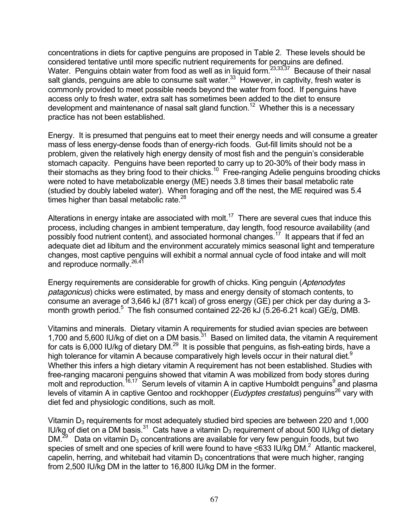concentrations in diets for captive penguins are proposed in Table 2. These levels should be considered tentative until more specific nutrient requirements for penguins are defined. Water. Penguins obtain water from food as well as in liquid form.<sup>23,33,37</sup> Because of their nasal salt glands, penguins are able to consume salt water. $33$  However, in captivity, fresh water is commonly provided to meet possible needs beyond the water from food. If penguins have access only to fresh water, extra salt has sometimes been added to the diet to ensure development and maintenance of nasal salt gland function.<sup>12</sup> Whether this is a necessary practice has not been established.

Energy. It is presumed that penguins eat to meet their energy needs and will consume a greater mass of less energy-dense foods than of energy-rich foods. Gut-fill limits should not be a problem, given the relatively high energy density of most fish and the penguin's considerable stomach capacity. Penguins have been reported to carry up to 20-30% of their body mass in their stomachs as they bring food to their chicks.<sup>10</sup> Free-ranging Adelie penguins brooding chicks were noted to have metabolizable energy (ME) needs 3.8 times their basal metabolic rate (studied by doubly labeled water). When foraging and off the nest, the ME required was 5.4 times higher than basal metabolic rate. $28$ 

Alterations in energy intake are associated with molt.<sup>17</sup> There are several cues that induce this process, including changes in ambient temperature, day length, food resource availability (and possibly food nutrient content), and associated hormonal changes.<sup>17</sup> It appears that if fed an adequate diet ad libitum and the environment accurately mimics seasonal light and temperature changes, most captive penguins will exhibit a normal annual cycle of food intake and will molt and reproduce normally.<sup>26,41</sup>

Energy requirements are considerable for growth of chicks. King penguin (*Aptenodytes patagonicus*) chicks were estimated, by mass and energy density of stomach contents, to consume an average of 3,646 kJ (871 kcal) of gross energy (GE) per chick per day during a 3 month growth period.<sup>5</sup> The fish consumed contained 22-26 kJ (5.26-6.21 kcal) GE/g, DMB.

Vitamins and minerals. Dietary vitamin A requirements for studied avian species are between 1,700 and 5,600 IU/kg of diet on a DM basis. $31$  Based on limited data, the vitamin A requirement for cats is 6,000 IU/kg of dietary DM.<sup>29</sup> It is possible that penguins, as fish-eating birds, have a high tolerance for vitamin A because comparatively high levels occur in their natural diet.<sup>9</sup> Whether this infers a high dietary vitamin A requirement has not been established. Studies with free-ranging macaroni penguins showed that vitamin A was mobilized from body stores during molt and reproduction.<sup>16,17</sup> Serum levels of vitamin A in captive Humboldt penguins<sup>9</sup> and plasma levels of vitamin A in captive Gentoo and rockhopper (*Eudyptes crestatus*) penguins<sup>26</sup> vary with diet fed and physiologic conditions, such as molt.

Vitamin  $D_3$  requirements for most adequately studied bird species are between 220 and 1,000 IU/kg of diet on a DM basis.<sup>31</sup> Cats have a vitamin D<sub>3</sub> requirement of about 500 IU/kg of dietary DM.<sup>29</sup> Data on vitamin D<sub>3</sub> concentrations are available for very few penguin foods, but two species of smelt and one species of krill were found to have  $\leq$ 633 IU/kg DM.<sup>2</sup> Atlantic mackerel, capelin, herring, and whitebait had vitamin  $D_3$  concentrations that were much higher, ranging from 2,500 IU/kg DM in the latter to 16,800 IU/kg DM in the former.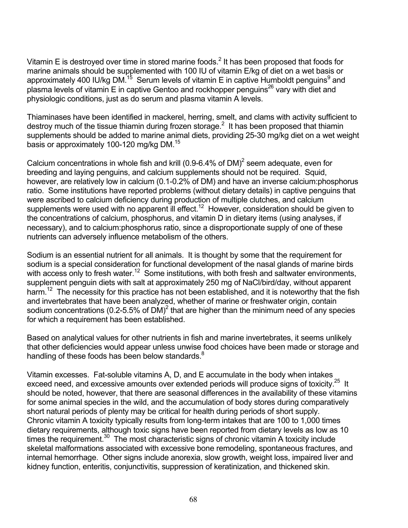Vitamin E is destroyed over time in stored marine foods.<sup>2</sup> It has been proposed that foods for marine animals should be supplemented with 100 IU of vitamin E/kg of diet on a wet basis or approximately 400 IU/kg DM.<sup>15</sup> Serum levels of vitamin E in captive Humboldt penguins<sup>9</sup> and plasma levels of vitamin E in captive Gentoo and rockhopper penguins<sup>26</sup> vary with diet and physiologic conditions, just as do serum and plasma vitamin A levels.

Thiaminases have been identified in mackerel, herring, smelt, and clams with activity sufficient to destroy much of the tissue thiamin during frozen storage.<sup>2</sup> It has been proposed that thiamin supplements should be added to marine animal diets, providing 25-30 mg/kg diet on a wet weight basis or approximately 100-120 mg/kg DM.<sup>15</sup>

Calcium concentrations in whole fish and krill (0.9-6.4% of DM)<sup>2</sup> seem adequate, even for breeding and laying penguins, and calcium supplements should not be required. Squid, however, are relatively low in calcium (0.1-0.2% of DM) and have an inverse calcium:phosphorus ratio. Some institutions have reported problems (without dietary details) in captive penguins that were ascribed to calcium deficiency during production of multiple clutches, and calcium supplements were used with no apparent ill effect.<sup>12</sup> However, consideration should be given to the concentrations of calcium, phosphorus, and vitamin D in dietary items (using analyses, if necessary), and to calcium:phosphorus ratio, since a disproportionate supply of one of these nutrients can adversely influence metabolism of the others.

Sodium is an essential nutrient for all animals. It is thought by some that the requirement for sodium is a special consideration for functional development of the nasal glands of marine birds with access only to fresh water.<sup>12</sup> Some institutions, with both fresh and saltwater environments, supplement penguin diets with salt at approximately 250 mg of NaCl/bird/day, without apparent harm.<sup>12</sup> The necessity for this practice has not been established, and it is noteworthy that the fish and invertebrates that have been analyzed, whether of marine or freshwater origin, contain sodium concentrations (0.2-5.5% of DM)<sup>2</sup> that are higher than the minimum need of any species for which a requirement has been established.

Based on analytical values for other nutrients in fish and marine invertebrates, it seems unlikely that other deficiencies would appear unless unwise food choices have been made or storage and handling of these foods has been below standards.<sup>8</sup>

Vitamin excesses. Fat-soluble vitamins A, D, and E accumulate in the body when intakes exceed need, and excessive amounts over extended periods will produce signs of toxicity.<sup>25</sup> It should be noted, however, that there are seasonal differences in the availability of these vitamins for some animal species in the wild, and the accumulation of body stores during comparatively short natural periods of plenty may be critical for health during periods of short supply. Chronic vitamin A toxicity typically results from long-term intakes that are 100 to 1,000 times dietary requirements, although toxic signs have been reported from dietary levels as low as 10 times the requirement.<sup>30</sup> The most characteristic signs of chronic vitamin A toxicity include skeletal malformations associated with excessive bone remodeling, spontaneous fractures, and internal hemorrhage. Other signs include anorexia, slow growth, weight loss, impaired liver and kidney function, enteritis, conjunctivitis, suppression of keratinization, and thickened skin.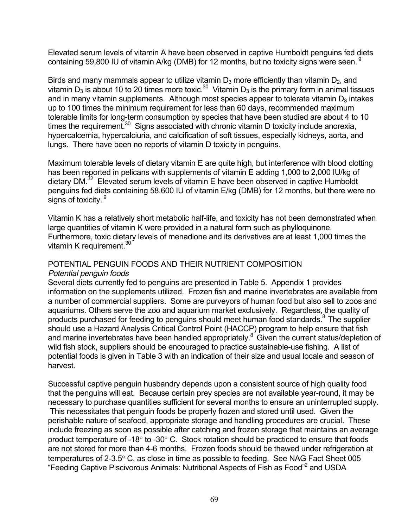Elevated serum levels of vitamin A have been observed in captive Humboldt penguins fed diets containing 59,800 IU of vitamin A/kg (DMB) for 12 months, but no toxicity signs were seen.<sup>9</sup>

Birds and many mammals appear to utilize vitamin  $D_3$  more efficiently than vitamin  $D_2$ , and vitamin D<sub>3</sub> is about 10 to 20 times more toxic.<sup>30</sup> Vitamin D<sub>3</sub> is the primary form in animal tissues and in many vitamin supplements. Although most species appear to tolerate vitamin  $D_3$  intakes up to 100 times the minimum requirement for less than 60 days, recommended maximum tolerable limits for long-term consumption by species that have been studied are about 4 to 10 times the requirement.<sup>30</sup> Signs associated with chronic vitamin D toxicity include anorexia, hypercalcemia, hypercalciuria, and calcification of soft tissues, especially kidneys, aorta, and lungs. There have been no reports of vitamin D toxicity in penguins.

Maximum tolerable levels of dietary vitamin E are quite high, but interference with blood clotting has been reported in pelicans with supplements of vitamin E adding 1,000 to 2,000 IU/kg of dietary DM.<sup>32</sup> Elevated serum levels of vitamin E have been observed in captive Humboldt penguins fed diets containing 58,600 IU of vitamin E/kg (DMB) for 12 months, but there were no signs of toxicity. <sup>9</sup>

Vitamin K has a relatively short metabolic half-life, and toxicity has not been demonstrated when large quantities of vitamin K were provided in a natural form such as phylloquinone. Furthermore, toxic dietary levels of menadione and its derivatives are at least 1,000 times the vitamin K requirement. $30$ 

# POTENTIAL PENGUIN FOODS AND THEIR NUTRIENT COMPOSITION *Potential penguin foods*

Several diets currently fed to penguins are presented in Table 5. Appendix 1 provides information on the supplements utilized. Frozen fish and marine invertebrates are available from a number of commercial suppliers. Some are purveyors of human food but also sell to zoos and aquariums. Others serve the zoo and aquarium market exclusively. Regardless, the quality of products purchased for feeding to penguins should meet human food standards.<sup>8</sup> The supplier should use a Hazard Analysis Critical Control Point (HACCP) program to help ensure that fish and marine invertebrates have been handled appropriately.<sup>8</sup> Given the current status/depletion of wild fish stock, suppliers should be encouraged to practice sustainable-use fishing. A list of potential foods is given in Table 3 with an indication of their size and usual locale and season of harvest.

Successful captive penguin husbandry depends upon a consistent source of high quality food that the penguins will eat. Because certain prey species are not available year-round, it may be necessary to purchase quantities sufficient for several months to ensure an uninterrupted supply. This necessitates that penguin foods be properly frozen and stored until used. Given the perishable nature of seafood, appropriate storage and handling procedures are crucial. These include freezing as soon as possible after catching and frozen storage that maintains an average product temperature of -18 to -30 C. Stock rotation should be practiced to ensure that foods are not stored for more than 4-6 months. Frozen foods should be thawed under refrigeration at temperatures of 2-3.5 C, as close in time as possible to feeding. See NAG Fact Sheet 005 "Feeding Captive Piscivorous Animals: Nutritional Aspects of Fish as Food"<sup>2</sup> and USDA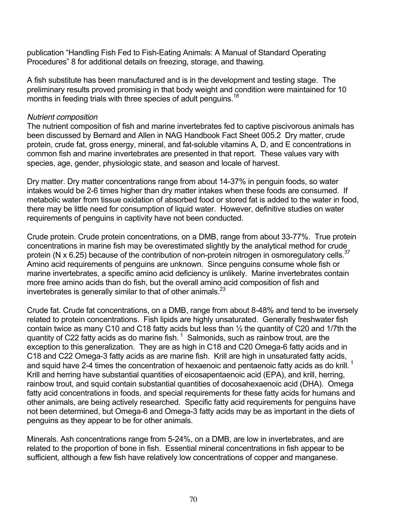publication "Handling Fish Fed to Fish-Eating Animals: A Manual of Standard Operating Procedures" 8 for additional details on freezing, storage, and thawing.

A fish substitute has been manufactured and is in the development and testing stage. The preliminary results proved promising in that body weight and condition were maintained for 10 months in feeding trials with three species of adult penguins.<sup>18</sup>

# *Nutrient composition*

The nutrient composition of fish and marine invertebrates fed to captive piscivorous animals has been discussed by Bernard and Allen in NAG Handbook Fact Sheet 005.2 Dry matter, crude protein, crude fat, gross energy, mineral, and fat-soluble vitamins A, D, and E concentrations in common fish and marine invertebrates are presented in that report. These values vary with species, age, gender, physiologic state, and season and locale of harvest.

Dry matter. Dry matter concentrations range from about 14-37% in penguin foods, so water intakes would be 2-6 times higher than dry matter intakes when these foods are consumed. If metabolic water from tissue oxidation of absorbed food or stored fat is added to the water in food, there may be little need for consumption of liquid water. However, definitive studies on water requirements of penguins in captivity have not been conducted.

Crude protein. Crude protein concentrations, on a DMB, range from about 33-77%. True protein concentrations in marine fish may be overestimated slightly by the analytical method for crude protein (N x 6.25) because of the contribution of non-protein nitrogen in osmoregulatory cells.<sup>37</sup> Amino acid requirements of penguins are unknown. Since penguins consume whole fish or marine invertebrates, a specific amino acid deficiency is unlikely. Marine invertebrates contain more free amino acids than do fish, but the overall amino acid composition of fish and invertebrates is generally similar to that of other animals. $^{23}$ 

Crude fat. Crude fat concentrations, on a DMB, range from about 8-48% and tend to be inversely related to protein concentrations. Fish lipids are highly unsaturated. Generally freshwater fish contain twice as many C10 and C18 fatty acids but less than ½ the quantity of C20 and 1/7th the quantity of C22 fatty acids as do marine fish.  $1$  Salmonids, such as rainbow trout, are the exception to this generalization. They are as high in C18 and C20 Omega-6 fatty acids and in C18 and C22 Omega-3 fatty acids as are marine fish. Krill are high in unsaturated fatty acids, and squid have 2-4 times the concentration of hexaenoic and pentaenoic fatty acids as do krill.  $1$ Krill and herring have substantial quantities of eicosapentaenoic acid (EPA), and krill, herring, rainbow trout, and squid contain substantial quantities of docosahexaenoic acid (DHA). Omega fatty acid concentrations in foods, and special requirements for these fatty acids for humans and other animals, are being actively researched. Specific fatty acid requirements for penguins have not been determined, but Omega-6 and Omega-3 fatty acids may be as important in the diets of penguins as they appear to be for other animals.

Minerals. Ash concentrations range from 5-24%, on a DMB, are low in invertebrates, and are related to the proportion of bone in fish. Essential mineral concentrations in fish appear to be sufficient, although a few fish have relatively low concentrations of copper and manganese.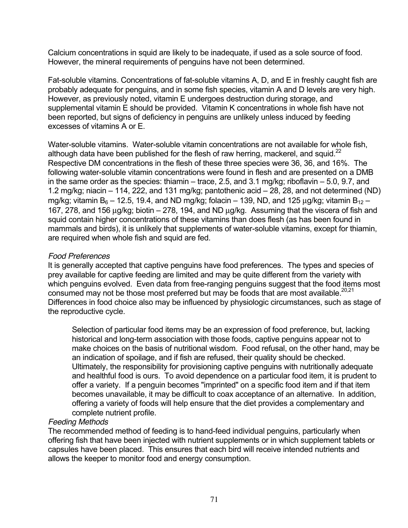Calcium concentrations in squid are likely to be inadequate, if used as a sole source of food. However, the mineral requirements of penguins have not been determined.

Fat-soluble vitamins. Concentrations of fat-soluble vitamins A, D, and E in freshly caught fish are probably adequate for penguins, and in some fish species, vitamin A and D levels are very high. However, as previously noted, vitamin E undergoes destruction during storage, and supplemental vitamin E should be provided. Vitamin K concentrations in whole fish have not been reported, but signs of deficiency in penguins are unlikely unless induced by feeding excesses of vitamins A or E.

Water-soluble vitamins. Water-soluble vitamin concentrations are not available for whole fish, although data have been published for the flesh of raw herring, mackerel, and squid. $^{22}$ Respective DM concentrations in the flesh of these three species were 36, 36, and 16%. The following water-soluble vitamin concentrations were found in flesh and are presented on a DMB in the same order as the species: thiamin – trace, 2.5, and 3.1 mg/kg; riboflavin – 5.0, 9.7, and 1.2 mg/kg; niacin – 114, 222, and 131 mg/kg; pantothenic acid – 28, 28, and not determined (ND) mg/kg; vitamin B<sub>6</sub> – 12.5, 19.4, and ND mg/kg; folacin – 139, ND, and 125 g/kg; vitamin B<sub>12</sub> – 167, 278, and 156 g/kg; biotin – 278, 194, and ND g/kg. Assuming that the viscera of fish and squid contain higher concentrations of these vitamins than does flesh (as has been found in mammals and birds), it is unlikely that supplements of water-soluble vitamins, except for thiamin, are required when whole fish and squid are fed.

# *Food Preferences*

It is generally accepted that captive penguins have food preferences. The types and species of prey available for captive feeding are limited and may be quite different from the variety with which penguins evolved. Even data from free-ranging penguins suggest that the food items most consumed may not be those most preferred but may be foods that are most available.<sup>20,21</sup> Differences in food choice also may be influenced by physiologic circumstances, such as stage of the reproductive cycle.

Selection of particular food items may be an expression of food preference, but, lacking historical and long-term association with those foods, captive penguins appear not to make choices on the basis of nutritional wisdom. Food refusal, on the other hand, may be an indication of spoilage, and if fish are refused, their quality should be checked. Ultimately, the responsibility for provisioning captive penguins with nutritionally adequate and healthful food is ours. To avoid dependence on a particular food item, it is prudent to offer a variety. If a penguin becomes "imprinted" on a specific food item and if that item becomes unavailable, it may be difficult to coax acceptance of an alternative. In addition, offering a variety of foods will help ensure that the diet provides a complementary and complete nutrient profile.

# *Feeding Methods*

The recommended method of feeding is to hand-feed individual penguins, particularly when offering fish that have been injected with nutrient supplements or in which supplement tablets or capsules have been placed. This ensures that each bird will receive intended nutrients and allows the keeper to monitor food and energy consumption.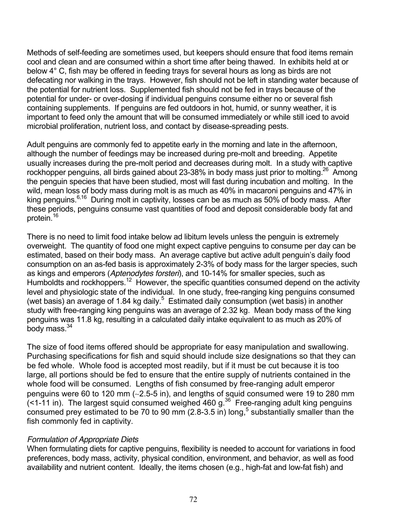Methods of self-feeding are sometimes used, but keepers should ensure that food items remain cool and clean and are consumed within a short time after being thawed. In exhibits held at or below 4° C, fish may be offered in feeding trays for several hours as long as birds are not defecating nor walking in the trays. However, fish should not be left in standing water because of the potential for nutrient loss. Supplemented fish should not be fed in trays because of the potential for under- or over-dosing if individual penguins consume either no or several fish containing supplements. If penguins are fed outdoors in hot, humid, or sunny weather, it is important to feed only the amount that will be consumed immediately or while still iced to avoid microbial proliferation, nutrient loss, and contact by disease-spreading pests.

Adult penguins are commonly fed to appetite early in the morning and late in the afternoon, although the number of feedings may be increased during pre-molt and breeding. Appetite usually increases during the pre-molt period and decreases during molt. In a study with captive rockhopper penguins, all birds gained about 23-38% in body mass just prior to molting.<sup>26</sup> Among the penguin species that have been studied, most will fast during incubation and molting. In the wild, mean loss of body mass during molt is as much as 40% in macaroni penguins and 47% in king penguins.<sup>6,16</sup> During molt in captivity, losses can be as much as 50% of body mass. After these periods, penguins consume vast quantities of food and deposit considerable body fat and protein.<sup>16</sup>

There is no need to limit food intake below ad libitum levels unless the penguin is extremely overweight. The quantity of food one might expect captive penguins to consume per day can be estimated, based on their body mass. An average captive but active adult penguin's daily food consumption on an as-fed basis is approximately 2-3% of body mass for the larger species, such as kings and emperors (*Aptenodytes forsteri*), and 10-14% for smaller species, such as Humboldts and rockhoppers.<sup>12</sup> However, the specific quantities consumed depend on the activity level and physiologic state of the individual. In one study, free-ranging king penguins consumed (wet basis) an average of 1.84 kg daily. $5$  Estimated daily consumption (wet basis) in another study with free-ranging king penguins was an average of 2.32 kg. Mean body mass of the king penguins was 11.8 kg, resulting in a calculated daily intake equivalent to as much as 20% of body mass. $34$ 

The size of food items offered should be appropriate for easy manipulation and swallowing. Purchasing specifications for fish and squid should include size designations so that they can be fed whole. Whole food is accepted most readily, but if it must be cut because it is too large, all portions should be fed to ensure that the entire supply of nutrients contained in the whole food will be consumed. Lengths of fish consumed by free-ranging adult emperor penguins were 60 to 120 mm (∼2.5-5 in), and lengths of squid consumed were 19 to 280 mm  $($  < 1-11 in). The largest squid consumed weighed 460 g.<sup>36</sup> Free-ranging adult king penguins consumed prey estimated to be 70 to 90 mm  $(2.8-3.5 \text{ in})$  long,<sup>5</sup> substantially smaller than the fish commonly fed in captivity.

# *Formulation of Appropriate Diets*

When formulating diets for captive penguins, flexibility is needed to account for variations in food preferences, body mass, activity, physical condition, environment, and behavior, as well as food availability and nutrient content. Ideally, the items chosen (e.g., high-fat and low-fat fish) and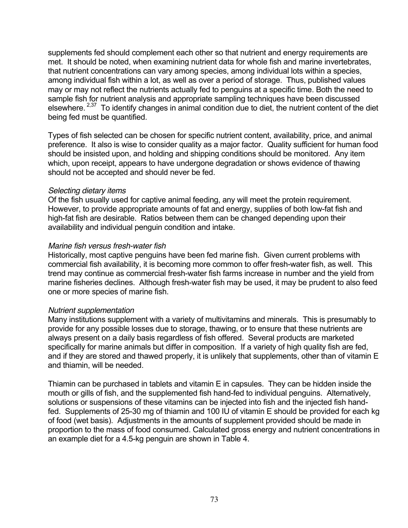supplements fed should complement each other so that nutrient and energy requirements are met. It should be noted, when examining nutrient data for whole fish and marine invertebrates, that nutrient concentrations can vary among species, among individual lots within a species, among individual fish within a lot, as well as over a period of storage. Thus, published values may or may not reflect the nutrients actually fed to penguins at a specific time. Both the need to sample fish for nutrient analysis and appropriate sampling techniques have been discussed elsewhere. 2,37 To identify changes in animal condition due to diet, the nutrient content of the diet being fed must be quantified.

Types of fish selected can be chosen for specific nutrient content, availability, price, and animal preference. It also is wise to consider quality as a major factor. Quality sufficient for human food should be insisted upon, and holding and shipping conditions should be monitored. Any item which, upon receipt, appears to have undergone degradation or shows evidence of thawing should not be accepted and should never be fed.

### *Selecting dietary items*

Of the fish usually used for captive animal feeding, any will meet the protein requirement. However, to provide appropriate amounts of fat and energy, supplies of both low-fat fish and high-fat fish are desirable. Ratios between them can be changed depending upon their availability and individual penguin condition and intake.

### *Marine fish versus fresh-water fish*

Historically, most captive penguins have been fed marine fish. Given current problems with commercial fish availability, it is becoming more common to offer fresh-water fish, as well. This trend may continue as commercial fresh-water fish farms increase in number and the yield from marine fisheries declines. Although fresh-water fish may be used, it may be prudent to also feed one or more species of marine fish.

#### *Nutrient supplementation*

Many institutions supplement with a variety of multivitamins and minerals. This is presumably to provide for any possible losses due to storage, thawing, or to ensure that these nutrients are always present on a daily basis regardless of fish offered. Several products are marketed specifically for marine animals but differ in composition. If a variety of high quality fish are fed, and if they are stored and thawed properly, it is unlikely that supplements, other than of vitamin E and thiamin, will be needed.

Thiamin can be purchased in tablets and vitamin E in capsules. They can be hidden inside the mouth or gills of fish, and the supplemented fish hand-fed to individual penguins. Alternatively, solutions or suspensions of these vitamins can be injected into fish and the injected fish handfed. Supplements of 25-30 mg of thiamin and 100 IU of vitamin E should be provided for each kg of food (wet basis). Adjustments in the amounts of supplement provided should be made in proportion to the mass of food consumed. Calculated gross energy and nutrient concentrations in an example diet for a 4.5-kg penguin are shown in Table 4.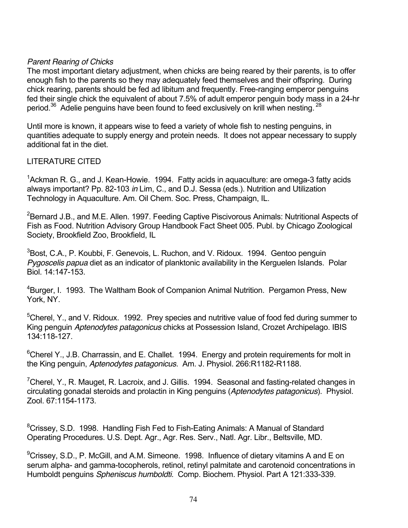# *Parent Rearing of Chicks*

The most important dietary adjustment, when chicks are being reared by their parents, is to offer enough fish to the parents so they may adequately feed themselves and their offspring. During chick rearing, parents should be fed ad libitum and frequently. Free-ranging emperor penguins fed their single chick the equivalent of about 7.5% of adult emperor penguin body mass in a 24-hr period.<sup>36</sup> Adelie penguins have been found to feed exclusively on krill when nesting. <sup>28</sup>

Until more is known, it appears wise to feed a variety of whole fish to nesting penguins, in quantities adequate to supply energy and protein needs. It does not appear necessary to supply additional fat in the diet.

# LITERATURE CITED

 $1$ Ackman R. G., and J. Kean-Howie. 1994. Fatty acids in aquaculture: are omega-3 fatty acids always important? Pp. 82-103 *in* Lim, C., and D.J. Sessa (eds.). Nutrition and Utilization Technology in Aquaculture. Am. Oil Chem. Soc. Press, Champaign, IL.

<sup>2</sup>Bernard J.B., and M.E. Allen. 1997. Feeding Captive Piscivorous Animals: Nutritional Aspects of Fish as Food. Nutrition Advisory Group Handbook Fact Sheet 005. Publ. by Chicago Zoological Society, Brookfield Zoo, Brookfield, IL

<sup>3</sup>Bost, C.A., P. Koubbi, F. Genevois, L. Ruchon, and V. Ridoux. 1994. Gentoo penguin *Pygoscelis papua* diet as an indicator of planktonic availability in the Kerguelen Islands. Polar Biol. 14:147-153.

<sup>4</sup>Burger, I. 1993. The Waltham Book of Companion Animal Nutrition. Pergamon Press, New York, NY.

<sup>5</sup>Cherel, Y., and V. Ridoux. 1992. Prey species and nutritive value of food fed during summer to King penguin *Aptenodytes patagonicus* chicks at Possession Island, Crozet Archipelago. IBIS 134:118-127.

 $6$ Cherel Y., J.B. Charrassin, and E. Challet. 1994. Energy and protein requirements for molt in the King penguin, *Aptenodytes patagonicus*. Am. J. Physiol. 266:R1182-R1188.

<sup>7</sup>Cherel, Y., R. Mauget, R. Lacroix, and J. Gillis. 1994. Seasonal and fasting-related changes in circulating gonadal steroids and prolactin in King penguins (*Aptenodytes patagonicus*). Physiol. Zool. 67:1154-1173.

<sup>8</sup>Crissey, S.D. 1998. Handling Fish Fed to Fish-Eating Animals: A Manual of Standard Operating Procedures. U.S. Dept. Agr., Agr. Res. Serv., Natl. Agr. Libr., Beltsville, MD.

 $^9$ Crissey, S.D., P. McGill, and A.M. Simeone. 1998. Influence of dietary vitamins A and E on serum alpha- and gamma-tocopherols, retinol, retinyl palmitate and carotenoid concentrations in Humboldt penguins *Spheniscus humboldti*. Comp. Biochem. Physiol. Part A 121:333-339.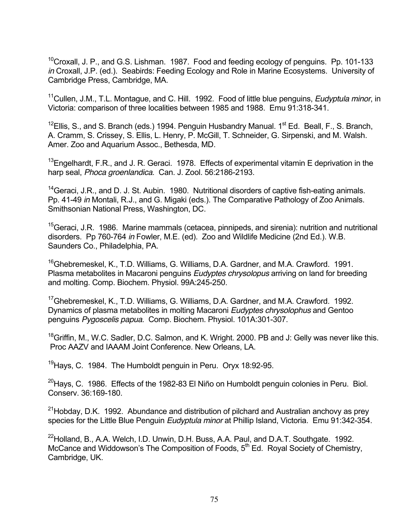<sup>10</sup>Croxall, J. P., and G.S. Lishman. 1987. Food and feeding ecology of penguins. Pp. 101-133 *in* Croxall, J.P. (ed.). Seabirds: Feeding Ecology and Role in Marine Ecosystems. University of Cambridge Press, Cambridge, MA.

11Cullen, J.M., T.L. Montague, and C. Hill. 1992. Food of little blue penguins, *Eudyptula minor*, in Victoria: comparison of three localities between 1985 and 1988. Emu 91:318-341.

<sup>12</sup>Ellis, S., and S. Branch (eds.) 1994. Penguin Husbandry Manual. 1<sup>st</sup> Ed. Beall, F., S. Branch, A. Cramm, S. Crissey, S. Ellis, L. Henry, P. McGill, T. Schneider, G. Sirpenski, and M. Walsh. Amer. Zoo and Aquarium Assoc., Bethesda, MD.

 $13$ Engelhardt, F.R., and J. R. Geraci. 1978. Effects of experimental vitamin E deprivation in the harp seal, *Phoca groenlandica*. Can. J. Zool. 56:2186-2193.

<sup>14</sup> Geraci, J.R., and D. J. St. Aubin. 1980. Nutritional disorders of captive fish-eating animals. Pp. 41-49 *in* Montali, R.J., and G. Migaki (eds.). The Comparative Pathology of Zoo Animals. Smithsonian National Press, Washington, DC.

<sup>15</sup>Geraci, J.R. 1986. Marine mammals (cetacea, pinnipeds, and sirenia): nutrition and nutritional disorders. Pp 760-764 *in* Fowler, M.E. (ed). Zoo and Wildlife Medicine (2nd Ed.). W.B. Saunders Co., Philadelphia, PA.

<sup>16</sup>Ghebremeskel, K., T.D. Williams, G. Williams, D.A. Gardner, and M.A. Crawford. 1991. Plasma metabolites in Macaroni penguins *Eudyptes chrysolopus* arriving on land for breeding and molting. Comp. Biochem. Physiol. 99A:245-250.

17Ghebremeskel, K., T.D. Williams, G. Williams, D.A. Gardner, and M.A. Crawford. 1992. Dynamics of plasma metabolites in molting Macaroni *Eudyptes chrysolophus* and Gentoo penguins *Pygoscelis papua*. Comp. Biochem. Physiol. 101A:301-307.

<sup>18</sup>Griffin, M., W.C. Sadler, D.C. Salmon, and K. Wright. 2000. PB and J: Gelly was never like this. Proc AAZV and IAAAM Joint Conference. New Orleans, LA.

<sup>19</sup> Hays, C. 1984. The Humboldt penguin in Peru. Oryx 18:92-95.

 $^{20}$ Hays, C. 1986. Effects of the 1982-83 El Niño on Humboldt penguin colonies in Peru. Biol. Conserv. 36:169-180.

 $21$ Hobday, D.K. 1992. Abundance and distribution of pilchard and Australian anchovy as prey species for the Little Blue Penguin *Eudyptula minor* at Phillip Island, Victoria. Emu 91:342-354.

<sup>22</sup>Holland, B., A.A. Welch, I.D. Unwin, D.H. Buss, A.A. Paul, and D.A.T. Southgate. 1992. McCance and Widdowson's The Composition of Foods,  $5<sup>th</sup>$  Ed. Royal Society of Chemistry, Cambridge, UK.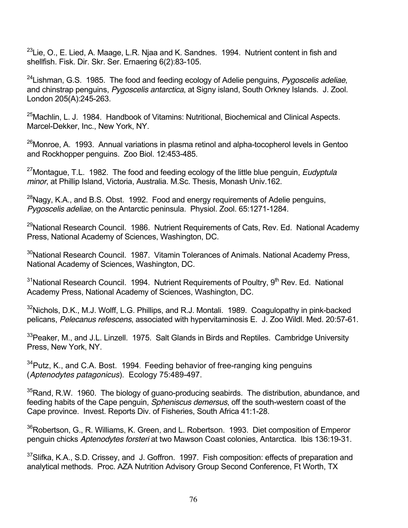<sup>23</sup>Lie, O., E. Lied, A. Maage, L.R. Njaa and K. Sandnes. 1994. Nutrient content in fish and shellfish. Fisk. Dir. Skr. Ser. Ernaering 6(2):83-105.

24Lishman, G.S. 1985. The food and feeding ecology of Adelie penguins, *Pygoscelis adeliae*, and chinstrap penguins, *Pygoscelis antarctica*, at Signy island, South Orkney Islands. J. Zool. London 205(A):245-263.

<sup>25</sup>Machlin, L. J. 1984. Handbook of Vitamins: Nutritional, Biochemical and Clinical Aspects. Marcel-Dekker, Inc., New York, NY.

 $^{26}$ Monroe, A. 1993. Annual variations in plasma retinol and alpha-tocopherol levels in Gentoo and Rockhopper penguins. Zoo Biol. 12:453-485.

27Montague, T.L. 1982. The food and feeding ecology of the little blue penguin, *Eudyptula minor*, at Phillip Island, Victoria, Australia. M.Sc. Thesis, Monash Univ.162.

 $^{28}$ Nagy, K.A., and B.S. Obst. 1992. Food and energy requirements of Adelie penguins, *Pygoscelis adeliae*, on the Antarctic peninsula. Physiol. Zool. 65:1271-1284.

<sup>29</sup>National Research Council. 1986. Nutrient Requirements of Cats, Rev. Ed. National Academy Press, National Academy of Sciences, Washington, DC.

<sup>30</sup>National Research Council. 1987. Vitamin Tolerances of Animals. National Academy Press, National Academy of Sciences, Washington, DC.

 $31$ National Research Council. 1994. Nutrient Requirements of Poultry,  $9<sup>th</sup>$  Rev. Ed. National Academy Press, National Academy of Sciences, Washington, DC.

 $32$ Nichols, D.K., M.J. Wolff, L.G. Phillips, and R.J. Montali. 1989. Coagulopathy in pink-backed pelicans, *Pelecanus refescens*, associated with hypervitaminosis E. J. Zoo Wildl. Med. 20:57-61.

 $33$ Peaker, M., and J.L. Linzell. 1975. Salt Glands in Birds and Reptiles. Cambridge University Press, New York, NY.

 $34$ Putz, K., and C.A. Bost. 1994. Feeding behavior of free-ranging king penguins (*Aptenodytes patagonicus*). Ecology 75:489-497.

 $35$ Rand, R.W. 1960. The biology of guano-producing seabirds. The distribution, abundance, and feeding habits of the Cape penguin, *Spheniscus demersus*, off the south-western coast of the Cape province. Invest. Reports Div. of Fisheries, South Africa 41:1-28.

<sup>36</sup>Robertson, G., R. Williams, K. Green, and L. Robertson. 1993. Diet composition of Emperor penguin chicks *Aptenodytes forsteri* at two Mawson Coast colonies, Antarctica. Ibis 136:19-31.

 $37$ Slifka, K.A., S.D. Crissey, and J. Goffron. 1997. Fish composition: effects of preparation and analytical methods. Proc. AZA Nutrition Advisory Group Second Conference, Ft Worth, TX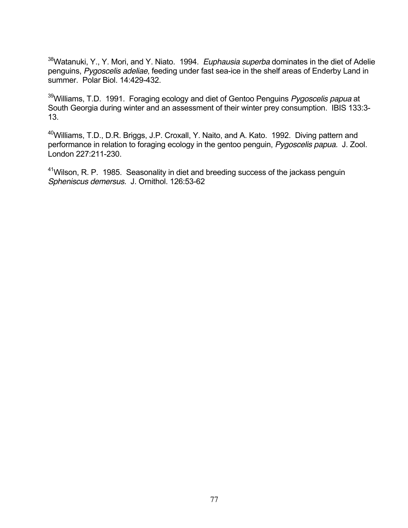38Watanuki, Y., Y. Mori, and Y. Niato. 1994. *Euphausia superba* dominates in the diet of Adelie penguins, *Pygoscelis adeliae*, feeding under fast sea-ice in the shelf areas of Enderby Land in summer. Polar Biol. 14:429-432.

39Williams, T.D. 1991. Foraging ecology and diet of Gentoo Penguins *Pygoscelis papua* at South Georgia during winter and an assessment of their winter prey consumption. IBIS 133:3-13.

40Williams, T.D., D.R. Briggs, J.P. Croxall, Y. Naito, and A. Kato. 1992. Diving pattern and performance in relation to foraging ecology in the gentoo penguin, *Pygoscelis papua.* J. Zool. London 227:211-230.

<sup>41</sup>Wilson, R. P. 1985. Seasonality in diet and breeding success of the jackass penguin *Spheniscus demersus.* J. Ornithol. 126:53-62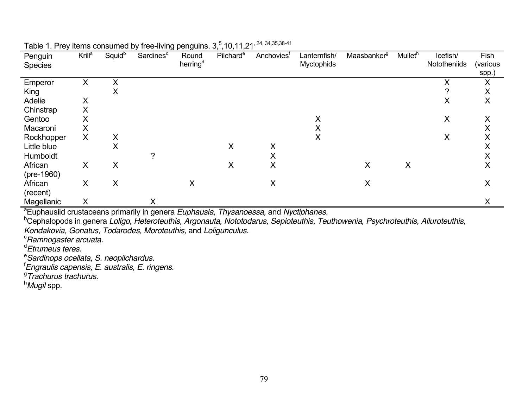| Penguin                                   | Krill <sup>a</sup> | Squid <sup>b</sup> | Sardines <sup>c</sup> | ັ່<br>ັ<br>Round     | $\cdot$ $\cdot$<br>Pilchard <sup>e</sup> | Anchoviest | Lanternfish/      | Maasbanker <sup>g</sup> | Mullet <sup>h</sup> | Icefish/     | Fish     |
|-------------------------------------------|--------------------|--------------------|-----------------------|----------------------|------------------------------------------|------------|-------------------|-------------------------|---------------------|--------------|----------|
| <b>Species</b>                            |                    |                    |                       | herring <sup>d</sup> |                                          |            | <b>Myctophids</b> |                         |                     | Nototheniids | (various |
|                                           |                    |                    |                       |                      |                                          |            |                   |                         |                     |              | spp.)    |
| Emperor                                   | X                  | X                  |                       |                      |                                          |            |                   |                         |                     | Χ            | X        |
| King                                      |                    | X                  |                       |                      |                                          |            |                   |                         |                     | າ            | X        |
| Adelie                                    | X                  |                    |                       |                      |                                          |            |                   |                         |                     | X            | X        |
| Chinstrap                                 | X                  |                    |                       |                      |                                          |            |                   |                         |                     |              |          |
| Gentoo                                    | Χ                  |                    |                       |                      |                                          |            | X                 |                         |                     | X            | X        |
| Macaroni                                  | X                  |                    |                       |                      |                                          |            | X                 |                         |                     |              | ∧        |
| Rockhopper                                | X                  | Χ                  |                       |                      |                                          |            | X                 |                         |                     | X            | ∧        |
| Little blue                               |                    | X                  |                       |                      | X                                        | Χ          |                   |                         |                     |              | ⋏        |
| Humboldt                                  |                    |                    | ?                     |                      |                                          | $\lambda$  |                   |                         |                     |              | ∧        |
| African                                   | X                  | Χ                  |                       |                      | X                                        | X          |                   | X                       | X                   |              | Χ        |
| $(pre-1960)$                              |                    |                    |                       |                      |                                          |            |                   |                         |                     |              |          |
| African                                   | X                  | X                  |                       | X                    |                                          | X          |                   | X                       |                     |              | X        |
| (recent)                                  |                    |                    |                       |                      |                                          |            |                   |                         |                     |              |          |
| Magellanic                                | X                  |                    | X                     |                      |                                          |            |                   |                         |                     |              |          |
| $\overline{a}$ $\overline{a}$<br>$\cdots$ |                    |                    | . .                   | -<br>$\sim$          | ÷                                        | .          |                   |                         |                     |              |          |

Table 1. Prey items consumed by free-living penguins.  $3, \frac{5}{7}$ , 10, 11, 21<sup>, 24, 34, 35, 38-41</sup>

a Euphausiid crustaceans primarily in genera *Euphausia, Thysanoessa,* and *Nyctiphanes.*

b Cephalopods in genera *Loligo, Heteroteuthis, Argonauta, Nototodarus, Sepioteuthis, Teuthowenia, Psychroteuthis, Alluroteuthis,* 

*Kondakovia, Gonatus, Todarodes, Moroteuthis,* and *Loligunculus.* <sup>c</sup>

<sup>c</sup>Ramnogaster arcuata.

<sup>d</sup>Etrumeus teres.

*Sardinops ocellata, S. neopilchardus.* 

f *Engraulis capensis, E. australis, E. ringens.*

g *Trachurus trachurus.*

h *Mugil* spp.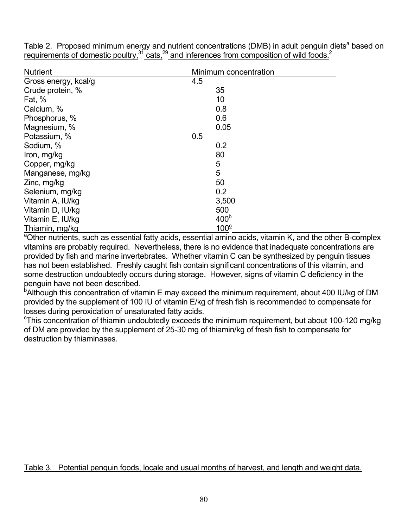Table 2. Proposed minimum energy and nutrient concentrations (DMB) in adult penguin diets<sup>a</sup> based on requirements of domestic poultry,  $\frac{31}{2}$  cats,  $\frac{29}{2}$  and inferences from composition of wild foods.<sup>2</sup>

| <b>Nutrient</b>      | Minimum concentration |
|----------------------|-----------------------|
| Gross energy, kcal/g | 4.5                   |
| Crude protein, %     | 35                    |
| Fat, $%$             | 10                    |
| Calcium, %           | 0.8                   |
| Phosphorus, %        | 0.6                   |
| Magnesium, %         | 0.05                  |
| Potassium, %         | 0.5                   |
| Sodium, %            | 0.2                   |
| Iron, mg/kg          | 80                    |
| Copper, mg/kg        | 5                     |
| Manganese, mg/kg     | 5                     |
| Zinc, mg/kg          | 50                    |
| Selenium, mg/kg      | 0.2                   |
| Vitamin A, IU/kg     | 3,500                 |
| Vitamin D, IU/kg     | 500                   |
| Vitamin E, IU/kg     | 400 <sup>b</sup>      |
| Thiamin, mg/kg       | 100 <sup>c</sup>      |

Thiamin, mg/kg<br><sup>a</sup>Other nutrients, such as essential fatty acids, essential amino acids, vitamin K, and the other B-complex vitamins are probably required. Nevertheless, there is no evidence that inadequate concentrations are provided by fish and marine invertebrates. Whether vitamin C can be synthesized by penguin tissues has not been established. Freshly caught fish contain significant concentrations of this vitamin, and some destruction undoubtedly occurs during storage. However, signs of vitamin C deficiency in the penguin have not been described.

<sup>b</sup>Although this concentration of vitamin E may exceed the minimum requirement, about 400 IU/kg of DM provided by the supplement of 100 IU of vitamin E/kg of fresh fish is recommended to compensate for losses during peroxidation of unsaturated fatty acids.

 $\textdegree$ This concentration of thiamin undoubtedly exceeds the minimum requirement, but about 100-120 mg/kg of DM are provided by the supplement of 25-30 mg of thiamin/kg of fresh fish to compensate for destruction by thiaminases.

Table 3. Potential penguin foods, locale and usual months of harvest, and length and weight data.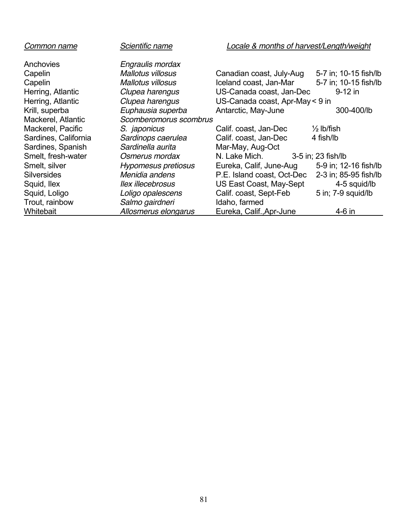| Common name          | Scientific name          | Locale & months of harvest/Length/weight |                       |
|----------------------|--------------------------|------------------------------------------|-----------------------|
| Anchovies            | Engraulis mordax         |                                          |                       |
| Capelin              | <b>Mallotus villosus</b> | Canadian coast, July-Aug                 | 5-7 in; 10-15 fish/lb |
| Capelin              | Mallotus villosus        | Iceland coast, Jan-Mar                   | 5-7 in; 10-15 fish/lb |
| Herring, Atlantic    | Clupea harengus          | US-Canada coast, Jan-Dec                 | $9-12$ in             |
| Herring, Atlantic    | Clupea harengus          | US-Canada coast, Apr-May < 9 in          |                       |
| Krill, superba       | Euphausia superba        | Antarctic, May-June                      | 300-400/lb            |
| Mackerel, Atlantic   | Scomberomorus scombrus   |                                          |                       |
| Mackerel, Pacific    | S. japonicus             | Calif. coast, Jan-Dec                    | $\frac{1}{2}$ lb/fish |
| Sardines, California | Sardinops caerulea       | Calif. coast, Jan-Dec                    | 4 fish/lb             |
| Sardines, Spanish    | Sardinella aurita        | Mar-May, Aug-Oct                         |                       |
| Smelt, fresh-water   | Osmerus mordax           | N. Lake Mich.                            | 3-5 in; 23 fish/lb    |
| Smelt, silver        | Hypomesus pretiosus      | Eureka, Calif, June-Aug                  | 5-9 in; 12-16 fish/lb |
| <b>Silversides</b>   | Menidia andens           | P.E. Island coast, Oct-Dec               | 2-3 in; 85-95 fish/lb |
| Squid, Ilex          | llex illecebrosus        | US East Coast, May-Sept                  | 4-5 squid/lb          |
| Squid, Loligo        | Loligo opalescens        | Calif. coast, Sept-Feb                   | 5 in; 7-9 squid/lb    |
| Trout, rainbow       | Salmo gairdneri          | Idaho, farmed                            |                       |
| Whitebait            | Allosmerus elongarus     | Eureka, Calif., Apr-June                 | 4-6 in                |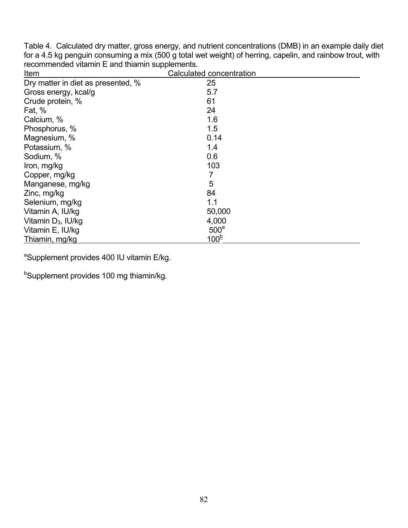Table 4. Calculated dry matter, gross energy, and nutrient concentrations (DMB) in an example daily diet for a 4.5 kg penguin consuming a mix (500 g total wet weight) of herring, capelin, and rainbow trout, with recommended vitamin E and thiamin supplements.

| Item                               | Calculated concentration |  |
|------------------------------------|--------------------------|--|
| Dry matter in diet as presented, % | 25                       |  |
| Gross energy, kcal/g               | 5.7                      |  |
| Crude protein, %                   | 61                       |  |
| Fat, $%$                           | 24                       |  |
| Calcium, %                         | 1.6                      |  |
| Phosphorus, %                      | 1.5                      |  |
| Magnesium, %                       | 0.14                     |  |
| Potassium, %                       | 1.4                      |  |
| Sodium, %                          | 0.6                      |  |
| Iron, mg/kg                        | 103                      |  |
| Copper, mg/kg                      |                          |  |
| Manganese, mg/kg                   | 5                        |  |
| Zinc, mg/kg                        | 84                       |  |
| Selenium, mg/kg                    | 1.1                      |  |
| Vitamin A, IU/kg                   | 50,000                   |  |
| Vitamin $D_3$ , IU/kg              | 4,000                    |  |
| Vitamin E, IU/kg                   | 500 <sup>a</sup>         |  |
| Thiamin, mg/kg                     | $100^{6}$                |  |

<sup>a</sup>Supplement provides 400 IU vitamin E/kg.

<sup>b</sup>Supplement provides 100 mg thiamin/kg.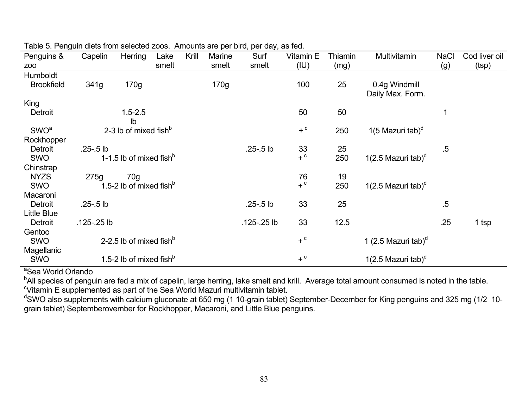| Penguins &<br>Z <sub>0</sub>                                                             | Capelin       | Herring                                                                | Lake<br>smelt | Krill | Marine<br>smelt | Surf<br>smelt | Vitamin E<br>(IU) | Thiamin<br>(mg) | Multivitamin                                                      | <b>NaCl</b><br>(g) | Cod liver oil<br>(tsp) |
|------------------------------------------------------------------------------------------|---------------|------------------------------------------------------------------------|---------------|-------|-----------------|---------------|-------------------|-----------------|-------------------------------------------------------------------|--------------------|------------------------|
| Humboldt                                                                                 |               |                                                                        |               |       |                 |               |                   |                 |                                                                   |                    |                        |
| <b>Brookfield</b>                                                                        | 341g          | 170g                                                                   |               |       | 170g            |               | 100               | 25              | 0.4g Windmill                                                     |                    |                        |
|                                                                                          |               |                                                                        |               |       |                 |               |                   |                 | Daily Max. Form.                                                  |                    |                        |
| King                                                                                     |               |                                                                        |               |       |                 |               |                   |                 |                                                                   |                    |                        |
| Detroit                                                                                  |               | $1.5 - 2.5$                                                            |               |       |                 |               | 50                | 50              |                                                                   |                    |                        |
|                                                                                          |               | lb                                                                     |               |       |                 |               |                   |                 |                                                                   |                    |                        |
| <b>SWO</b> <sup>a</sup>                                                                  |               | 2-3 lb of mixed fish $b$                                               |               |       |                 |               | $+$ $\circ$       | 250             | 1(5 Mazuri tab) <sup>d</sup>                                      |                    |                        |
| Rockhopper                                                                               |               |                                                                        |               |       |                 |               |                   |                 |                                                                   |                    |                        |
| Detroit                                                                                  | $.25 - .5$ lb |                                                                        |               |       |                 | .25-.5 lb     | 33                | 25              |                                                                   | $.5\,$             |                        |
| SWO                                                                                      |               | 1-1.5 lb of mixed fish $b$                                             |               |       |                 |               | $+$ $\circ$       | 250             | 1(2.5 Mazuri tab) $d$                                             |                    |                        |
| Chinstrap                                                                                |               |                                                                        |               |       |                 |               |                   |                 |                                                                   |                    |                        |
| <b>NYZS</b>                                                                              | 275g          | 70g                                                                    |               |       |                 |               | 76                | 19              |                                                                   |                    |                        |
| SWO                                                                                      |               | 1.5-2 lb of mixed fish $^{\rm b}$                                      |               |       |                 |               | $+$ $\circ$       | 250             | 1(2.5 Mazuri tab) <sup>d</sup>                                    |                    |                        |
| Macaroni                                                                                 |               |                                                                        |               |       |                 |               |                   |                 |                                                                   |                    |                        |
| Detroit                                                                                  | $.25 - .5$ lb |                                                                        |               |       |                 | .25-.5 lb     | 33                | 25              |                                                                   | $.5\,$             |                        |
|                                                                                          |               |                                                                        |               |       |                 |               |                   |                 |                                                                   |                    |                        |
|                                                                                          |               |                                                                        |               |       |                 |               |                   |                 |                                                                   |                    |                        |
|                                                                                          |               |                                                                        |               |       |                 |               |                   |                 |                                                                   |                    |                        |
|                                                                                          |               |                                                                        |               |       |                 |               |                   |                 |                                                                   |                    |                        |
|                                                                                          |               |                                                                        |               |       |                 |               |                   |                 |                                                                   |                    |                        |
|                                                                                          |               |                                                                        |               |       |                 |               | $+$ <sup>c</sup>  |                 |                                                                   |                    |                        |
| <b>Little Blue</b><br><b>Detroit</b><br>Gentoo<br><b>SWO</b><br>Magellanic<br><b>SWO</b> | .125-.25 lb   | 2-2.5 lb of mixed fish $^{\rm b}$<br>1.5-2 lb of mixed fish $^{\circ}$ |               |       |                 | .125-25 lb    | 33<br>$+$ $\circ$ | 12.5            | 1 (2.5 Mazuri tab) <sup>d</sup><br>1(2.5 Mazuri tab) <sup>d</sup> | .25                | 1 tsp                  |

Table 5. Penguin diets from selected zoos. Amounts are per bird, per day, as fed.

<sup>a</sup>Sea World Orlando

<sup>b</sup>All species of penguin are fed a mix of capelin, large herring, lake smelt and krill. Average total amount consumed is noted in the table.<br><sup>c</sup>Vitamin E supplemented as part of the Sea World Mazuri multivitamin tablet.

<sup>d</sup>SWO also supplements with calcium gluconate at 650 mg (1 10-grain tablet) September-December for King penguins and 325 mg (1/2 10grain tablet) Septemberovember for Rockhopper, Macaroni, and Little Blue penguins.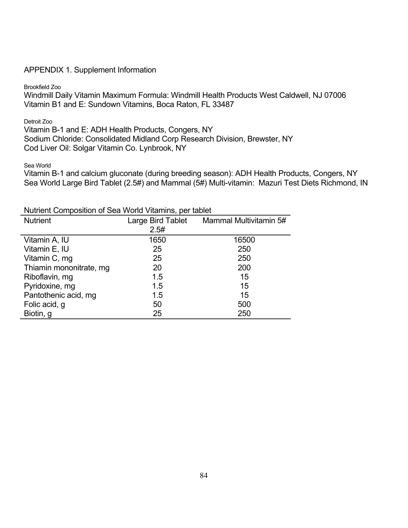#### APPENDIX 1. Supplement Information

Brookfield Zoo

Windmill Daily Vitamin Maximum Formula: Windmill Health Products West Caldwell, NJ 07006 Vitamin B1 and E: Sundown Vitamins, Boca Raton, FL 33487

Detroit Zoo

Vitamin B-1 and E: ADH Health Products, Congers, NY Sodium Chloride: Consolidated Midland Corp Research Division, Brewster, NY Cod Liver Oil: Solgar Vitamin Co. Lynbrook, NY

Sea World

Vitamin B-1 and calcium gluconate (during breeding season): ADH Health Products, Congers, NY Sea World Large Bird Tablet (2.5#) and Mammal (5#) Multi-vitamin: Mazuri Test Diets Richmond, IN

Nutrient Composition of Sea World Vitamins, per tablet

| <b>Nutrient</b>         | Large Bird Tablet | Mammal Multivitamin 5# |
|-------------------------|-------------------|------------------------|
|                         | 2.5#              |                        |
| Vitamin A, IU           | 1650              | 16500                  |
| Vitamin E, IU           | 25                | 250                    |
| Vitamin C, mg           | 25                | 250                    |
| Thiamin mononitrate, mg | 20                | 200                    |
| Riboflavin, mg          | 1.5               | 15                     |
| Pyridoxine, mg          | 1.5               | 15                     |
| Pantothenic acid, mg    | 1.5               | 15                     |
| Folic acid, g           | 50                | 500                    |
| Biotin, g               | 25                | 250                    |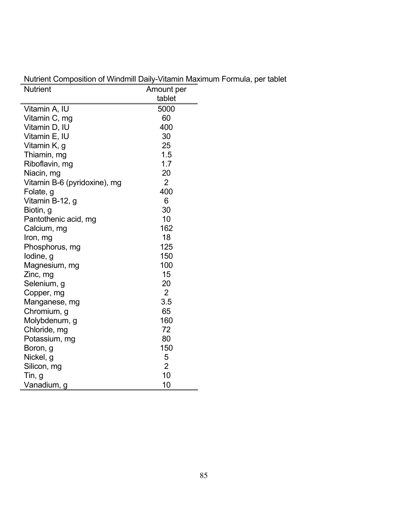| <b>Nutrient</b>              | Amount per     |  |
|------------------------------|----------------|--|
|                              | tablet         |  |
| Vitamin A, IU                | 5000           |  |
| Vitamin C, mg                | 60             |  |
| Vitamin D, IU                | 400            |  |
| Vitamin E, IU                | 30             |  |
| Vitamin K, g                 | 25             |  |
| Thiamin, mg                  | 1.5            |  |
| Riboflavin, mg               | 1.7            |  |
| Niacin, mg                   | 20             |  |
| Vitamin B-6 (pyridoxine), mg | $\overline{2}$ |  |
| Folate, g                    | 400            |  |
| Vitamin B-12, g              | 6              |  |
| Biotin, g                    | 30             |  |
| Pantothenic acid, mg         | 10             |  |
| Calcium, mg                  | 162            |  |
| Iron, mg                     | 18             |  |
| Phosphorus, mg               | 125            |  |
| lodine, g                    | 150            |  |
| Magnesium, mg                | 100            |  |
| Zinc, mg                     | 15             |  |
| Selenium, g                  | 20             |  |
| Copper, mg                   | $\overline{2}$ |  |
| Manganese, mg                | 3.5            |  |
| Chromium, g                  | 65             |  |
| Molybdenum, g                | 160            |  |
| Chloride, mg                 | 72             |  |
| Potassium, mg                | 80             |  |
| Boron, g                     | 150            |  |
| Nickel, g                    | 5              |  |
| Silicon, mg                  | $\overline{2}$ |  |
| Tin, g                       | 10             |  |
| Vanadium, g                  | 10             |  |

Nutrient Composition of Windmill Daily-Vitamin Maximum Formula, per tablet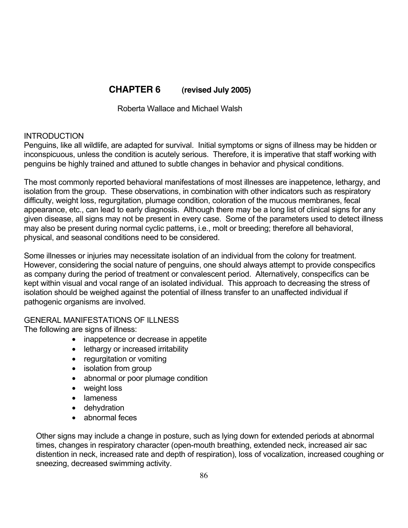# **CHAPTER 6 (revised July 2005)**

Roberta Wallace and Michael Walsh

### **INTRODUCTION**

Penguins, like all wildlife, are adapted for survival. Initial symptoms or signs of illness may be hidden or inconspicuous, unless the condition is acutely serious. Therefore, it is imperative that staff working with penguins be highly trained and attuned to subtle changes in behavior and physical conditions.

The most commonly reported behavioral manifestations of most illnesses are inappetence, lethargy, and isolation from the group. These observations, in combination with other indicators such as respiratory difficulty, weight loss, regurgitation, plumage condition, coloration of the mucous membranes, fecal appearance, etc., can lead to early diagnosis. Although there may be a long list of clinical signs for any given disease, all signs may not be present in every case. Some of the parameters used to detect illness may also be present during normal cyclic patterns, i.e., molt or breeding; therefore all behavioral, physical, and seasonal conditions need to be considered.

Some illnesses or injuries may necessitate isolation of an individual from the colony for treatment. However, considering the social nature of penguins, one should always attempt to provide conspecifics as company during the period of treatment or convalescent period. Alternatively, conspecifics can be kept within visual and vocal range of an isolated individual. This approach to decreasing the stress of isolation should be weighed against the potential of illness transfer to an unaffected individual if pathogenic organisms are involved.

GENERAL MANIFESTATIONS OF ILLNESS The following are signs of illness:

> inappetence or decrease in appetite lethargy or increased irritability regurgitation or vomiting isolation from group abnormal or poor plumage condition weight loss lameness dehydration abnormal feces

Other signs may include a change in posture, such as lying down for extended periods at abnormal times, changes in respiratory character (open-mouth breathing, extended neck, increased air sac distention in neck, increased rate and depth of respiration), loss of vocalization, increased coughing or sneezing, decreased swimming activity.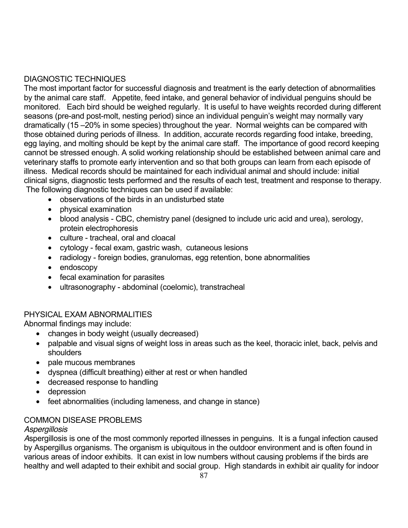### DIAGNOSTIC TECHNIQUES

The most important factor for successful diagnosis and treatment is the early detection of abnormalities by the animal care staff. Appetite, feed intake, and general behavior of individual penguins should be monitored. Each bird should be weighed regularly. It is useful to have weights recorded during different seasons (pre-and post-molt, nesting period) since an individual penguin's weight may normally vary dramatically (15 –20% in some species) throughout the year. Normal weights can be compared with those obtained during periods of illness. In addition, accurate records regarding food intake, breeding, egg laying, and molting should be kept by the animal care staff. The importance of good record keeping cannot be stressed enough. A solid working relationship should be established between animal care and veterinary staffs to promote early intervention and so that both groups can learn from each episode of illness. Medical records should be maintained for each individual animal and should include: initial clinical signs, diagnostic tests performed and the results of each test, treatment and response to therapy. The following diagnostic techniques can be used if available:

 observations of the birds in an undisturbed state physical examination blood analysis - CBC, chemistry panel (designed to include uric acid and urea), serology, protein electrophoresis culture - tracheal, oral and cloacal cytology - fecal exam, gastric wash, cutaneous lesions radiology - foreign bodies, granulomas, egg retention, bone abnormalities endoscopy fecal examination for parasites ultrasonography - abdominal (coelomic), transtracheal

# PHYSICAL EXAM ABNORMALITIES

Abnormal findings may include:

 changes in body weight (usually decreased) palpable and visual signs of weight loss in areas such as the keel, thoracic inlet, back, pelvis and shoulders pale mucous membranes dyspnea (difficult breathing) either at rest or when handled

decreased response to handling

depression

feet abnormalities (including lameness, and change in stance)

#### COMMON DISEASE PROBLEMS

#### *Aspergillosis*

*A*spergillosis is one of the most commonly reported illnesses in penguins. It is a fungal infection caused by Aspergillus organisms. The organism is ubiquitous in the outdoor environment and is often found in various areas of indoor exhibits. It can exist in low numbers without causing problems if the birds are healthy and well adapted to their exhibit and social group. High standards in exhibit air quality for indoor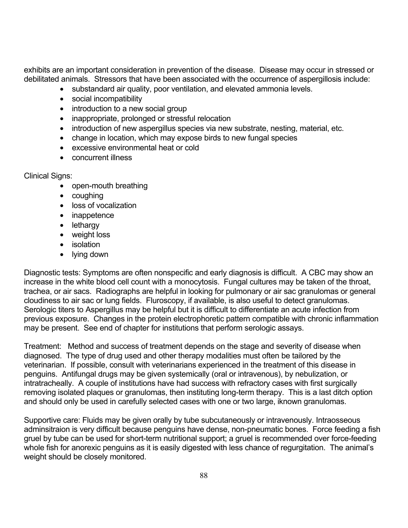exhibits are an important consideration in prevention of the disease. Disease may occur in stressed or debilitated animals. Stressors that have been associated with the occurrence of aspergillosis include:

> substandard air quality, poor ventilation, and elevated ammonia levels. social incompatibility introduction to a new social group inappropriate, prolonged or stressful relocation introduction of new aspergillus species via new substrate, nesting, material, etc. change in location, which may expose birds to new fungal species excessive environmental heat or cold concurrent illness

Clinical Signs:

 open-mouth breathing coughing loss of vocalization inappetence lethargy weight loss isolation lying down

Diagnostic tests: Symptoms are often nonspecific and early diagnosis is difficult. A CBC may show an increase in the white blood cell count with a monocytosis. Fungal cultures may be taken of the throat, trachea, or air sacs. Radiographs are helpful in looking for pulmonary or air sac granulomas or general cloudiness to air sac or lung fields. Fluroscopy, if available, is also useful to detect granulomas. Serologic titers to Aspergillus may be helpful but it is difficult to differentiate an acute infection from previous exposure. Changes in the protein electrophoretic pattern compatible with chronic inflammation may be present. See end of chapter for institutions that perform serologic assays.

Treatment: Method and success of treatment depends on the stage and severity of disease when diagnosed. The type of drug used and other therapy modalities must often be tailored by the veterinarian. If possible, consult with veterinarians experienced in the treatment of this disease in penguins. Antifungal drugs may be given systemically (oral or intravenous), by nebulization, or intratracheally. A couple of institutions have had success with refractory cases with first surgically removing isolated plaques or granulomas, then instituting long-term therapy. This is a last ditch option and should only be used in carefully selected cases with one or two large, iknown granulomas.

Supportive care: Fluids may be given orally by tube subcutaneously or intravenously. Intraosseous adminsitraion is very difficult because penguins have dense, non-pneumatic bones. Force feeding a fish gruel by tube can be used for short-term nutritional support; a gruel is recommended over force-feeding whole fish for anorexic penguins as it is easily digested with less chance of regurgitation. The animal's weight should be closely monitored.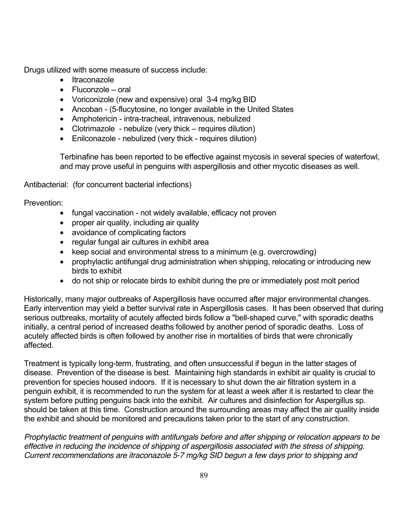Drugs utilized with some measure of success include:

 Itraconazole Fluconzole – oral Voriconizole (new and expensive) oral 3-4 mg/kg BID Ancoban - (5-flucytosine, no longer available in the United States Amphotericin - intra-tracheal, intravenous, nebulized Clotrimazole - nebulize (very thick – requires dilution) Enilconazole - nebulized (very thick - requires dilution)

Terbinafine has been reported to be effective against mycosis in several species of waterfowl, and may prove useful in penguins with aspergillosis and other mycotic diseases as well.

Antibacterial: (for concurrent bacterial infections)

Prevention:

 fungal vaccination - not widely available, efficacy not proven proper air quality, including air quality avoidance of complicating factors regular fungal air cultures in exhibit area keep social and environmental stress to a minimum (e.g. overcrowding) prophylactic antifungal drug administration when shipping, relocating or introducing new birds to exhibit do not ship or relocate birds to exhibit during the pre or immediately post molt period

Historically, many major outbreaks of Aspergillosis have occurred after major environmental changes. Early intervention may yield a better survival rate in Aspergillosis cases. It has been observed that during serious outbreaks, mortality of acutely affected birds follow a "bell-shaped curve," with sporadic deaths initially, a central period of increased deaths followed by another period of sporadic deaths. Loss of acutely affected birds is often followed by another rise in mortalities of birds that were chronically affected.

Treatment is typically long-term, frustrating, and often unsuccessful if begun in the latter stages of disease. Prevention of the disease is best. Maintaining high standards in exhibit air quality is crucial to prevention for species housed indoors. If it is necessary to shut down the air filtration system in a penguin exhibit, it is recommended to run the system for at least a week after it is restarted to clear the system before putting penguins back into the exhibit. Air cultures and disinfection for Aspergillus sp. should be taken at this time. Construction around the surrounding areas may affect the air quality inside the exhibit and should be monitored and precautions taken prior to the start of any construction.

*Prophylactic treatment of penguins with antifungals before and after shipping or relocation appears to be effective in reducing the incidence of shipping of aspergillosis associated with the stress of shipping. Current recommendations are itraconazole 5-7 mg/kg SID begun a few days prior to shipping and*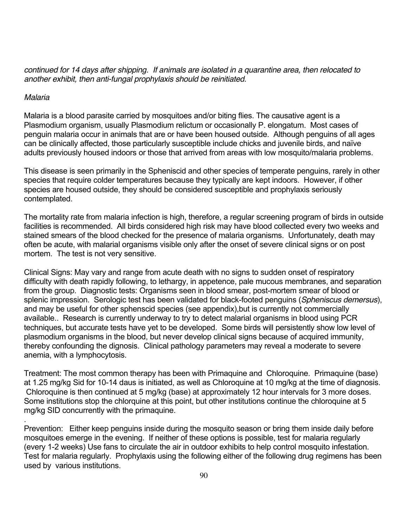*continued for 14 days after shipping. If animals are isolated in a quarantine area, then relocated to another exhibit, then anti-fungal prophylaxis should be reinitiated.* 

### *Malaria*

.

Malaria is a blood parasite carried by mosquitoes and/or biting flies. The causative agent is a Plasmodium organism, usually Plasmodium relictum or occasionally P. elongatum. Most cases of penguin malaria occur in animals that are or have been housed outside. Although penguins of all ages can be clinically affected, those particularly susceptible include chicks and juvenile birds, and naïve adults previously housed indoors or those that arrived from areas with low mosquito/malaria problems.

This disease is seen primarily in the Spheniscid and other species of temperate penguins, rarely in other species that require colder temperatures because they typically are kept indoors. However, if other species are housed outside, they should be considered susceptible and prophylaxis seriously contemplated.

The mortality rate from malaria infection is high, therefore, a regular screening program of birds in outside facilities is recommended. All birds considered high risk may have blood collected every two weeks and stained smears of the blood checked for the presence of malaria organisms. Unfortunately, death may often be acute, with malarial organisms visible only after the onset of severe clinical signs or on post mortem. The test is not very sensitive.

Clinical Signs: May vary and range from acute death with no signs to sudden onset of respiratory difficulty with death rapidly following, to lethargy, in appetence, pale mucous membranes, and separation from the group. Diagnostic tests: Organisms seen in blood smear, post-mortem smear of blood or splenic impression. Serologic test has been validated for black-footed penguins (*Spheniscus demersus*), and may be useful for other sphenscid species (see appendix), but is currently not commercially available.. Research is currently underway to try to detect malarial organisms in blood using PCR techniques, but accurate tests have yet to be developed. Some birds will persistently show low level of plasmodium organisms in the blood, but never develop clinical signs because of acquired immunity, thereby confounding the dignosis. Clinical pathology parameters may reveal a moderate to severe anemia, with a lymphocytosis.

Treatment: The most common therapy has been with Primaquine and Chloroquine. Primaquine (base) at 1.25 mg/kg Sid for 10-14 daus is initiated, as well as Chloroquine at 10 mg/kg at the time of diagnosis. Chloroquine is then continued at 5 mg/kg (base) at approximately 12 hour intervals for 3 more doses. Some institutions stop the chlorquine at this point, but other institutions continue the chloroquine at 5 mg/kg SID concurrently with the primaquine.

Prevention: Either keep penguins inside during the mosquito season or bring them inside daily before mosquitoes emerge in the evening. If neither of these options is possible, test for malaria regularly (every 1-2 weeks) Use fans to circulate the air in outdoor exhibits to help control mosquito infestation. Test for malaria regularly. Prophylaxis using the following either of the following drug regimens has been used by various institutions.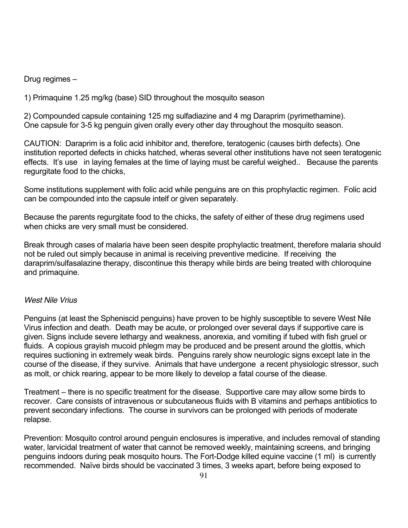Drug regimes –

1) Primaquine 1.25 mg/kg (base) SID throughout the mosquito season

2) Compounded capsule containing 125 mg sulfadiazine and 4 mg Daraprim (pyrimethamine). One capsule for 3-5 kg penguin given orally every other day throughout the mosquito season.

CAUTION: Daraprim is a folic acid inhibitor and, therefore, teratogenic (causes birth defects). One institution reported defects in chicks hatched, wheras several other institutions have not seen teratogenic effects. It's use in laying females at the time of laying must be careful weighed.. Because the parents regurgitate food to the chicks,

Some institutions supplement with folic acid while penguins are on this prophylactic regimen. Folic acid can be compounded into the capsule intelf or given separately.

Because the parents regurgitate food to the chicks, the safety of either of these drug regimens used when chicks are very small must be considered.

Break through cases of malaria have been seen despite prophylactic treatment, therefore malaria should not be ruled out simply because in animal is receiving preventive medicine. If receiving the daraprim/sulfasalazine therapy, discontinue this therapy while birds are being treated with chloroquine and primaquine.

#### *West Nile Vrius*

Penguins (at least the Spheniscid penguins) have proven to be highly susceptible to severe West Nile Virus infection and death. Death may be acute, or prolonged over several days if supportive care is given. Signs include severe lethargy and weakness, anorexia, and vomiting if tubed with fish gruel or fluids. A copious grayish mucoid phlegm may be produced and be present around the glottis, which requires suctioning in extremely weak birds. Penguins rarely show neurologic signs except late in the course of the disease, if they survive. Animals that have undergone a recent physiologic stressor, such as molt, or chick rearing, appear to be more likely to develop a fatal course of the diease.

Treatment – there is no specific treatment for the disease. Supportive care may allow some birds to recover. Care consists of intravenous or subcutaneous fluids with B vitamins and perhaps antibiotics to prevent secondary infections. The course in survivors can be prolonged with periods of moderate relapse.

Prevention: Mosquito control around penguin enclosures is imperative, and includes removal of standing water, larvicidal treatment of water that cannot be removed weekly, maintaining screens, and bringing penguins indoors during peak mosquito hours. The Fort-Dodge killed equine vaccine (1 ml) is currently recommended. Naïve birds should be vaccinated 3 times, 3 weeks apart, before being exposed to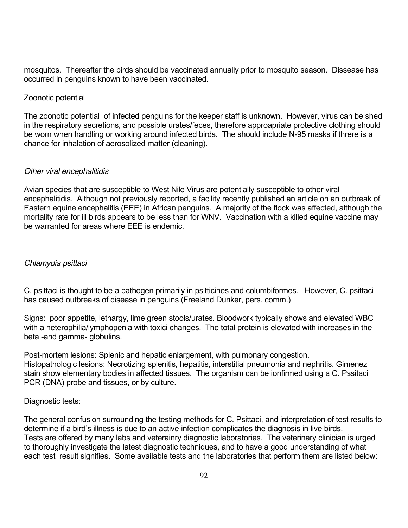mosquitos. Thereafter the birds should be vaccinated annually prior to mosquito season. Dissease has occurred in penguins known to have been vaccinated.

### Zoonotic potential

The zoonotic potential of infected penguins for the keeper staff is unknown. However, virus can be shed in the respiratory secretions, and possible urates/feces, therefore approapriate protective clothing should be worn when handling or working around infected birds. The should include N-95 masks if threre is a chance for inhalation of aerosolized matter (cleaning).

### *Other viral encephalitidis*

Avian species that are susceptible to West Nile Virus are potentially susceptible to other viral encephalitidis. Although not previously reported, a facility recently published an article on an outbreak of Eastern equine encephalitis (EEE) in African penguins. A majority of the flock was affected, although the mortality rate for ill birds appears to be less than for WNV. Vaccination with a killed equine vaccine may be warranted for areas where EEE is endemic.

### *Chlamydia psittaci*

C. psittaci is thought to be a pathogen primarily in psitticines and columbiformes. However, C. psittaci has caused outbreaks of disease in penguins (Freeland Dunker, pers. comm.)

Signs: poor appetite, lethargy, lime green stools/urates. Bloodwork typically shows and elevated WBC with a heterophilia/lymphopenia with toxici changes. The total protein is elevated with increases in the beta -and gamma- globulins.

Post-mortem lesions: Splenic and hepatic enlargement, with pulmonary congestion. Histopathologic lesions: Necrotizing splenitis, hepatitis, interstitial pneumonia and nephritis. Gimenez stain show elementary bodies in affected tissues. The organism can be ionfirmed using a C. Pssitaci PCR (DNA) probe and tissues, or by culture.

#### Diagnostic tests:

The general confusion surrounding the testing methods for C. Psittaci, and interpretation of test results to determine if a bird's illness is due to an active infection complicates the diagnosis in live birds. Tests are offered by many labs and veterainry diagnostic laboratories. The veterinary clinician is urged to thoroughly investigate the latest diagnostic techniques, and to have a good understanding of what each test result signifies. Some available tests and the laboratories that perform them are listed below: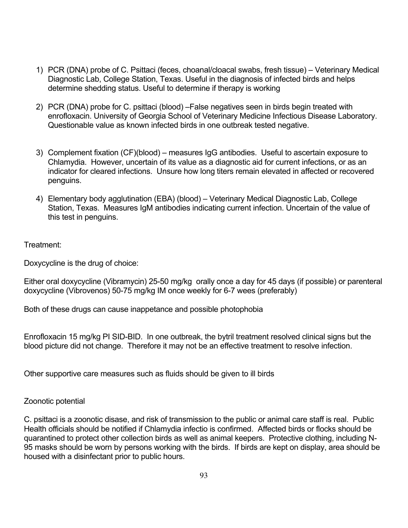- 1) PCR (DNA) probe of C. Psittaci (feces, choanal/cloacal swabs, fresh tissue) Veterinary Medical Diagnostic Lab, College Station, Texas. Useful in the diagnosis of infected birds and helps determine shedding status. Useful to determine if therapy is working
- 2) PCR (DNA) probe for C. psittaci (blood) –False negatives seen in birds begin treated with enrofloxacin. University of Georgia School of Veterinary Medicine Infectious Disease Laboratory. Questionable value as known infected birds in one outbreak tested negative.
- 3) Complement fixation (CF)(blood) measures IgG antibodies. Useful to ascertain exposure to Chlamydia. However, uncertain of its value as a diagnostic aid for current infections, or as an indicator for cleared infections. Unsure how long titers remain elevated in affected or recovered penguins.
- 4) Elementary body agglutination (EBA) (blood) Veterinary Medical Diagnostic Lab, College Station, Texas. Measures IgM antibodies indicating current infection. Uncertain of the value of this test in penguins.

### Treatment:

Doxycycline is the drug of choice:

Either oral doxycycline (Vibramycin) 25-50 mg/kg orally once a day for 45 days (if possible) or parenteral doxycycline (Vibrovenos) 50-75 mg/kg IM once weekly for 6-7 wees (preferably)

Both of these drugs can cause inappetance and possible photophobia

Enrofloxacin 15 mg/kg PI SID-BID. In one outbreak, the bytril treatment resolved clinical signs but the blood picture did not change. Therefore it may not be an effective treatment to resolve infection.

Other supportive care measures such as fluids should be given to ill birds

### Zoonotic potential

C. psittaci is a zoonotic disase, and risk of transmission to the public or animal care staff is real. Public Health officials should be notified if Chlamydia infectio is confirmed. Affected birds or flocks should be quarantined to protect other collection birds as well as animal keepers. Protective clothing, including N-95 masks should be worn by persons working with the birds. If birds are kept on display, area should be housed with a disinfectant prior to public hours.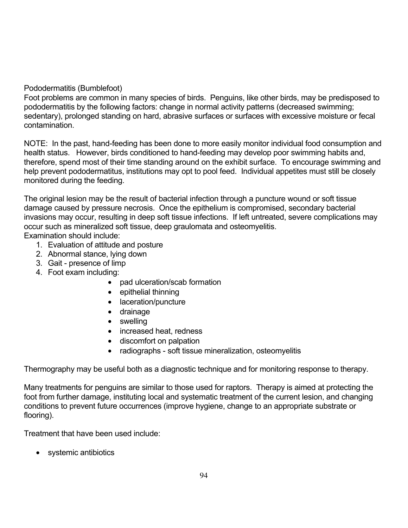### Pododermatitis (Bumblefoot)

Foot problems are common in many species of birds. Penguins, like other birds, may be predisposed to pododermatitis by the following factors: change in normal activity patterns (decreased swimming; sedentary), prolonged standing on hard, abrasive surfaces or surfaces with excessive moisture or fecal contamination.

NOTE: In the past, hand-feeding has been done to more easily monitor individual food consumption and health status. However, birds conditioned to hand-feeding may develop poor swimming habits and, therefore, spend most of their time standing around on the exhibit surface. To encourage swimming and help prevent pododermatitus, institutions may opt to pool feed. Individual appetites must still be closely monitored during the feeding.

The original lesion may be the result of bacterial infection through a puncture wound or soft tissue damage caused by pressure necrosis. Once the epithelium is compromised, secondary bacterial invasions may occur, resulting in deep soft tissue infections. If left untreated, severe complications may occur such as mineralized soft tissue, deep graulomata and osteomyelitis.

Examination should include:

- 1. Evaluation of attitude and posture
- 2. Abnormal stance, lying down
- 3. Gait presence of limp
- 4. Foot exam including:
	- pad ulceration/scab formation epithelial thinning laceration/puncture drainage swelling increased heat, redness discomfort on palpation radiographs - soft tissue mineralization, osteomyelitis

Thermography may be useful both as a diagnostic technique and for monitoring response to therapy.

Many treatments for penguins are similar to those used for raptors. Therapy is aimed at protecting the foot from further damage, instituting local and systematic treatment of the current lesion, and changing conditions to prevent future occurrences (improve hygiene, change to an appropriate substrate or flooring).

Treatment that have been used include:

systemic antibiotics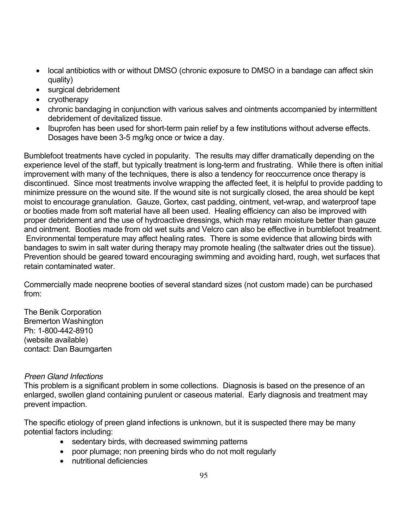local antibiotics with or without DMSO (chronic exposure to DMSO in a bandage can affect skin quality)

surgical debridement

cryotherapy

 chronic bandaging in conjunction with various salves and ointments accompanied by intermittent debridement of devitalized tissue.

 Ibuprofen has been used for short-term pain relief by a few institutions without adverse effects. Dosages have been 3-5 mg/kg once or twice a day.

Bumblefoot treatments have cycled in popularity. The results may differ dramatically depending on the experience level of the staff, but typically treatment is long-term and frustrating. While there is often initial improvement with many of the techniques, there is also a tendency for reoccurrence once therapy is discontinued. Since most treatments involve wrapping the affected feet, it is helpful to provide padding to minimize pressure on the wound site. If the wound site is not surgically closed, the area should be kept moist to encourage granulation. Gauze, Gortex, cast padding, ointment, vet-wrap, and waterproof tape or booties made from soft material have all been used. Healing efficiency can also be improved with proper debridement and the use of hydroactive dressings, which may retain moisture better than gauze and ointment. Booties made from old wet suits and Velcro can also be effective in bumblefoot treatment. Environmental temperature may affect healing rates. There is some evidence that allowing birds with bandages to swim in salt water during therapy may promote healing (the saltwater dries out the tissue). Prevention should be geared toward encouraging swimming and avoiding hard, rough, wet surfaces that retain contaminated water.

Commercially made neoprene booties of several standard sizes (not custom made) can be purchased from:

The Benik Corporation Bremerton Washington Ph: 1-800-442-8910 (website available) contact: Dan Baumgarten

#### *Preen Gland Infections*

This problem is a significant problem in some collections. Diagnosis is based on the presence of an enlarged, swollen gland containing purulent or caseous material. Early diagnosis and treatment may prevent impaction.

The specific etiology of preen gland infections is unknown, but it is suspected there may be many potential factors including:

> sedentary birds, with decreased swimming patterns poor plumage; non preening birds who do not molt regularly nutritional deficiencies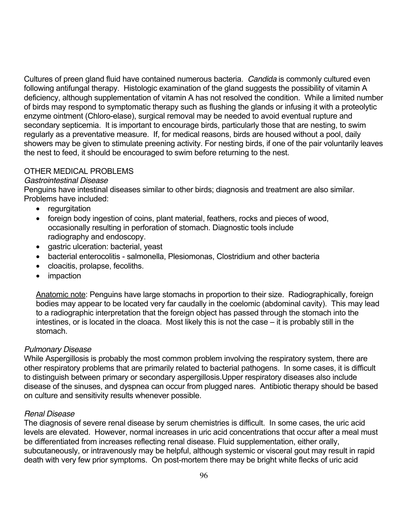Cultures of preen gland fluid have contained numerous bacteria. *Candida* is commonly cultured even following antifungal therapy. Histologic examination of the gland suggests the possibility of vitamin A deficiency, although supplementation of vitamin A has not resolved the condition. While a limited number of birds may respond to symptomatic therapy such as flushing the glands or infusing it with a proteolytic enzyme ointment (Chloro-elase), surgical removal may be needed to avoid eventual rupture and secondary septicemia. It is important to encourage birds, particularly those that are nesting, to swim regularly as a preventative measure. If, for medical reasons, birds are housed without a pool, daily showers may be given to stimulate preening activity. For nesting birds, if one of the pair voluntarily leaves the nest to feed, it should be encouraged to swim before returning to the nest.

#### OTHER MEDICAL PROBLEMS

#### *Gastrointestinal Disease*

Penguins have intestinal diseases similar to other birds; diagnosis and treatment are also similar. Problems have included:

#### regurgitation

 foreign body ingestion of coins, plant material, feathers, rocks and pieces of wood, occasionally resulting in perforation of stomach. Diagnostic tools include radiography and endoscopy.

gastric ulceration: bacterial, yeast

 bacterial enterocolitis - salmonella, Plesiomonas, Clostridium and other bacteria cloacitis, prolapse, fecoliths.

impaction

Anatomic note: Penguins have large stomachs in proportion to their size. Radiographically, foreign bodies may appear to be located very far caudally in the coelomic (abdominal cavity). This may lead to a radiographic interpretation that the foreign object has passed through the stomach into the intestines, or is located in the cloaca. Most likely this is not the case – it is probably still in the stomach.

#### *Pulmonary Disease*

While Aspergillosis is probably the most common problem involving the respiratory system, there are other respiratory problems that are primarily related to bacterial pathogens. In some cases, it is difficult to distinguish between primary or secondary aspergillosis.Upper respiratory diseases also include disease of the sinuses, and dyspnea can occur from plugged nares. Antibiotic therapy should be based on culture and sensitivity results whenever possible.

#### *Renal Disease*

The diagnosis of severe renal disease by serum chemistries is difficult. In some cases, the uric acid levels are elevated. However, normal increases in uric acid concentrations that occur after a meal must be differentiated from increases reflecting renal disease. Fluid supplementation, either orally, subcutaneously, or intravenously may be helpful, although systemic or visceral gout may result in rapid death with very few prior symptoms. On post-mortem there may be bright white flecks of uric acid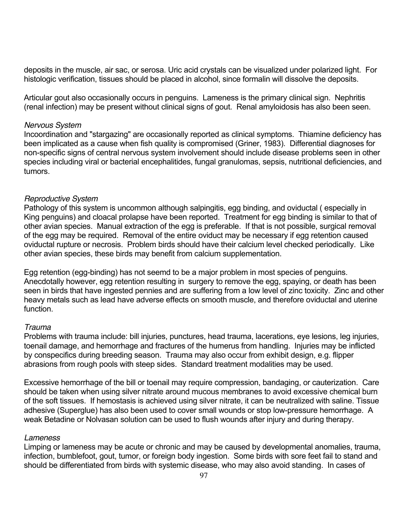deposits in the muscle, air sac, or serosa. Uric acid crystals can be visualized under polarized light. For histologic verification, tissues should be placed in alcohol, since formalin will dissolve the deposits.

Articular gout also occasionally occurs in penguins. Lameness is the primary clinical sign. Nephritis (renal infection) may be present without clinical signs of gout. Renal amyloidosis has also been seen.

#### *Nervous System*

Incoordination and "stargazing" are occasionally reported as clinical symptoms. Thiamine deficiency has been implicated as a cause when fish quality is compromised (Griner, 1983). Differential diagnoses for non-specific signs of central nervous system involvement should include disease problems seen in other species including viral or bacterial encephalitides, fungal granulomas, sepsis, nutritional deficiencies, and tumors.

#### *Reproductive System*

Pathology of this system is uncommon although salpingitis, egg binding, and oviductal ( especially in King penguins) and cloacal prolapse have been reported. Treatment for egg binding is similar to that of other avian species. Manual extraction of the egg is preferable. If that is not possible, surgical removal of the egg may be required. Removal of the entire oviduct may be necessary if egg retention caused oviductal rupture or necrosis. Problem birds should have their calcium level checked periodically. Like other avian species, these birds may benefit from calcium supplementation.

Egg retention (egg-binding) has not seemd to be a major problem in most species of penguins. Anecdotally however, egg retention resulting in surgery to remove the egg, spaying, or death has been seen in birds that have ingested pennies and are suffering from a low level of zinc toxicity. Zinc and other heavy metals such as lead have adverse effects on smooth muscle, and therefore oviductal and uterine function.

#### *Trauma*

Problems with trauma include: bill injuries, punctures, head trauma, lacerations, eye lesions, leg injuries, toenail damage, and hemorrhage and fractures of the humerus from handling. Injuries may be inflicted by conspecifics during breeding season. Trauma may also occur from exhibit design, e.g. flipper abrasions from rough pools with steep sides. Standard treatment modalities may be used.

Excessive hemorrhage of the bill or toenail may require compression, bandaging, or cauterization. Care should be taken when using silver nitrate around mucous membranes to avoid excessive chemical burn of the soft tissues. If hemostasis is achieved using silver nitrate, it can be neutralized with saline. Tissue adhesive (Superglue) has also been used to cover small wounds or stop low-pressure hemorrhage. A weak Betadine or Nolvasan solution can be used to flush wounds after injury and during therapy.

#### *Lameness*

Limping or lameness may be acute or chronic and may be caused by developmental anomalies, trauma, infection, bumblefoot, gout, tumor, or foreign body ingestion. Some birds with sore feet fail to stand and should be differentiated from birds with systemic disease, who may also avoid standing. In cases of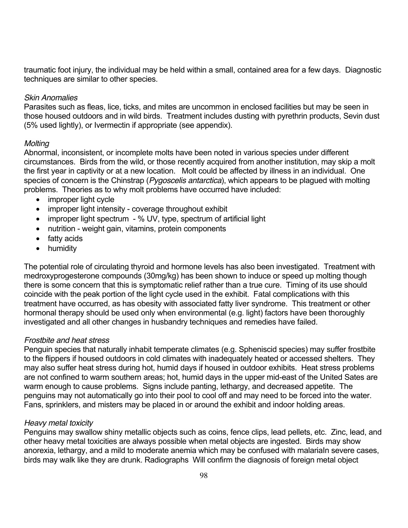traumatic foot injury, the individual may be held within a small, contained area for a few days. Diagnostic techniques are similar to other species.

#### *Skin Anomalies*

Parasites such as fleas, lice, ticks, and mites are uncommon in enclosed facilities but may be seen in those housed outdoors and in wild birds. Treatment includes dusting with pyrethrin products, Sevin dust (5% used lightly), or Ivermectin if appropriate (see appendix).

#### *Molting*

Abnormal, inconsistent, or incomplete molts have been noted in various species under different circumstances. Birds from the wild, or those recently acquired from another institution, may skip a molt the first year in captivity or at a new location. Molt could be affected by illness in an individual. One species of concern is the Chinstrap (*Pygoscelis antarctica*), which appears to be plagued with molting problems. Theories as to why molt problems have occurred have included:

 improper light cycle improper light intensity - coverage throughout exhibit improper light spectrum - % UV, type, spectrum of artificial light nutrition - weight gain, vitamins, protein components fatty acids humidity

The potential role of circulating thyroid and hormone levels has also been investigated. Treatment with medroxyprogesterone compounds (30mg/kg) has been shown to induce or speed up molting though there is some concern that this is symptomatic relief rather than a true cure. Timing of its use should coincide with the peak portion of the light cycle used in the exhibit. Fatal complications with this treatment have occurred, as has obesity with associated fatty liver syndrome. This treatment or other hormonal therapy should be used only when environmental (e.g. light) factors have been thoroughly investigated and all other changes in husbandry techniques and remedies have failed.

### *Frostbite and heat stress*

Penguin species that naturally inhabit temperate climates (e.g. Spheniscid species) may suffer frostbite to the flippers if housed outdoors in cold climates with inadequately heated or accessed shelters. They may also suffer heat stress during hot, humid days if housed in outdoor exhibits. Heat stress problems are not confined to warm southern areas; hot, humid days in the upper mid-east of the United Sates are warm enough to cause problems. Signs include panting, lethargy, and decreased appetite. The penguins may not automatically go into their pool to cool off and may need to be forced into the water. Fans, sprinklers, and misters may be placed in or around the exhibit and indoor holding areas.

### *Heavy metal toxicity*

Penguins may swallow shiny metallic objects such as coins, fence clips, lead pellets, etc. Zinc, lead, and other heavy metal toxicities are always possible when metal objects are ingested. Birds may show anorexia, lethargy, and a mild to moderate anemia which may be confused with malariaIn severe cases, birds may walk like they are drunk. Radiographs Will confirm the diagnosis of foreign metal object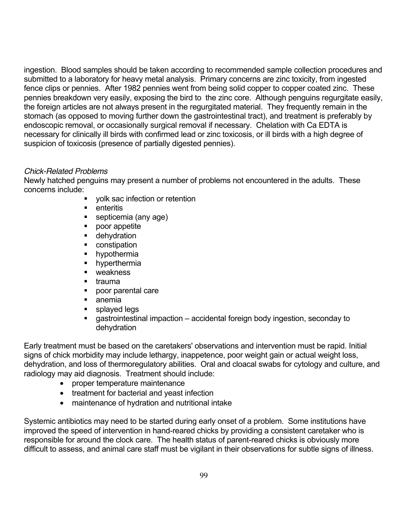ingestion. Blood samples should be taken according to recommended sample collection procedures and submitted to a laboratory for heavy metal analysis. Primary concerns are zinc toxicity, from ingested fence clips or pennies. After 1982 pennies went from being solid copper to copper coated zinc. These pennies breakdown very easily, exposing the bird to the zinc core. Although penguins regurgitate easily, the foreign articles are not always present in the regurgitated material. They frequently remain in the stomach (as opposed to moving further down the gastrointestinal tract), and treatment is preferably by endoscopic removal, or occasionally surgical removal if necessary. Chelation with Ca EDTA is necessary for clinically ill birds with confirmed lead or zinc toxicosis, or ill birds with a high degree of suspicion of toxicosis (presence of partially digested pennies).

### *Chick-Related Problems*

Newly hatched penguins may present a number of problems not encountered in the adults. These concerns include:

- volk sac infection or retention
- **E** enteritis
- septicemia (any age)
- **poor appetite**
- **dehydration**
- **CONSTRATION**
- **•** hypothermia
- **•** hyperthermia
- weakness
- $\blacksquare$  trauma
- poor parental care
- anemia
- **splayed legs**
- gastrointestinal impaction accidental foreign body ingestion, seconday to dehydration

Early treatment must be based on the caretakers' observations and intervention must be rapid. Initial signs of chick morbidity may include lethargy, inappetence, poor weight gain or actual weight loss, dehydration, and loss of thermoregulatory abilities. Oral and cloacal swabs for cytology and culture, and radiology may aid diagnosis. Treatment should include:

 proper temperature maintenance treatment for bacterial and yeast infection maintenance of hydration and nutritional intake

Systemic antibiotics may need to be started during early onset of a problem. Some institutions have improved the speed of intervention in hand-reared chicks by providing a consistent caretaker who is responsible for around the clock care. The health status of parent-reared chicks is obviously more difficult to assess, and animal care staff must be vigilant in their observations for subtle signs of illness.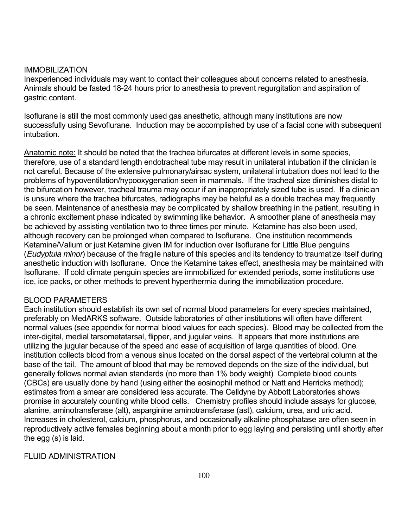#### IMMOBILIZATION

Inexperienced individuals may want to contact their colleagues about concerns related to anesthesia. Animals should be fasted 18-24 hours prior to anesthesia to prevent regurgitation and aspiration of gastric content.

Isoflurane is still the most commonly used gas anesthetic, although many institutions are now successfully using Sevoflurane. Induction may be accomplished by use of a facial cone with subsequent intubation.

Anatomic note: It should be noted that the trachea bifurcates at different levels in some species, therefore, use of a standard length endotracheal tube may result in unilateral intubation if the clinician is not careful. Because of the extensive pulmonary/airsac system, unilateral intubation does not lead to the problems of hypoventilation/hypooxygenation seen in mammals. If the tracheal size diminishes distal to the bifurcation however, tracheal trauma may occur if an inappropriately sized tube is used. If a clinician is unsure where the trachea bifurcates, radiographs may be helpful as a double trachea may frequently be seen. Maintenance of anesthesia may be complicated by shallow breathing in the patient, resulting in a chronic excitement phase indicated by swimming like behavior. A smoother plane of anesthesia may be achieved by assisting ventilation two to three times per minute. Ketamine has also been used, although recovery can be prolonged when compared to Isoflurane. One institution recommends Ketamine/Valium or just Ketamine given IM for induction over Isoflurane for Little Blue penguins (*Eudyptula minor*) because of the fragile nature of this species and its tendency to traumatize itself during anesthetic induction with Isoflurane. Once the Ketamine takes effect, anesthesia may be maintained with Isoflurane. If cold climate penguin species are immobilized for extended periods, some institutions use ice, ice packs, or other methods to prevent hyperthermia during the immobilization procedure.

### BLOOD PARAMETERS

Each institution should establish its own set of normal blood parameters for every species maintained, preferably on MedARKS software. Outside laboratories of other institutions will often have different normal values (see appendix for normal blood values for each species). Blood may be collected from the inter-digital, medial tarsometatarsal, flipper, and jugular veins. It appears that more institutions are utilizing the jugular because of the speed and ease of acquisition of large quantities of blood. One institution collects blood from a venous sinus located on the dorsal aspect of the vertebral column at the base of the tail. The amount of blood that may be removed depends on the size of the individual, but generally follows normal avian standards (no more than 1% body weight) Complete blood counts (CBCs) are usually done by hand (using either the eosinophil method or Natt and Herricks method); estimates from a smear are considered less accurate. The Celldyne by Abbott Laboratories shows promise in accurately counting white blood cells. Chemistry profiles should include assays for glucose, alanine, aminotransferase (alt), asparginine aminotransferase (ast), calcium, urea, and uric acid. Increases in cholesterol, calcium, phosphorus, and occasionally alkaline phosphatase are often seen in reproductively active females beginning about a month prior to egg laying and persisting until shortly after the egg (s) is laid.

### FLUID ADMINISTRATION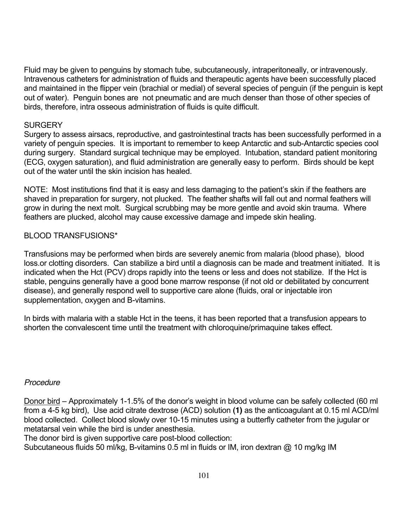Fluid may be given to penguins by stomach tube, subcutaneously, intraperitoneally, or intravenously. Intravenous catheters for administration of fluids and therapeutic agents have been successfully placed and maintained in the flipper vein (brachial or medial) of several species of penguin (if the penguin is kept out of water). Penguin bones are not pneumatic and are much denser than those of other species of birds, therefore, intra osseous administration of fluids is quite difficult.

### **SURGERY**

Surgery to assess airsacs, reproductive, and gastrointestinal tracts has been successfully performed in a variety of penguin species. It is important to remember to keep Antarctic and sub-Antarctic species cool during surgery. Standard surgical technique may be employed. Intubation, standard patient monitoring (ECG, oxygen saturation), and fluid administration are generally easy to perform. Birds should be kept out of the water until the skin incision has healed.

NOTE: Most institutions find that it is easy and less damaging to the patient's skin if the feathers are shaved in preparation for surgery, not plucked. The feather shafts will fall out and normal feathers will grow in during the next molt. Surgical scrubbing may be more gentle and avoid skin trauma. Where feathers are plucked, alcohol may cause excessive damage and impede skin healing.

### BLOOD TRANSFUSIONS\*

Transfusions may be performed when birds are severely anemic from malaria (blood phase), blood loss.or clotting disorders. Can stabilize a bird until a diagnosis can be made and treatment initiated. It is indicated when the Hct (PCV) drops rapidly into the teens or less and does not stabilize. If the Hct is stable, penguins generally have a good bone marrow response (if not old or debilitated by concurrent disease), and generally respond well to supportive care alone (fluids, oral or injectable iron supplementation, oxygen and B-vitamins.

In birds with malaria with a stable Hct in the teens, it has been reported that a transfusion appears to shorten the convalescent time until the treatment with chloroquine/primaquine takes effect.

#### *Procedure*

Donor bird – Approximately 1-1.5% of the donor's weight in blood volume can be safely collected (60 ml from a 4-5 kg bird), Use acid citrate dextrose (ACD) solution **(1)** as the anticoagulant at 0.15 ml ACD/ml blood collected. Collect blood slowly over 10-15 minutes using a butterfly catheter from the jugular or metatarsal vein while the bird is under anesthesia.

The donor bird is given supportive care post-blood collection:

Subcutaneous fluids 50 ml/kg, B-vitamins 0.5 ml in fluids or IM, iron dextran @ 10 mg/kg IM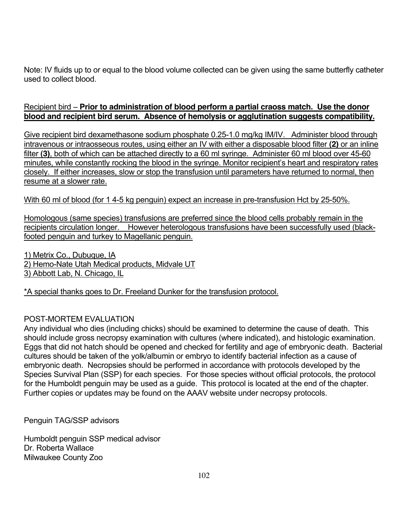Note: IV fluids up to or equal to the blood volume collected can be given using the same butterfly catheter used to collect blood.

# Recipient bird – **Prior to administration of blood perform a partial craoss match. Use the donor blood and recipient bird serum. Absence of hemolysis or agglutination suggests compatibility.**

Give recipient bird dexamethasone sodium phosphate 0.25-1.0 mg/kg IM/IV. Administer blood through intravenous or intraosseous routes, using either an IV with either a disposable blood filter **(2)** or an inline filter (3), both of which can be attached directly to a 60 ml syringe. Administer 60 ml blood over 45-60 minutes, while constantly rocking the blood in the syringe. Monitor recipient's heart and respiratory rates closely. If either increases, slow or stop the transfusion until parameters have returned to normal, then resume at a slower rate.

# With 60 ml of blood (for 1 4-5 kg penguin) expect an increase in pre-transfusion Hct by 25-50%.

Homologous (same species) transfusions are preferred since the blood cells probably remain in the recipients circulation longer. However heterologous transfusions have been successfully used (blackfooted penguin and turkey to Magellanic penguin.

1) Metrix Co., Dubuque, IA 2) Hemo-Nate Utah Medical products, Midvale UT 3) Abbott Lab, N. Chicago, IL

\*A special thanks goes to Dr. Freeland Dunker for the transfusion protocol.

# POST-MORTEM EVALUATION

Any individual who dies (including chicks) should be examined to determine the cause of death. This should include gross necropsy examination with cultures (where indicated), and histologic examination. Eggs that did not hatch should be opened and checked for fertility and age of embryonic death. Bacterial cultures should be taken of the yolk/albumin or embryo to identify bacterial infection as a cause of embryonic death. Necropsies should be performed in accordance with protocols developed by the Species Survival Plan (SSP) for each species. For those species without official protocols, the protocol for the Humboldt penguin may be used as a guide. This protocol is located at the end of the chapter. Further copies or updates may be found on the AAAV website under necropsy protocols.

Penguin TAG/SSP advisors

Humboldt penguin SSP medical advisor Dr. Roberta Wallace Milwaukee County Zoo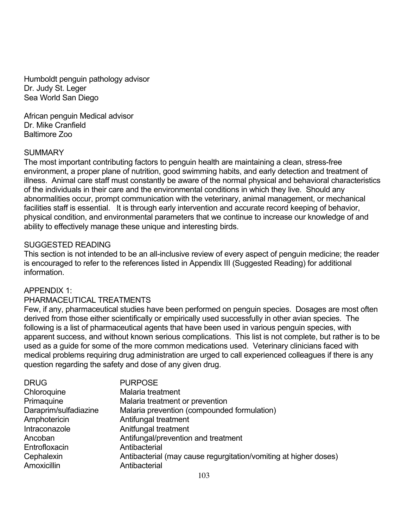Humboldt penguin pathology advisor Dr. Judy St. Leger Sea World San Diego

African penguin Medical advisor Dr. Mike Cranfield Baltimore Zoo

### SUMMARY

The most important contributing factors to penguin health are maintaining a clean, stress-free environment, a proper plane of nutrition, good swimming habits, and early detection and treatment of illness. Animal care staff must constantly be aware of the normal physical and behavioral characteristics of the individuals in their care and the environmental conditions in which they live. Should any abnormalities occur, prompt communication with the veterinary, animal management, or mechanical facilities staff is essential. It is through early intervention and accurate record keeping of behavior, physical condition, and environmental parameters that we continue to increase our knowledge of and ability to effectively manage these unique and interesting birds.

### SUGGESTED READING

This section is not intended to be an all-inclusive review of every aspect of penguin medicine; the reader is encouraged to refer to the references listed in Appendix III (Suggested Reading) for additional information.

# APPENDIX 1:

#### PHARMACEUTICAL TREATMENTS

Few, if any, pharmaceutical studies have been performed on penguin species. Dosages are most often derived from those either scientifically or empirically used successfully in other avian species. The following is a list of pharmaceutical agents that have been used in various penguin species, with apparent success, and without known serious complications. This list is not complete, but rather is to be used as a guide for some of the more common medications used. Veterinary clinicians faced with medical problems requiring drug administration are urged to call experienced colleagues if there is any question regarding the safety and dose of any given drug.

| <b>DRUG</b>           | <b>PURPOSE</b>                                                   |
|-----------------------|------------------------------------------------------------------|
| Chloroquine           | Malaria treatment                                                |
| Primaguine            | Malaria treatment or prevention                                  |
| Daraprim/sulfadiazine | Malaria prevention (compounded formulation)                      |
| Amphotericin          | Antifungal treatment                                             |
| Intraconazole         | Anitfungal treatment                                             |
| Ancoban               | Antifungal/prevention and treatment                              |
| Entrofloxacin         | Antibacterial                                                    |
| Cephalexin            | Antibacterial (may cause regurgitation/vomiting at higher doses) |
| Amoxicillin           | Antibacterial                                                    |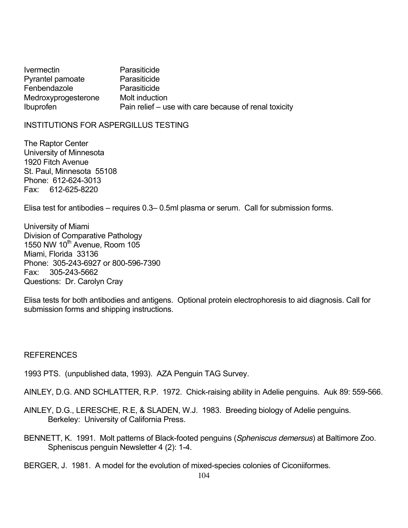Ivermectin Parasiticide Pyrantel pamoate Parasiticide Fenbendazole Parasiticide Medroxyprogesterone Molt induction Ibuprofen **Pain relief** – use with care because of renal toxicity

INSTITUTIONS FOR ASPERGILLUS TESTING

The Raptor Center University of Minnesota 1920 Fitch Avenue St. Paul, Minnesota 55108 Phone: 612-624-3013 Fax: 612-625-8220

Elisa test for antibodies – requires 0.3– 0.5ml plasma or serum. Call for submission forms.

University of Miami Division of Comparative Pathology 1550 NW  $10^{th}$  Avenue, Room  $105$ Miami, Florida 33136 Phone: 305-243-6927 or 800-596-7390 Fax: 305-243-5662 Questions: Dr. Carolyn Cray

Elisa tests for both antibodies and antigens. Optional protein electrophoresis to aid diagnosis. Call for submission forms and shipping instructions.

**REFERENCES** 

1993 PTS. (unpublished data, 1993). AZA Penguin TAG Survey.

AINLEY, D.G. AND SCHLATTER, R.P. 1972. Chick-raising ability in Adelie penguins. Auk 89: 559-566.

AINLEY, D.G., LERESCHE, R.E, & SLADEN, W.J. 1983. Breeding biology of Adelie penguins. Berkeley: University of California Press.

BENNETT, K. 1991. Molt patterns of Black-footed penguins (*Spheniscus demersus*) at Baltimore Zoo. Spheniscus penguin Newsletter 4 (2): 1-4.

BERGER, J. 1981. A model for the evolution of mixed-species colonies of Ciconiiformes.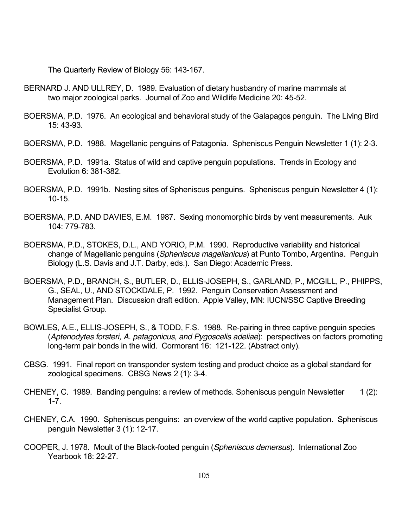The Quarterly Review of Biology 56: 143-167.

- BERNARD J. AND ULLREY, D. 1989. Evaluation of dietary husbandry of marine mammals at two major zoological parks. Journal of Zoo and Wildlife Medicine 20: 45-52.
- BOERSMA, P.D. 1976. An ecological and behavioral study of the Galapagos penguin. The Living Bird 15: 43-93.
- BOERSMA, P.D. 1988. Magellanic penguins of Patagonia. Spheniscus Penguin Newsletter 1 (1): 2-3.
- BOERSMA, P.D. 1991a. Status of wild and captive penguin populations. Trends in Ecology and Evolution 6: 381-382.
- BOERSMA, P.D. 1991b. Nesting sites of Spheniscus penguins. Spheniscus penguin Newsletter 4 (1): 10-15.
- BOERSMA, P.D. AND DAVIES, E.M. 1987. Sexing monomorphic birds by vent measurements. Auk 104: 779-783.
- BOERSMA, P.D., STOKES, D.L., AND YORIO, P.M. 1990. Reproductive variability and historical change of Magellanic penguins (*Spheniscus magellanicus*) at Punto Tombo, Argentina. Penguin Biology (L.S. Davis and J.T. Darby, eds.). San Diego: Academic Press.
- BOERSMA, P.D., BRANCH, S., BUTLER, D., ELLIS-JOSEPH, S., GARLAND, P., MCGILL, P., PHIPPS, G., SEAL, U., AND STOCKDALE, P. 1992. Penguin Conservation Assessment and Management Plan. Discussion draft edition. Apple Valley, MN: IUCN/SSC Captive Breeding Specialist Group.
- BOWLES, A.E., ELLIS-JOSEPH, S., & TODD, F.S. 1988. Re-pairing in three captive penguin species (*Aptenodytes forsteri, A. patagonicus, and Pygoscelis adeliae*): perspectives on factors promoting long-term pair bonds in the wild. Cormorant 16: 121-122. (Abstract only).
- CBSG. 1991. Final report on transponder system testing and product choice as a global standard for zoological specimens. CBSG News 2 (1): 3-4.
- CHENEY, C. 1989. Banding penguins: a review of methods. Spheniscus penguin Newsletter 1 (2): 1-7.
- CHENEY, C.A. 1990. Spheniscus penguins: an overview of the world captive population. Spheniscus penguin Newsletter 3 (1): 12-17.
- COOPER, J. 1978. Moult of the Black-footed penguin (*Spheniscus demersus*). International Zoo Yearbook 18: 22-27.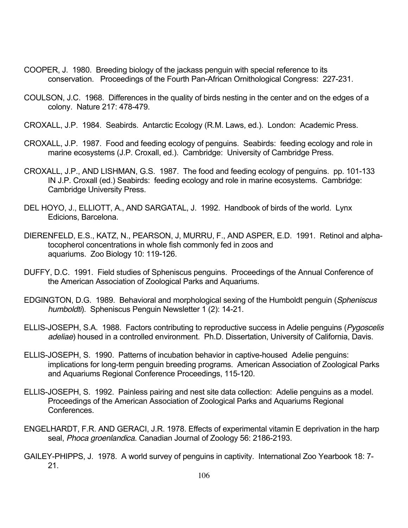- COOPER, J. 1980. Breeding biology of the jackass penguin with special reference to its conservation. Proceedings of the Fourth Pan-African Ornithological Congress: 227-231.
- COULSON, J.C. 1968. Differences in the quality of birds nesting in the center and on the edges of a colony. Nature 217: 478-479.
- CROXALL, J.P. 1984. Seabirds. Antarctic Ecology (R.M. Laws, ed.). London: Academic Press.
- CROXALL, J.P. 1987. Food and feeding ecology of penguins. Seabirds: feeding ecology and role in marine ecosystems (J.P. Croxall, ed.). Cambridge: University of Cambridge Press.
- CROXALL, J.P., AND LISHMAN, G.S. 1987. The food and feeding ecology of penguins. pp. 101-133 IN J.P. Croxall (ed.) Seabirds: feeding ecology and role in marine ecosystems. Cambridge: Cambridge University Press.
- DEL HOYO, J., ELLIOTT, A., AND SARGATAL, J. 1992. Handbook of birds of the world. Lynx Edicions, Barcelona.
- DIERENFELD, E.S., KATZ, N., PEARSON, J, MURRU, F., AND ASPER, E.D. 1991. Retinol and alphatocopherol concentrations in whole fish commonly fed in zoos and aquariums. Zoo Biology 10: 119-126.
- DUFFY, D.C. 1991. Field studies of Spheniscus penguins. Proceedings of the Annual Conference of the American Association of Zoological Parks and Aquariums.
- EDGINGTON, D.G. 1989. Behavioral and morphological sexing of the Humboldt penguin (*Spheniscus humboldti*). Spheniscus Penguin Newsletter 1 (2): 14-21.
- ELLIS-JOSEPH, S.A. 1988. Factors contributing to reproductive success in Adelie penguins (*Pygoscelis adeliae*) housed in a controlled environment. Ph.D. Dissertation, University of California, Davis.
- ELLIS-JOSEPH, S. 1990. Patterns of incubation behavior in captive-housed Adelie penguins: implications for long-term penguin breeding programs. American Association of Zoological Parks and Aquariums Regional Conference Proceedings, 115-120.
- ELLIS-JOSEPH, S. 1992. Painless pairing and nest site data collection: Adelie penguins as a model. Proceedings of the American Association of Zoological Parks and Aquariums Regional Conferences.
- ENGELHARDT, F.R. AND GERACI, J.R. 1978. Effects of experimental vitamin E deprivation in the harp seal, *Phoca groenlandica*. Canadian Journal of Zoology 56: 2186-2193.
- GAILEY-PHIPPS, J. 1978. A world survey of penguins in captivity. International Zoo Yearbook 18: 7- 21.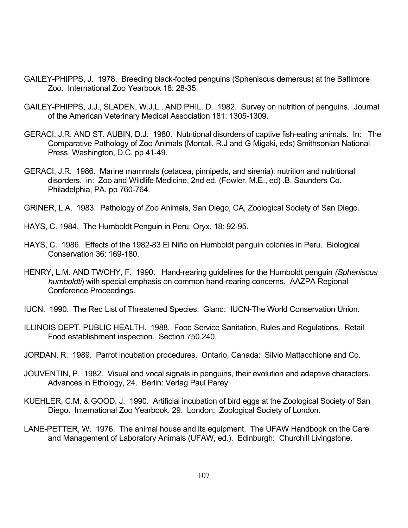- GAILEY-PHIPPS, J. 1978. Breeding black-footed penguins (Spheniscus demersus) at the Baltimore Zoo. International Zoo Yearbook 18: 28-35.
- GAILEY-PHIPPS, J.J., SLADEN, W.J.L., AND PHIL. D. 1982. Survey on nutrition of penguins. Journal of the American Veterinary Medical Association 181: 1305-1309.
- GERACI, J.R. AND ST. AUBIN, D.J. 1980. Nutritional disorders of captive fish-eating animals. In: The Comparative Pathology of Zoo Animals (Montali, R.J and G Migaki, eds) Smithsonian National Press, Washington, D.C. pp 41-49.
- GERACI, J.R. 1986. Marine mammals (cetacea, pinnipeds, and sirenia): nutrition and nutritional disorders. in: Zoo and Wildlife Medicine, 2nd ed. (Fowler, M.E., ed) .B. Saunders Co. Philadelphia, PA. pp 760-764.
- GRINER, L.A. 1983. Pathology of Zoo Animals, San Diego, CA, Zoological Society of San Diego.
- HAYS, C. 1984. The Humboldt Penguin in Peru. Oryx. 18: 92-95.
- HAYS, C. 1986. Effects of the 1982-83 El Niño on Humboldt penguin colonies in Peru. Biological Conservation 36: 169-180.
- HENRY, L.M. AND TWOHY, F. 1990. Hand-rearing guidelines for the Humboldt penguin *(Spheniscus humboldti*) with special emphasis on common hand-rearing concerns. AAZPA Regional Conference Proceedings.
- IUCN. 1990. The Red List of Threatened Species. Gland: IUCN-The World Conservation Union.
- ILLINOIS DEPT. PUBLIC HEALTH. 1988. Food Service Sanitation, Rules and Regulations. Retail Food establishment inspection. Section 750.240.
- JORDAN, R. 1989. Parrot incubation procedures. Ontario, Canada: Silvio Mattacchione and Co.
- JOUVENTIN, P. 1982. Visual and vocal signals in penguins, their evolution and adaptive characters. Advances in Ethology, 24. Berlin: Verlag Paul Parey.
- KUEHLER, C.M. & GOOD, J. 1990. Artificial incubation of bird eggs at the Zoological Society of San Diego. International Zoo Yearbook, 29. London: Zoological Society of London.
- LANE-PETTER, W. 1976. The animal house and its equipment. The UFAW Handbook on the Care and Management of Laboratory Animals (UFAW, ed.). Edinburgh: Churchill Livingstone.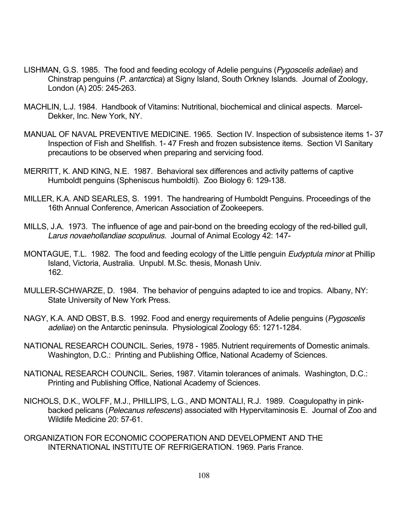- LISHMAN, G.S. 1985. The food and feeding ecology of Adelie penguins (*Pygoscelis adeliae*) and Chinstrap penguins (*P. antarctica*) at Signy Island, South Orkney Islands. Journal of Zoology, London (A) 205: 245-263.
- MACHLIN, L.J. 1984. Handbook of Vitamins: Nutritional, biochemical and clinical aspects. Marcel-Dekker, Inc. New York, NY.
- MANUAL OF NAVAL PREVENTIVE MEDICINE. 1965. Section IV. Inspection of subsistence items 1- 37 Inspection of Fish and Shellfish. 1- 47 Fresh and frozen subsistence items. Section VI Sanitary precautions to be observed when preparing and servicing food.
- MERRITT, K. AND KING, N.E. 1987. Behavioral sex differences and activity patterns of captive Humboldt penguins (Spheniscus humboldti). Zoo Biology 6: 129-138.
- MILLER, K.A. AND SEARLES, S. 1991. The handrearing of Humboldt Penguins. Proceedings of the 16th Annual Conference, American Association of Zookeepers.
- MILLS, J.A. 1973. The influence of age and pair-bond on the breeding ecology of the red-billed gull, *Larus novaehollandiae scopulinus*. Journal of Animal Ecology 42: 147-
- MONTAGUE, T.L. 1982. The food and feeding ecology of the Little penguin *Eudyptula minor* at Phillip Island, Victoria, Australia. Unpubl. M.Sc. thesis, Monash Univ. 162.
- MULLER-SCHWARZE, D. 1984. The behavior of penguins adapted to ice and tropics. Albany, NY: State University of New York Press.
- NAGY, K.A. AND OBST, B.S. 1992. Food and energy requirements of Adelie penguins (*Pygoscelis adeliae*) on the Antarctic peninsula. Physiological Zoology 65: 1271-1284.
- NATIONAL RESEARCH COUNCIL. Series, 1978 1985. Nutrient requirements of Domestic animals. Washington, D.C.: Printing and Publishing Office, National Academy of Sciences.
- NATIONAL RESEARCH COUNCIL. Series, 1987. Vitamin tolerances of animals. Washington, D.C.: Printing and Publishing Office, National Academy of Sciences.
- NICHOLS, D.K., WOLFF, M.J., PHILLIPS, L.G., AND MONTALI, R.J. 1989. Coagulopathy in pinkbacked pelicans (*Pelecanus refescens*) associated with Hypervitaminosis E. Journal of Zoo and Wildlife Medicine 20: 57-61.
- ORGANIZATION FOR ECONOMIC COOPERATION AND DEVELOPMENT AND THE INTERNATIONAL INSTITUTE OF REFRIGERATION. 1969. Paris France.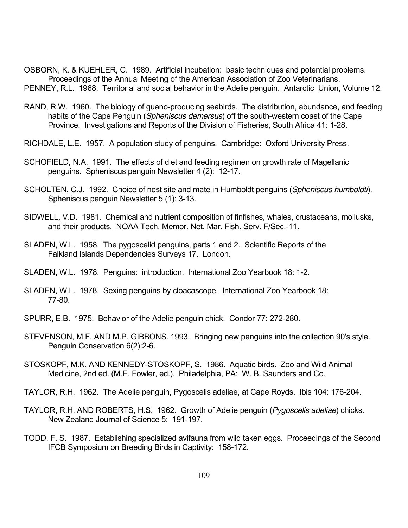OSBORN, K. & KUEHLER, C. 1989. Artificial incubation: basic techniques and potential problems. Proceedings of the Annual Meeting of the American Association of Zoo Veterinarians. PENNEY, R.L. 1968. Territorial and social behavior in the Adelie penguin. Antarctic Union, Volume 12.

- RAND, R.W. 1960. The biology of guano-producing seabirds. The distribution, abundance, and feeding habits of the Cape Penguin (*Spheniscus demersus*) off the south-western coast of the Cape Province. Investigations and Reports of the Division of Fisheries, South Africa 41: 1-28.
- RICHDALE, L.E. 1957. A population study of penguins. Cambridge: Oxford University Press.
- SCHOFIELD, N.A. 1991. The effects of diet and feeding regimen on growth rate of Magellanic penguins. Spheniscus penguin Newsletter 4 (2): 12-17.
- SCHOLTEN, C.J. 1992. Choice of nest site and mate in Humboldt penguins (*Spheniscus humboldti*). Spheniscus penguin Newsletter 5 (1): 3-13.
- SIDWELL, V.D. 1981. Chemical and nutrient composition of finfishes, whales, crustaceans, mollusks, and their products. NOAA Tech. Memor. Net. Mar. Fish. Serv. F/Sec.-11.
- SLADEN, W.L. 1958. The pygoscelid penguins, parts 1 and 2. Scientific Reports of the Falkland Islands Dependencies Surveys 17. London.
- SLADEN, W.L. 1978. Penguins: introduction. International Zoo Yearbook 18: 1-2.
- SLADEN, W.L. 1978. Sexing penguins by cloacascope. International Zoo Yearbook 18: 77-80.
- SPURR, E.B. 1975. Behavior of the Adelie penguin chick. Condor 77: 272-280.
- STEVENSON, M.F. AND M.P. GIBBONS. 1993. Bringing new penguins into the collection 90's style. Penguin Conservation 6(2):2-6.
- STOSKOPF, M.K. AND KENNEDY-STOSKOPF, S. 1986. Aquatic birds. Zoo and Wild Animal Medicine, 2nd ed. (M.E. Fowler, ed.). Philadelphia, PA: W. B. Saunders and Co.
- TAYLOR, R.H. 1962. The Adelie penguin, Pygoscelis adeliae, at Cape Royds. Ibis 104: 176-204.
- TAYLOR, R.H. AND ROBERTS, H.S. 1962. Growth of Adelie penguin (*Pygoscelis adeliae*) chicks. New Zealand Journal of Science 5: 191-197.
- TODD, F. S. 1987. Establishing specialized avifauna from wild taken eggs. Proceedings of the Second IFCB Symposium on Breeding Birds in Captivity: 158-172.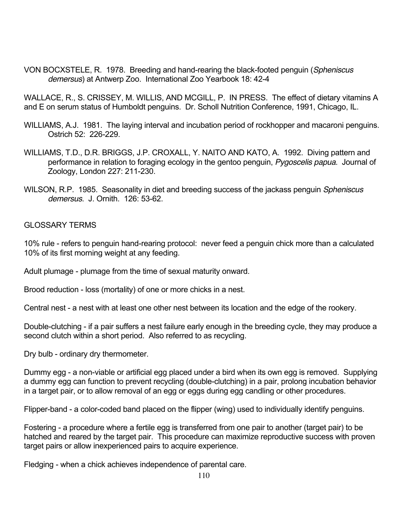VON BOCXSTELE, R. 1978. Breeding and hand-rearing the black-footed penguin (*Spheniscus demersus*) at Antwerp Zoo. International Zoo Yearbook 18: 42-4

WALLACE, R., S. CRISSEY, M. WILLIS, AND MCGILL, P. IN PRESS. The effect of dietary vitamins A and E on serum status of Humboldt penguins. Dr. Scholl Nutrition Conference, 1991, Chicago, IL.

- WILLIAMS, A.J. 1981. The laying interval and incubation period of rockhopper and macaroni penguins. Ostrich 52: 226-229.
- WILLIAMS, T.D., D.R. BRIGGS, J.P. CROXALL, Y. NAITO AND KATO, A. 1992. Diving pattern and performance in relation to foraging ecology in the gentoo penguin, *Pygoscelis papua*. Journal of Zoology, London 227: 211-230.
- WILSON, R.P. 1985. Seasonality in diet and breeding success of the jackass penguin *Spheniscus demersus*. J. Ornith. 126: 53-62.

## GLOSSARY TERMS

10% rule - refers to penguin hand-rearing protocol: never feed a penguin chick more than a calculated 10% of its first morning weight at any feeding.

Adult plumage - plumage from the time of sexual maturity onward.

Brood reduction - loss (mortality) of one or more chicks in a nest.

Central nest - a nest with at least one other nest between its location and the edge of the rookery.

Double-clutching - if a pair suffers a nest failure early enough in the breeding cycle, they may produce a second clutch within a short period. Also referred to as recycling.

Dry bulb - ordinary dry thermometer.

Dummy egg - a non-viable or artificial egg placed under a bird when its own egg is removed. Supplying a dummy egg can function to prevent recycling (double-clutching) in a pair, prolong incubation behavior in a target pair, or to allow removal of an egg or eggs during egg candling or other procedures.

Flipper-band - a color-coded band placed on the flipper (wing) used to individually identify penguins.

Fostering - a procedure where a fertile egg is transferred from one pair to another (target pair) to be hatched and reared by the target pair. This procedure can maximize reproductive success with proven target pairs or allow inexperienced pairs to acquire experience.

Fledging - when a chick achieves independence of parental care.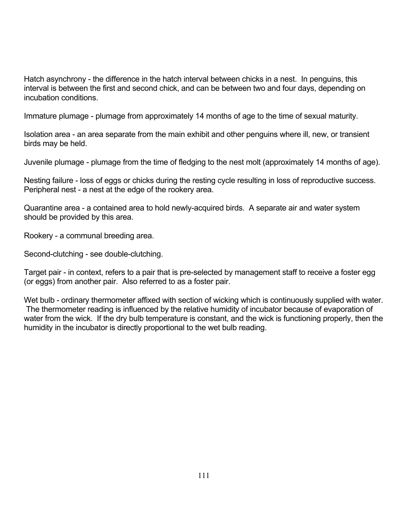Hatch asynchrony - the difference in the hatch interval between chicks in a nest. In penguins, this interval is between the first and second chick, and can be between two and four days, depending on incubation conditions.

Immature plumage - plumage from approximately 14 months of age to the time of sexual maturity.

Isolation area - an area separate from the main exhibit and other penguins where ill, new, or transient birds may be held.

Juvenile plumage - plumage from the time of fledging to the nest molt (approximately 14 months of age).

Nesting failure - loss of eggs or chicks during the resting cycle resulting in loss of reproductive success. Peripheral nest - a nest at the edge of the rookery area.

Quarantine area - a contained area to hold newly-acquired birds. A separate air and water system should be provided by this area.

Rookery - a communal breeding area.

Second-clutching - see double-clutching.

Target pair - in context, refers to a pair that is pre-selected by management staff to receive a foster egg (or eggs) from another pair. Also referred to as a foster pair.

Wet bulb - ordinary thermometer affixed with section of wicking which is continuously supplied with water. The thermometer reading is influenced by the relative humidity of incubator because of evaporation of water from the wick. If the dry bulb temperature is constant, and the wick is functioning properly, then the humidity in the incubator is directly proportional to the wet bulb reading.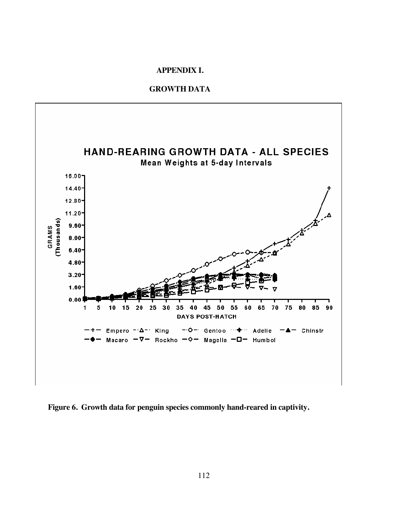### **APPENDIX I.**

#### **GROWTH DATA**



**Figure 6. Growth data for penguin species commonly hand-reared in captivity.**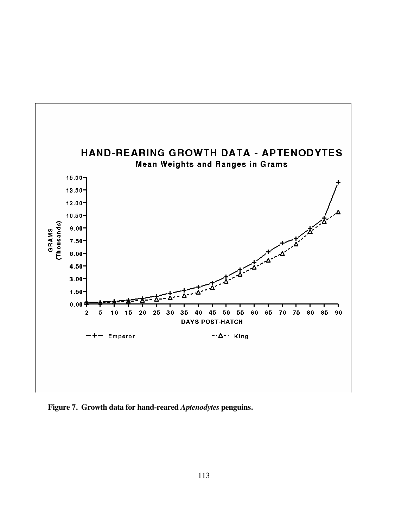

**Figure 7. Growth data for hand-reared** *Aptenodytes* **penguins.**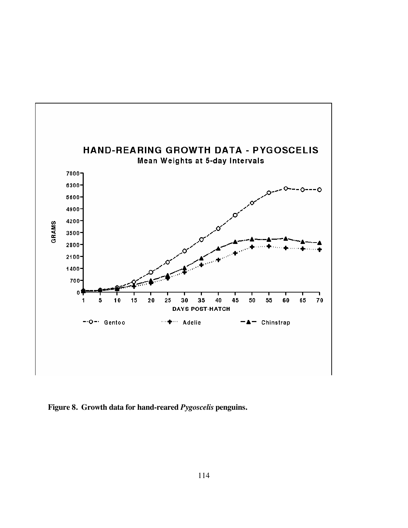

**Figure 8. Growth data for hand-reared** *Pygoscelis* **penguins.**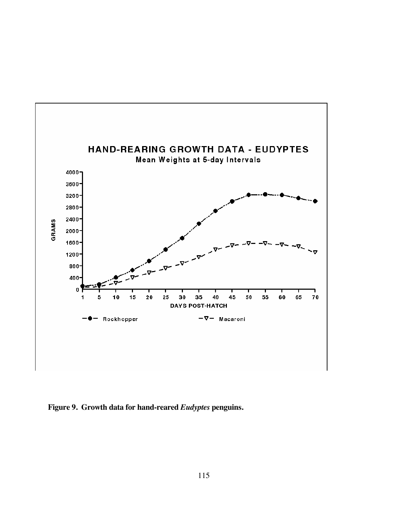

**Figure 9. Growth data for hand-reared** *Eudyptes* **penguins.**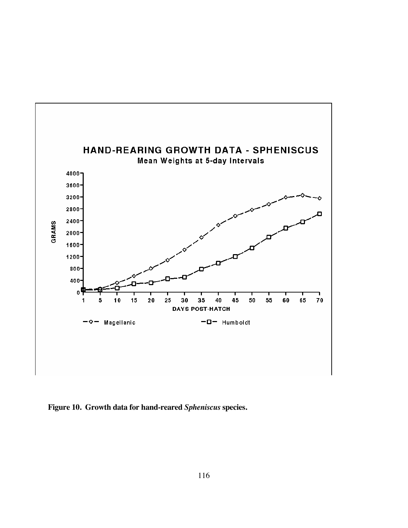

**Figure 10. Growth data for hand-reared** *Spheniscus* **species.**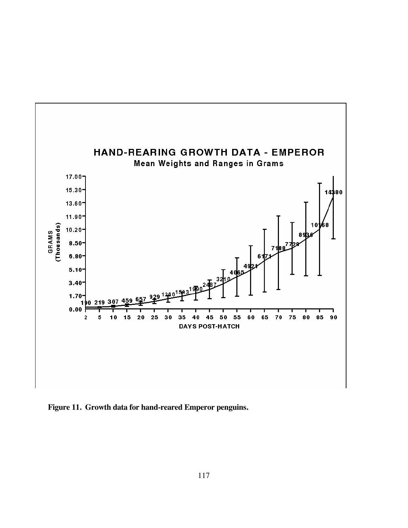

**Figure 11. Growth data for hand-reared Emperor penguins.**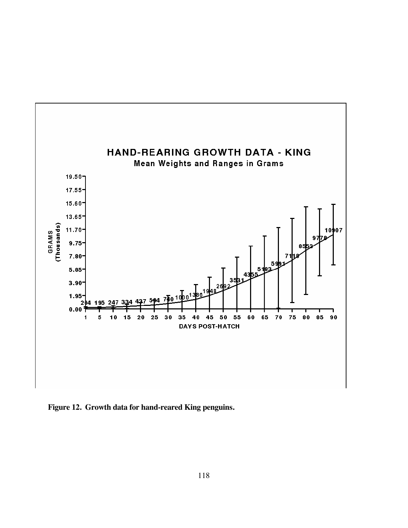

**Figure 12. Growth data for hand-reared King penguins.**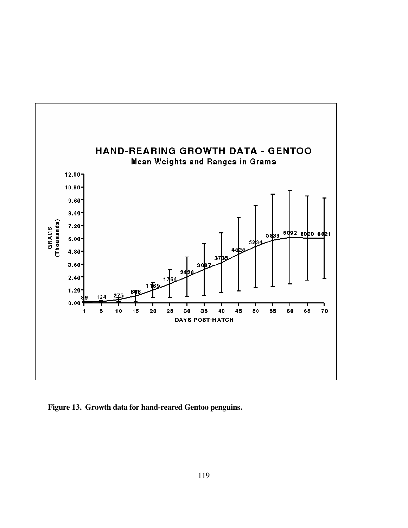

**Figure 13. Growth data for hand-reared Gentoo penguins.**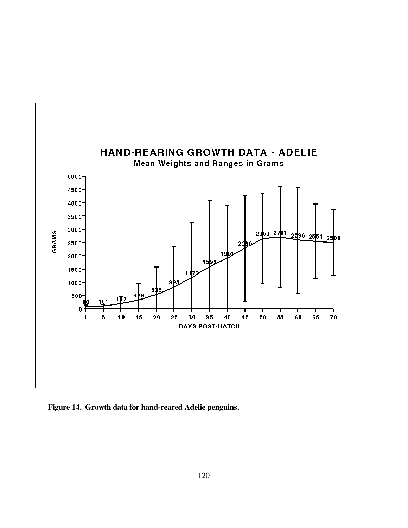

**Figure 14. Growth data for hand-reared Adelie penguins.**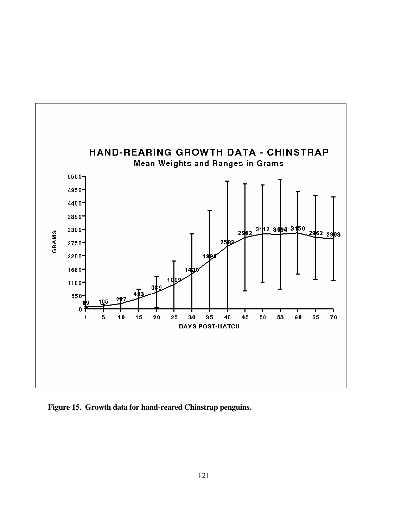

**Figure 15. Growth data for hand-reared Chinstrap penguins.**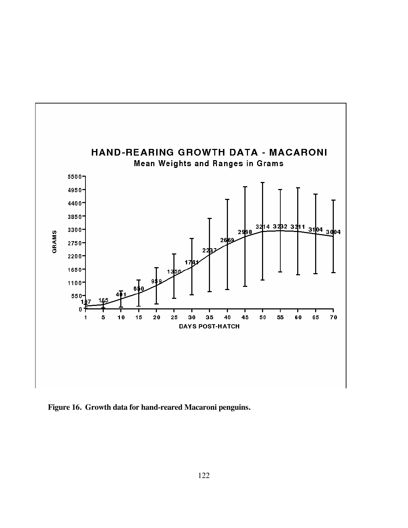

**Figure 16. Growth data for hand-reared Macaroni penguins.**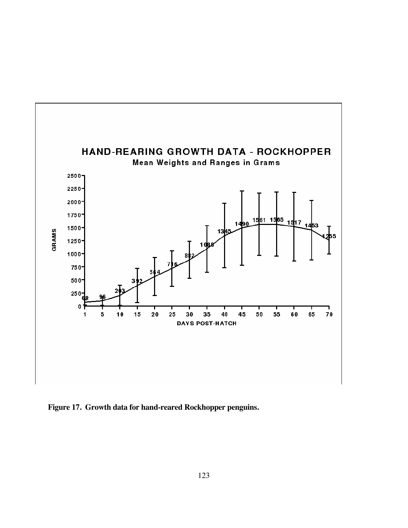

**Figure 17. Growth data for hand-reared Rockhopper penguins.**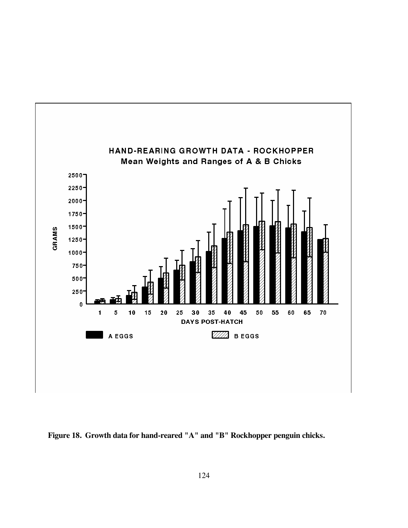

**Figure 18. Growth data for hand-reared "A" and "B" Rockhopper penguin chicks.**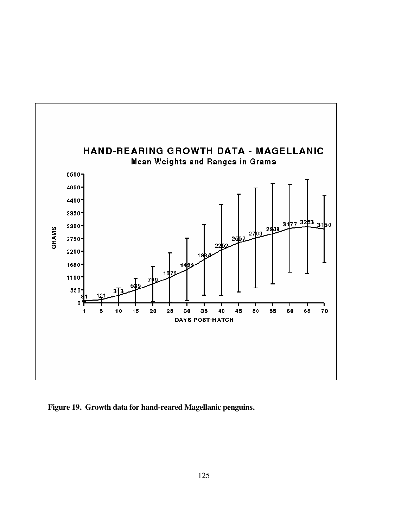

**Figure 19. Growth data for hand-reared Magellanic penguins.**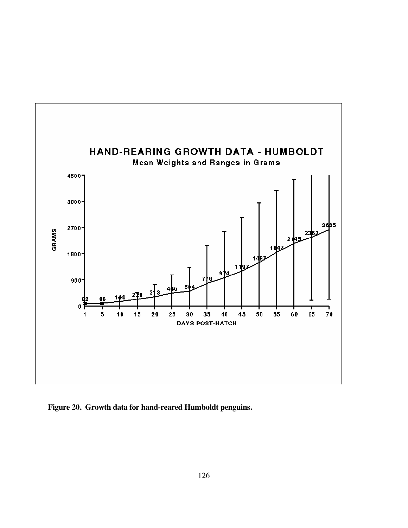

**Figure 20. Growth data for hand-reared Humboldt penguins.**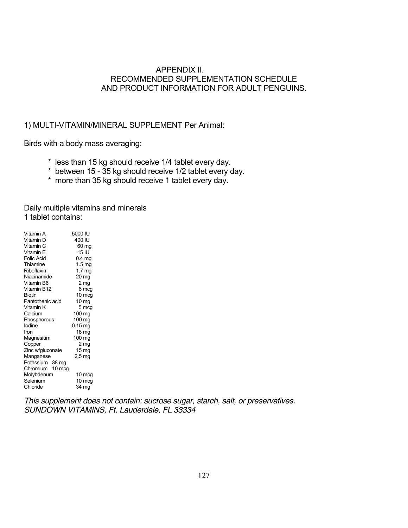## APPENDIX II. RECOMMENDED SUPPLEMENTATION SCHEDULE AND PRODUCT INFORMATION FOR ADULT PENGUINS.

## 1) MULTI-VITAMIN/MINERAL SUPPLEMENT Per Animal:

Birds with a body mass averaging:

- \* less than 15 kg should receive 1/4 tablet every day.
- \* between 15 35 kg should receive 1/2 tablet every day.
- \* more than 35 kg should receive 1 tablet every day.

Daily multiple vitamins and minerals 1 tablet contains:

| Vitamin A        | 5000 IU           |
|------------------|-------------------|
| Vitamin D        | 400 IU            |
| Vitamin C        | 60 mg             |
| Vitamin E        | 15 IU             |
| Folic Acid       | 0.4 <sub>mg</sub> |
| Thiamine         | 1.5 <sub>mg</sub> |
| Riboflavin       | 1.7 <sub>mg</sub> |
| Niacinamide      | 20 mg             |
| Vitamin B6       | 2 mg              |
| Vitamin B12      | 6 mcg             |
| Biotin           | 10 mcg            |
| Pantothenic acid | 10 mg             |
| Vitamin K        | 5 mcg             |
| Calcium          | 100 mg            |
| Phosphorous      | 100 mg            |
| lodine           | $0.15$ mg         |
| Iron             | 18 mg             |
| Magnesium        | 100 mg            |
| Copper           | 2 <sub>mg</sub>   |
| Zinc w/gluconate | 15 <sub>mg</sub>  |
| Manganese        | 2.5 <sub>mg</sub> |
| Potassium 38 mg  |                   |
| Chromium 10 mcg  |                   |
| Molybdenum       | 10 mcg            |
| Selenium         | 10 mcg            |
| Chloride         | 34 mg             |
|                  |                   |

*This supplement does not contain: sucrose sugar, starch, salt, or preservatives. SUNDOWN VITAMINS, Ft. Lauderdale, FL 33334*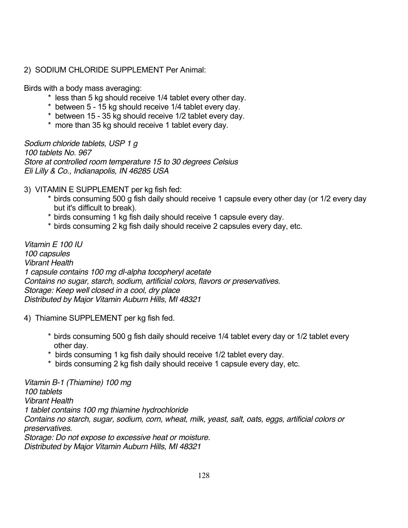# 2) SODIUM CHLORIDE SUPPLEMENT Per Animal:

Birds with a body mass averaging:

- \* less than 5 kg should receive 1/4 tablet every other day.
- \* between 5 15 kg should receive 1/4 tablet every day.
- \* between 15 35 kg should receive 1/2 tablet every day.
- \* more than 35 kg should receive 1 tablet every day.

*Sodium chloride tablets, USP 1 g 100 tablets No. 967 Store at controlled room temperature 15 to 30 degrees Celsius Eli Lilly & Co., Indianapolis, IN 46285 USA* 

3) VITAMIN E SUPPLEMENT per kg fish fed:

- \* birds consuming 500 g fish daily should receive 1 capsule every other day (or 1/2 every day but it's difficult to break).
- \* birds consuming 1 kg fish daily should receive 1 capsule every day.
- \* birds consuming 2 kg fish daily should receive 2 capsules every day, etc.

*Vitamin E 100 IU 100 capsules Vibrant Health 1 capsule contains 100 mg dl-alpha tocopheryl acetate Contains no sugar, starch, sodium, artificial colors, flavors or preservatives. Storage: Keep well closed in a cool, dry place Distributed by Major Vitamin Auburn Hills, MI 48321* 

4) Thiamine SUPPLEMENT per kg fish fed.

- \* birds consuming 500 g fish daily should receive 1/4 tablet every day or 1/2 tablet every other day.
- \* birds consuming 1 kg fish daily should receive 1/2 tablet every day.
- \* birds consuming 2 kg fish daily should receive 1 capsule every day, etc.

*Vitamin B-1 (Thiamine) 100 mg 100 tablets Vibrant Health 1 tablet contains 100 mg thiamine hydrochloride Contains no starch, sugar, sodium, corn, wheat, milk, yeast, salt, oats, eggs, artificial colors or preservatives. Storage: Do not expose to excessive heat or moisture.* 

*Distributed by Major Vitamin Auburn Hills, MI 48321*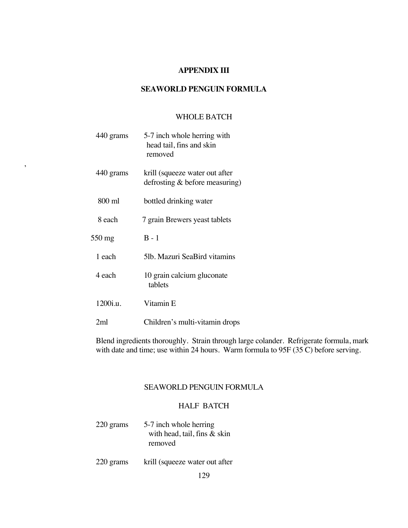## **APPENDIX III**

### **SEAWORLD PENGUIN FORMULA**

### WHOLE BATCH

|   | 440 grams | 5-7 inch whole herring with<br>head tail, fins and skin<br>removed |
|---|-----------|--------------------------------------------------------------------|
| , | 440 grams | krill (squeeze water out after<br>defrosting $&$ before measuring) |
|   | 800 ml    | bottled drinking water                                             |
|   | 8 each    | 7 grain Brewers yeast tablets                                      |
|   | 550 mg    | $B - 1$                                                            |
|   | 1 each    | 5lb. Mazuri SeaBird vitamins                                       |
|   | 4 each    | 10 grain calcium gluconate<br>tablets                              |
|   | 1200i.u.  | Vitamin E                                                          |
|   | 2ml       | Children's multi-vitamin drops                                     |

,

Blend ingredients thoroughly. Strain through large colander. Refrigerate formula, mark with date and time; use within 24 hours. Warm formula to 95F (35 C) before serving.

#### SEAWORLD PENGUIN FORMULA

### HALF BATCH

- 220 grams 5-7 inch whole herring with head, tail, fins & skin removed
- 220 grams krill (squeeze water out after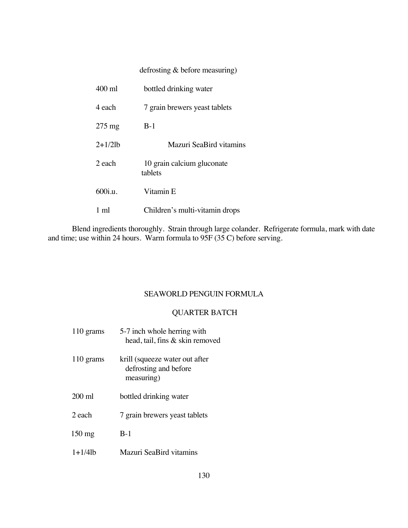## defrosting & before measuring)

| $400 \text{ ml}$ | bottled drinking water                |
|------------------|---------------------------------------|
| 4 each           | 7 grain brewers yeast tablets         |
| $275 \text{ mg}$ | $B-1$                                 |
| $2+1/2$ lb       | Mazuri SeaBird vitamins               |
| 2 each           | 10 grain calcium gluconate<br>tablets |
| 600i.u.          | Vitamin E                             |
| 1 ml             | Children's multi-vitamin drops        |

Blend ingredients thoroughly. Strain through large colander. Refrigerate formula, mark with date and time; use within 24 hours. Warm formula to 95F (35 C) before serving.

#### SEAWORLD PENGUIN FORMULA

### QUARTER BATCH

110 grams 5-7 inch whole herring with head, tail, fins & skin removed 110 grams krill (squeeze water out after defrosting and before measuring) 200 ml bottled drinking water 2 each 7 grain brewers yeast tablets 150 mg B-1 1+1/4lb Mazuri SeaBird vitamins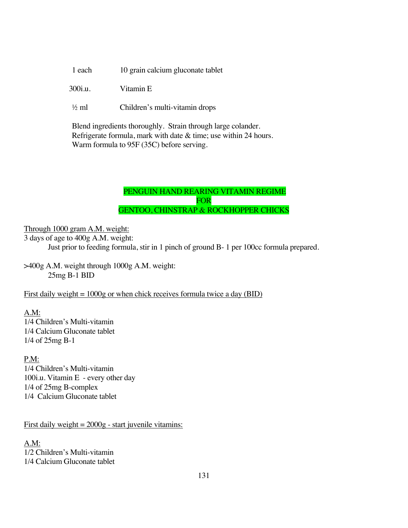1 each 10 grain calcium gluconate tablet

300i.u. Vitamin E

½ ml Children's multi-vitamin drops

 Blend ingredients thoroughly. Strain through large colander. Refrigerate formula, mark with date & time; use within 24 hours. Warm formula to 95F (35C) before serving.

# PENGUIN HAND REARING VITAMIN REGIME FOR **FOR** GENTOO, CHINSTRAP & ROCKHOPPER CHICKS

Through 1000 gram A.M. weight:

3 days of age to 400g A.M. weight:

Just prior to feeding formula, stir in 1 pinch of ground B- 1 per 100cc formula prepared.

>400g A.M. weight through 1000g A.M. weight: 25mg B-1 BID

First daily weight  $= 1000g$  or when chick receives formula twice a day (BID)

A.M: 1/4 Children's Multi-vitamin 1/4 Calcium Gluconate tablet 1/4 of 25mg B-1

P.M: 1/4 Children's Multi-vitamin 100i.u. Vitamin E - every other day 1/4 of 25mg B-complex 1/4 Calcium Gluconate tablet

First daily weight  $= 2000g - start$  juvenile vitamins:

A.M: 1/2 Children's Multi-vitamin 1/4 Calcium Gluconate tablet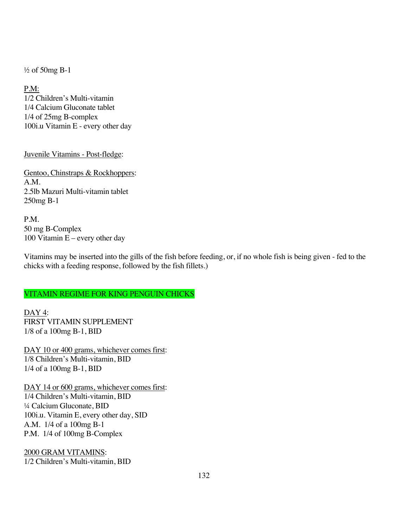½ of 50mg B-1

P.M: 1/2 Children's Multi-vitamin 1/4 Calcium Gluconate tablet 1/4 of 25mg B-complex 100i.u Vitamin E - every other day

Juvenile Vitamins - Post-fledge:

Gentoo, Chinstraps & Rockhoppers: A.M. 2.5lb Mazuri Multi-vitamin tablet 250mg B-1

P.M. 50 mg B-Complex 100 Vitamin  $E$  – every other day

Vitamins may be inserted into the gills of the fish before feeding, or, if no whole fish is being given - fed to the chicks with a feeding response, followed by the fish fillets.)

# VITAMIN REGIME FOR KING PENGUIN CHICKS

DAY<sub>4</sub>: FIRST VITAMIN SUPPLEMENT 1/8 of a 100mg B-1, BID

DAY 10 or 400 grams, whichever comes first: 1/8 Children's Multi-vitamin, BID 1/4 of a 100mg B-1, BID

DAY 14 or 600 grams, whichever comes first: 1/4 Children's Multi-vitamin, BID ¼ Calcium Gluconate, BID 100i.u. Vitamin E, every other day, SID A.M. 1/4 of a 100mg B-1 P.M. 1/4 of 100mg B-Complex

2000 GRAM VITAMINS: 1/2 Children's Multi-vitamin, BID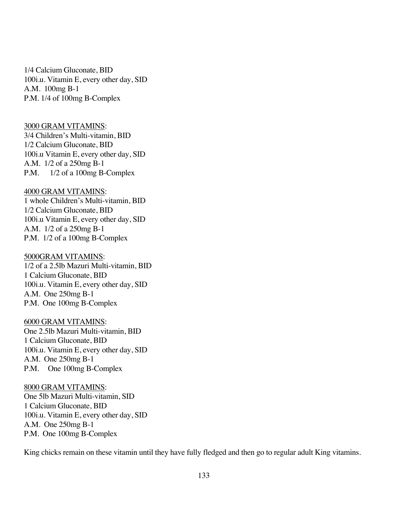1/4 Calcium Gluconate, BID 100i.u. Vitamin E, every other day, SID A.M. 100mg B-1 P.M. 1/4 of 100mg B-Complex

#### 3000 GRAM VITAMINS:

3/4 Children's Multi-vitamin, BID 1/2 Calcium Gluconate, BID 100i.u Vitamin E, every other day, SID A.M. 1/2 of a 250mg B-1 P.M. 1/2 of a 100mg B-Complex

#### 4000 GRAM VITAMINS:

1 whole Children's Multi-vitamin, BID 1/2 Calcium Gluconate, BID 100i.u Vitamin E, every other day, SID A.M. 1/2 of a 250mg B-1 P.M. 1/2 of a 100mg B-Complex

#### 5000GRAM VITAMINS:

1/2 of a 2.5lb Mazuri Multi-vitamin, BID 1 Calcium Gluconate, BID 100i.u. Vitamin E, every other day, SID A.M. One 250mg B-1 P.M. One 100mg B-Complex

#### 6000 GRAM VITAMINS:

One 2.5lb Mazuri Multi-vitamin, BID 1 Calcium Gluconate, BID 100i.u. Vitamin E, every other day, SID A.M. One 250mg B-1 P.M. One 100mg B-Complex

#### 8000 GRAM VITAMINS:

One 5lb Mazuri Multi-vitamin, SID 1 Calcium Gluconate, BID 100i.u. Vitamin E, every other day, SID A.M. One 250mg B-1 P.M. One 100mg B-Complex

King chicks remain on these vitamin until they have fully fledged and then go to regular adult King vitamins.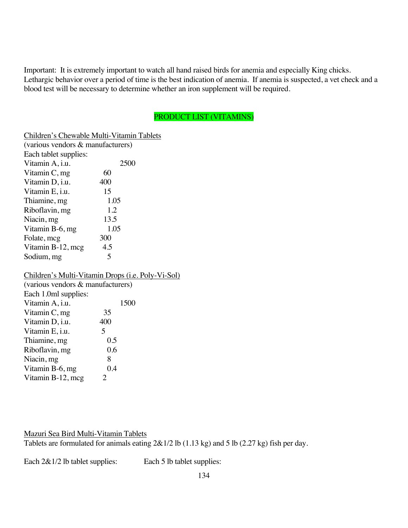Important: It is extremely important to watch all hand raised birds for anemia and especially King chicks. Lethargic behavior over a period of time is the best indication of anemia. If anemia is suspected, a vet check and a blood test will be necessary to determine whether an iron supplement will be required.

# PRODUCT LIST (VITAMINS)

Children's Chewable Multi-Vitamin Tablets

| (various vendors & manufacturers) |      |  |
|-----------------------------------|------|--|
| Each tablet supplies:             |      |  |
| Vitamin A, i.u.                   | 2500 |  |
| Vitamin $C$ , mg                  | 60   |  |
| Vitamin D, i.u.                   | 400  |  |
| Vitamin E, i.u.                   | 15   |  |
| Thiamine, mg                      | 1.05 |  |
| Riboflavin, mg                    | 1.2  |  |
| Niacin, mg                        | 13.5 |  |
| Vitamin B-6, mg                   | 1.05 |  |
| Folate, mcg                       | 300  |  |
| Vitamin B-12, mcg                 | 4.5  |  |
| Sodium, mg                        | ↰    |  |

### Children's Multi-Vitamin Drops (i.e. Poly-Vi-Sol)

| (various vendors & manufacturers) |  |  |  |
|-----------------------------------|--|--|--|
|                                   |  |  |  |
| 1500                              |  |  |  |
| 35                                |  |  |  |
| 400                               |  |  |  |
| 5                                 |  |  |  |
| 0.5                               |  |  |  |
| 0.6                               |  |  |  |
| 8                                 |  |  |  |
| 0.4                               |  |  |  |
| $\mathcal{L}$                     |  |  |  |
| Each 1.0ml supplies:              |  |  |  |

## Mazuri Sea Bird Multi-Vitamin Tablets

Tablets are formulated for animals eating 2&1/2 lb (1.13 kg) and 5 lb (2.27 kg) fish per day.

Each  $2&1/2$  lb tablet supplies: Each 5 lb tablet supplies:

134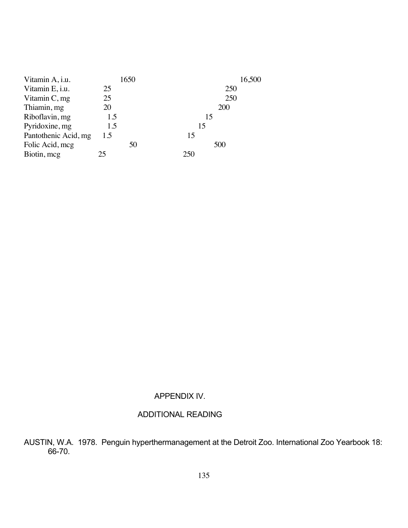| Vitamin A, i.u.      |     | 1650 | 16,500 |
|----------------------|-----|------|--------|
| Vitamin E, i.u.      | 25  |      | 250    |
| Vitamin $C$ , mg     | 25  |      | 250    |
| Thiamin, mg          | 20  |      | 200    |
| Riboflavin, mg       | 1.5 |      | 15     |
| Pyridoxine, mg       | 1.5 |      | 15     |
| Pantothenic Acid, mg | 1.5 |      | 15     |
| Folic Acid, mcg      |     | 50   | 500    |
| Biotin, mcg          | 25  |      | 250    |

# APPENDIX IV.

# ADDITIONAL READING

AUSTIN, W.A. 1978. Penguin hyperthermanagement at the Detroit Zoo. International Zoo Yearbook 18: 66-70.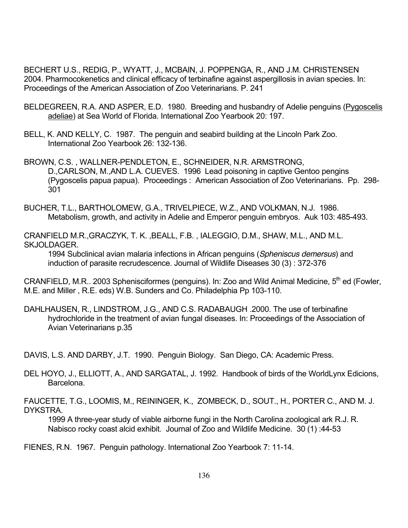BECHERT U.S., REDIG, P., WYATT, J., MCBAIN, J. POPPENGA, R., AND J.M. CHRISTENSEN 2004. Pharmocokenetics and clinical efficacy of terbinafine against aspergillosis in avian species. In: Proceedings of the American Association of Zoo Veterinarians. P. 241

- BELDEGREEN, R.A. AND ASPER, E.D. 1980. Breeding and husbandry of Adelie penguins (Pygoscelis adeliae) at Sea World of Florida. International Zoo Yearbook 20: 197.
- BELL, K. AND KELLY, C. 1987. The penguin and seabird building at the Lincoln Park Zoo. International Zoo Yearbook 26: 132-136.

BROWN, C.S. , WALLNER-PENDLETON, E., SCHNEIDER, N.R. ARMSTRONG, D.,CARLSON, M.,AND L.A. CUEVES. 1996 Lead poisoning in captive Gentoo pengins (Pygoscelis papua papua). Proceedings : American Association of Zoo Veterinarians. Pp. 298- 301

BUCHER, T.L., BARTHOLOMEW, G.A., TRIVELPIECE, W.Z., AND VOLKMAN, N.J. 1986. Metabolism, growth, and activity in Adelie and Emperor penguin embryos. Auk 103: 485-493.

CRANFIELD M.R.,GRACZYK, T. K. ,BEALL, F.B. , IALEGGIO, D.M., SHAW, M.L., AND M.L. SKJOLDAGER.

1994 Subclinical avian malaria infections in African penguins (*Spheniscus demersus*) and induction of parasite recrudescence. Journal of Wildlife Diseases 30 (3) : 372-376

CRANFIELD, M.R.. 2003 Sphenisciformes (penguins). In: Zoo and Wild Animal Medicine, 5<sup>th</sup> ed (Fowler, M.E. and Miller , R.E. eds) W.B. Sunders and Co. Philadelphia Pp 103-110.

DAHLHAUSEN, R., LINDSTROM, J.G., AND C.S. RADABAUGH .2000. The use of terbinafine hydrochloride in the treatment of avian fungal diseases. In: Proceedings of the Association of Avian Veterinarians p.35

DAVIS, L.S. AND DARBY, J.T. 1990. Penguin Biology. San Diego, CA: Academic Press.

DEL HOYO, J., ELLIOTT, A., AND SARGATAL, J. 1992. Handbook of birds of the WorldLynx Edicions, Barcelona.

FAUCETTE, T.G., LOOMIS, M., REININGER, K., ZOMBECK, D., SOUT., H., PORTER C., AND M. J. DYKSTRA.

1999 A three-year study of viable airborne fungi in the North Carolina zoological ark R.J. R. Nabisco rocky coast alcid exhibit. Journal of Zoo and Wildlife Medicine. 30 (1) :44-53

FIENES, R.N. 1967. Penguin pathology. International Zoo Yearbook 7: 11-14.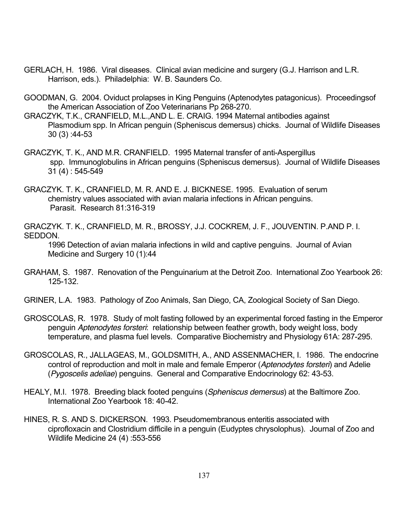- GERLACH, H. 1986. Viral diseases. Clinical avian medicine and surgery (G.J. Harrison and L.R. Harrison, eds.). Philadelphia: W. B. Saunders Co.
- GOODMAN, G. 2004. Oviduct prolapses in King Penguins (Aptenodytes patagonicus). Proceedingsof the American Association of Zoo Veterinarians Pp 268-270.
- GRACZYK, T.K., CRANFIELD, M.L.,AND L. E. CRAIG. 1994 Maternal antibodies against Plasmodium spp. In African penguin (Spheniscus demersus) chicks. Journal of Wildlife Diseases 30 (3) :44-53
- GRACZYK, T. K., AND M.R. CRANFIELD. 1995 Maternal transfer of anti-Aspergillus spp. Immunoglobulins in African penguins (Spheniscus demersus). Journal of Wildlife Diseases 31 (4) : 545-549
- GRACZYK. T. K., CRANFIELD, M. R. AND E. J. BICKNESE. 1995. Evaluation of serum chemistry values associated with avian malaria infections in African penguins. Parasit. Research 81:316-319
- GRACZYK. T. K., CRANFIELD, M. R., BROSSY, J.J. COCKREM, J. F., JOUVENTIN. P.AND P. I. SEDDON.

1996 Detection of avian malaria infections in wild and captive penguins. Journal of Avian Medicine and Surgery 10 (1):44

- GRAHAM, S. 1987. Renovation of the Penguinarium at the Detroit Zoo. International Zoo Yearbook 26: 125-132.
- GRINER, L.A. 1983. Pathology of Zoo Animals, San Diego, CA, Zoological Society of San Diego.
- GROSCOLAS, R. 1978. Study of molt fasting followed by an experimental forced fasting in the Emperor penguin *Aptenodytes forsteri*: relationship between feather growth, body weight loss, body temperature, and plasma fuel levels. Comparative Biochemistry and Physiology 61A: 287-295.
- GROSCOLAS, R., JALLAGEAS, M., GOLDSMITH, A., AND ASSENMACHER, I. 1986. The endocrine control of reproduction and molt in male and female Emperor (*Aptenodytes forsteri*) and Adelie (*Pygoscelis adeliae*) penguins. General and Comparative Endocrinology 62: 43-53.
- HEALY, M.I. 1978. Breeding black footed penguins (*Spheniscus demersus*) at the Baltimore Zoo. International Zoo Yearbook 18: 40-42.
- HINES, R. S. AND S. DICKERSON. 1993. Pseudomembranous enteritis associated with ciprofloxacin and Clostridium difficile in a penguin (Eudyptes chrysolophus). Journal of Zoo and Wildlife Medicine 24 (4) :553-556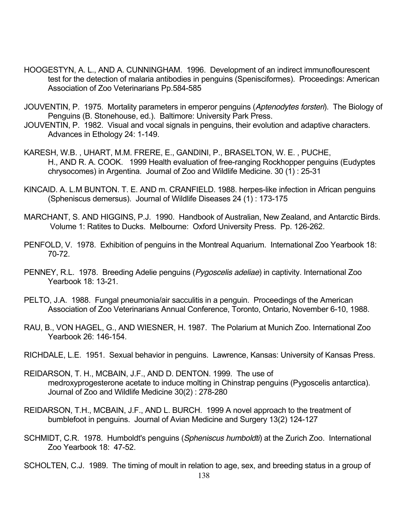- HOOGESTYN, A. L., AND A. CUNNINGHAM. 1996. Development of an indirect immunoflourescent test for the detection of malaria antibodies in penguins (Spenisciformes). Proceedings: American Association of Zoo Veterinarians Pp.584-585
- JOUVENTIN, P. 1975. Mortality parameters in emperor penguins (*Aptenodytes forsteri*). The Biology of Penguins (B. Stonehouse, ed.). Baltimore: University Park Press.
- JOUVENTIN, P. 1982. Visual and vocal signals in penguins, their evolution and adaptive characters. Advances in Ethology 24: 1-149.
- KARESH, W.B. , UHART, M.M. FRERE, E., GANDINI, P., BRASELTON, W. E. , PUCHE, H., AND R. A. COOK. 1999 Health evaluation of free-ranging Rockhopper penguins (Eudyptes chrysocomes) in Argentina. Journal of Zoo and Wildlife Medicine. 30 (1) : 25-31
- KINCAID. A. L.M BUNTON. T. E. AND m. CRANFIELD. 1988. herpes-like infection in African penguins (Spheniscus demersus). Journal of Wildlife Diseases 24 (1) : 173-175
- MARCHANT, S. AND HIGGINS, P.J. 1990. Handbook of Australian, New Zealand, and Antarctic Birds. Volume 1: Ratites to Ducks. Melbourne: Oxford University Press. Pp. 126-262.
- PENFOLD, V. 1978. Exhibition of penguins in the Montreal Aquarium. International Zoo Yearbook 18: 70-72.
- PENNEY, R.L. 1978. Breeding Adelie penguins (*Pygoscelis adeliae*) in captivity. International Zoo Yearbook 18: 13-21.
- PELTO, J.A. 1988. Fungal pneumonia/air sacculitis in a penguin. Proceedings of the American Association of Zoo Veterinarians Annual Conference, Toronto, Ontario, November 6-10, 1988.
- RAU, B., VON HAGEL, G., AND WIESNER, H. 1987. The Polarium at Munich Zoo. International Zoo Yearbook 26: 146-154.
- RICHDALE, L.E. 1951. Sexual behavior in penguins. Lawrence, Kansas: University of Kansas Press.
- REIDARSON, T. H., MCBAIN, J.F., AND D. DENTON. 1999. The use of medroxyprogesterone acetate to induce molting in Chinstrap penguins (Pygoscelis antarctica). Journal of Zoo and Wildlife Medicine 30(2) : 278-280
- REIDARSON, T.H., MCBAIN, J.F., AND L. BURCH. 1999 A novel approach to the treatment of bumblefoot in penguins. Journal of Avian Medicine and Surgery 13(2) 124-127
- SCHMIDT, C.R. 1978. Humboldt's penguins (*Spheniscus humboldti*) at the Zurich Zoo. International Zoo Yearbook 18: 47-52.

SCHOLTEN, C.J. 1989. The timing of moult in relation to age, sex, and breeding status in a group of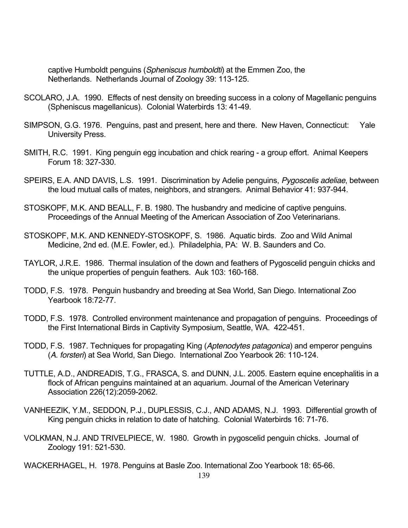captive Humboldt penguins (*Spheniscus humboldti*) at the Emmen Zoo, the Netherlands. Netherlands Journal of Zoology 39: 113-125.

- SCOLARO, J.A. 1990. Effects of nest density on breeding success in a colony of Magellanic penguins (Spheniscus magellanicus). Colonial Waterbirds 13: 41-49.
- SIMPSON, G.G. 1976. Penguins, past and present, here and there. New Haven, Connecticut: Yale University Press.
- SMITH, R.C. 1991. King penguin egg incubation and chick rearing a group effort. Animal Keepers Forum 18: 327-330.
- SPEIRS, E.A. AND DAVIS, L.S. 1991. Discrimination by Adelie penguins, *Pygoscelis adeliae*, between the loud mutual calls of mates, neighbors, and strangers. Animal Behavior 41: 937-944.
- STOSKOPF, M.K. AND BEALL, F. B. 1980. The husbandry and medicine of captive penguins. Proceedings of the Annual Meeting of the American Association of Zoo Veterinarians.
- STOSKOPF, M.K. AND KENNEDY-STOSKOPF, S. 1986. Aquatic birds. Zoo and Wild Animal Medicine, 2nd ed. (M.E. Fowler, ed.). Philadelphia, PA: W. B. Saunders and Co.
- TAYLOR, J.R.E. 1986. Thermal insulation of the down and feathers of Pygoscelid penguin chicks and the unique properties of penguin feathers. Auk 103: 160-168.
- TODD, F.S. 1978. Penguin husbandry and breeding at Sea World, San Diego. International Zoo Yearbook 18:72-77.
- TODD, F.S. 1978. Controlled environment maintenance and propagation of penguins. Proceedings of the First International Birds in Captivity Symposium, Seattle, WA. 422-451.
- TODD, F.S. 1987. Techniques for propagating King (*Aptenodytes patagonica*) and emperor penguins (*A. forsteri*) at Sea World, San Diego. International Zoo Yearbook 26: 110-124.
- TUTTLE, A.D., ANDREADIS, T.G., FRASCA, S. and DUNN, J.L. 2005. Eastern equine encephalitis in a flock of African penguins maintained at an aquarium. Journal of the American Veterinary Association 226(12):2059-2062.
- VANHEEZIK, Y.M., SEDDON, P.J., DUPLESSIS, C.J., AND ADAMS, N.J. 1993. Differential growth of King penguin chicks in relation to date of hatching. Colonial Waterbirds 16: 71-76.
- VOLKMAN, N.J. AND TRIVELPIECE, W. 1980. Growth in pygoscelid penguin chicks. Journal of Zoology 191: 521-530.

WACKERHAGEL, H. 1978. Penguins at Basle Zoo. International Zoo Yearbook 18: 65-66.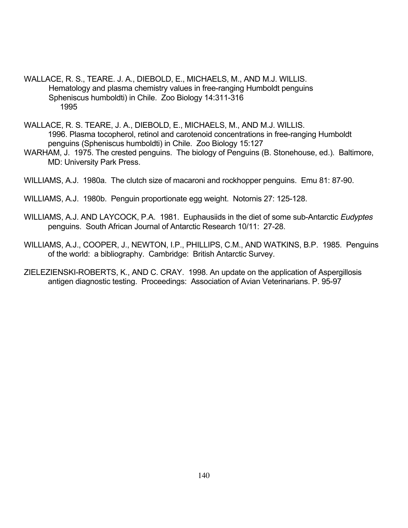- WALLACE, R. S., TEARE. J. A., DIEBOLD, E., MICHAELS, M., AND M.J. WILLIS. Hematology and plasma chemistry values in free-ranging Humboldt penguins Spheniscus humboldti) in Chile. Zoo Biology 14:311-316 1995
- WALLACE, R. S. TEARE, J. A., DIEBOLD, E., MICHAELS, M., AND M.J. WILLIS. 1996. Plasma tocopherol, retinol and carotenoid concentrations in free-ranging Humboldt penguins (Spheniscus humboldti) in Chile. Zoo Biology 15:127
- WARHAM, J. 1975. The crested penguins. The biology of Penguins (B. Stonehouse, ed.). Baltimore, MD: University Park Press.
- WILLIAMS, A.J. 1980a. The clutch size of macaroni and rockhopper penguins. Emu 81: 87-90.
- WILLIAMS, A.J. 1980b. Penguin proportionate egg weight. Notornis 27: 125-128.
- WILLIAMS, A.J. AND LAYCOCK, P.A. 1981. Euphausiids in the diet of some sub-Antarctic *Eudyptes* penguins. South African Journal of Antarctic Research 10/11: 27-28.
- WILLIAMS, A.J., COOPER, J., NEWTON, I.P., PHILLIPS, C.M., AND WATKINS, B.P. 1985. Penguins of the world: a bibliography. Cambridge: British Antarctic Survey.
- ZIELEZIENSKI-ROBERTS, K., AND C. CRAY. 1998. An update on the application of Aspergillosis antigen diagnostic testing. Proceedings: Association of Avian Veterinarians. P. 95-97